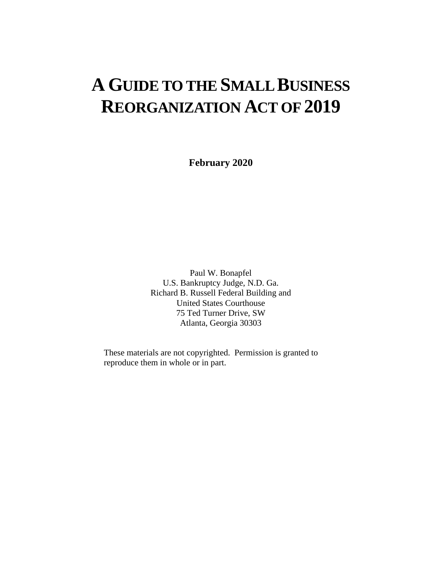# **A GUIDE TO THE SMALL BUSINESS REORGANIZATION ACT OF 2019**

**February 2020**

Paul W. Bonapfel U.S. Bankruptcy Judge, N.D. Ga. Richard B. Russell Federal Building and United States Courthouse 75 Ted Turner Drive, SW Atlanta, Georgia 30303

These materials are not copyrighted. Permission is granted to reproduce them in whole or in part.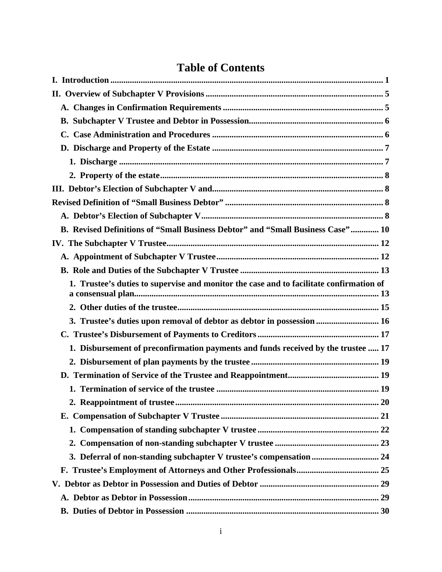### **Table of Contents**

| B. Revised Definitions of "Small Business Debtor" and "Small Business Case"  10         |  |
|-----------------------------------------------------------------------------------------|--|
|                                                                                         |  |
|                                                                                         |  |
|                                                                                         |  |
| 1. Trustee's duties to supervise and monitor the case and to facilitate confirmation of |  |
|                                                                                         |  |
| 3. Trustee's duties upon removal of debtor as debtor in possession  16                  |  |
|                                                                                         |  |
| 1. Disbursement of preconfirmation payments and funds received by the trustee  17       |  |
|                                                                                         |  |
|                                                                                         |  |
|                                                                                         |  |
|                                                                                         |  |
|                                                                                         |  |
|                                                                                         |  |
|                                                                                         |  |
| 3. Deferral of non-standing subchapter V trustee's compensation  24                     |  |
|                                                                                         |  |
|                                                                                         |  |
|                                                                                         |  |
|                                                                                         |  |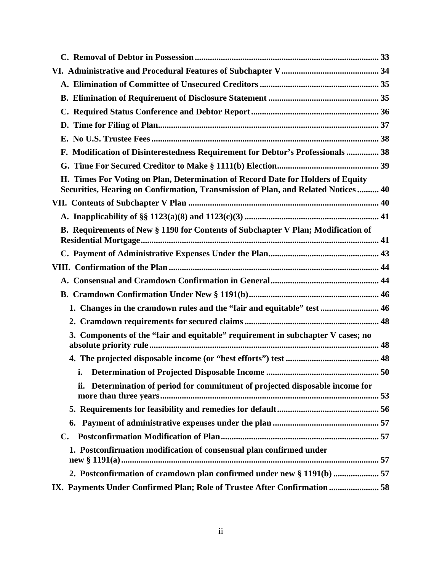| F. Modification of Disinterestedness Requirement for Debtor's Professionals  38                                                                                      |
|----------------------------------------------------------------------------------------------------------------------------------------------------------------------|
|                                                                                                                                                                      |
| H. Times For Voting on Plan, Determination of Record Date for Holders of Equity<br>Securities, Hearing on Confirmation, Transmission of Plan, and Related Notices 40 |
|                                                                                                                                                                      |
|                                                                                                                                                                      |
| B. Requirements of New § 1190 for Contents of Subchapter V Plan; Modification of                                                                                     |
|                                                                                                                                                                      |
|                                                                                                                                                                      |
|                                                                                                                                                                      |
|                                                                                                                                                                      |
| 1. Changes in the cramdown rules and the "fair and equitable" test  46                                                                                               |
|                                                                                                                                                                      |
| 3. Components of the "fair and equitable" requirement in subchapter V cases; no                                                                                      |
|                                                                                                                                                                      |
| 50                                                                                                                                                                   |
| ii. Determination of period for commitment of projected disposable income for                                                                                        |
|                                                                                                                                                                      |
| 6.                                                                                                                                                                   |
| C.                                                                                                                                                                   |
| 1. Postconfirmation modification of consensual plan confirmed under                                                                                                  |
| 2. Postconfirmation of cramdown plan confirmed under new § 1191(b)  57                                                                                               |
| IX. Payments Under Confirmed Plan; Role of Trustee After Confirmation  58                                                                                            |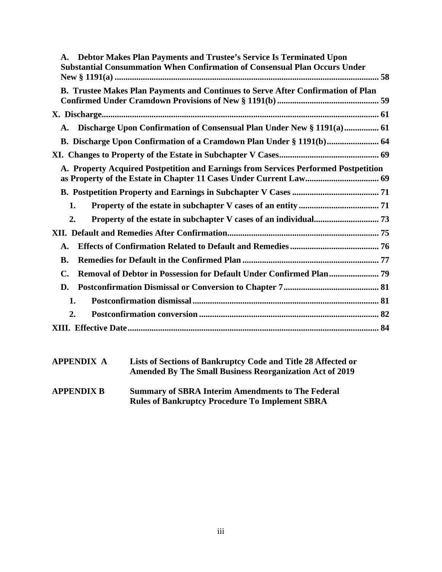| Debtor Makes Plan Payments and Trustee's Service Is Terminated Upon<br>Substantial Consummation When Confirmation of Consensual Plan Occurs Under |  |
|---------------------------------------------------------------------------------------------------------------------------------------------------|--|
| B. Trustee Makes Plan Payments and Continues to Serve After Confirmation of Plan                                                                  |  |
|                                                                                                                                                   |  |
| A.                                                                                                                                                |  |
| B. Discharge Upon Confirmation of a Cramdown Plan Under § 1191(b) 64                                                                              |  |
|                                                                                                                                                   |  |
| A. Property Acquired Postpetition and Earnings from Services Performed Postpetition                                                               |  |
|                                                                                                                                                   |  |
| 1.                                                                                                                                                |  |
| 2.                                                                                                                                                |  |
|                                                                                                                                                   |  |
| А.                                                                                                                                                |  |
| <b>B.</b>                                                                                                                                         |  |
| C.                                                                                                                                                |  |
| D.                                                                                                                                                |  |
| 1.                                                                                                                                                |  |
| 2.                                                                                                                                                |  |
|                                                                                                                                                   |  |
|                                                                                                                                                   |  |

| <b>APPENDIX A</b> | Lists of Sections of Bankruptcy Code and Title 28 Affected or<br><b>Amended By The Small Business Reorganization Act of 2019</b> |
|-------------------|----------------------------------------------------------------------------------------------------------------------------------|
| <b>APPENDIX B</b> | <b>Summary of SBRA Interim Amendments to The Federal</b><br><b>Rules of Bankruptcy Procedure To Implement SBRA</b>               |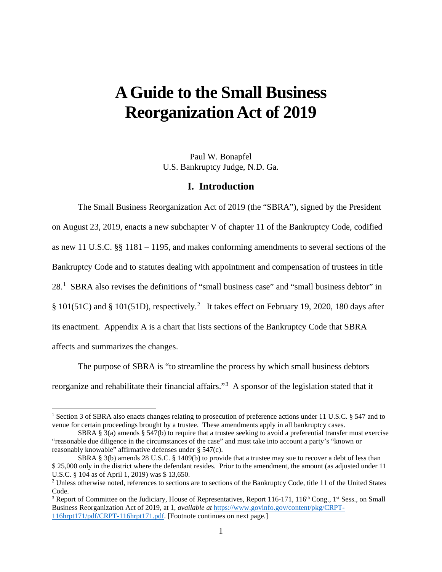## **A Guide to the Small Business Reorganization Act of 2019**

Paul W. Bonapfel U.S. Bankruptcy Judge, N.D. Ga.

#### **I. Introduction**

The Small Business Reorganization Act of 2019 (the "SBRA"), signed by the President on August 23, 2019, enacts a new subchapter V of chapter 11 of the Bankruptcy Code, codified as new 11 U.S.C. §§ 1181 – 1195, and makes conforming amendments to several sections of the Bankruptcy Code and to statutes dealing with appointment and compensation of trustees in title 28.<sup>1</sup> SBRA also revises the definitions of "small business case" and "small business debtor" in § 101(51C) and § 101(51D), respectively.<sup>2</sup> It takes effect on February 19, 2020, 180 days after its enactment. Appendix A is a chart that lists sections of the Bankruptcy Code that SBRA affects and summarizes the changes.

The purpose of SBRA is "to streamline the process by which small business debtors reorganize and rehabilitate their financial affairs."<sup>3</sup> A sponsor of the legislation stated that it

<sup>&</sup>lt;sup>1</sup> Section 3 of SBRA also enacts changes relating to prosecution of preference actions under 11 U.S.C. § 547 and to venue for certain proceedings brought by a trustee. These amendments apply in all bankruptcy cases.

SBRA § 3(a) amends § 547(b) to require that a trustee seeking to avoid a preferential transfer must exercise "reasonable due diligence in the circumstances of the case" and must take into account a party's "known or reasonably knowable" affirmative defenses under § 547(c).

SBRA § 3(b) amends 28 U.S.C. § 1409(b) to provide that a trustee may sue to recover a debt of less than \$ 25,000 only in the district where the defendant resides. Prior to the amendment, the amount (as adjusted under 11 U.S.C. § 104 as of April 1, 2019) was \$ 13,650.

 $2$  Unless otherwise noted, references to sections are to sections of the Bankruptcy Code, title 11 of the United States Code.

<sup>&</sup>lt;sup>3</sup> Report of Committee on the Judiciary, House of Representatives, Report 116-171, 116<sup>th</sup> Cong., 1<sup>st</sup> Sess., on Small Business Reorganization Act of 2019, at 1, *available at* https://www.govinfo.gov/content/pkg/CRPT-116hrpt171/pdf/CRPT-116hrpt171.pdf. [Footnote continues on next page.]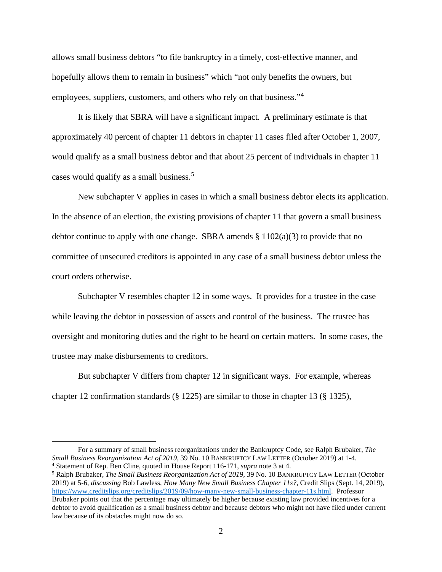allows small business debtors "to file bankruptcy in a timely, cost-effective manner, and hopefully allows them to remain in business" which "not only benefits the owners, but employees, suppliers, customers, and others who rely on that business."<sup>4</sup>

It is likely that SBRA will have a significant impact. A preliminary estimate is that approximately 40 percent of chapter 11 debtors in chapter 11 cases filed after October 1, 2007, would qualify as a small business debtor and that about 25 percent of individuals in chapter 11 cases would qualify as a small business.<sup>5</sup>

New subchapter V applies in cases in which a small business debtor elects its application. In the absence of an election, the existing provisions of chapter 11 that govern a small business debtor continue to apply with one change. SBRA amends  $\S 1102(a)(3)$  to provide that no committee of unsecured creditors is appointed in any case of a small business debtor unless the court orders otherwise.

Subchapter V resembles chapter 12 in some ways. It provides for a trustee in the case while leaving the debtor in possession of assets and control of the business. The trustee has oversight and monitoring duties and the right to be heard on certain matters. In some cases, the trustee may make disbursements to creditors.

But subchapter V differs from chapter 12 in significant ways. For example, whereas chapter 12 confirmation standards (§ 1225) are similar to those in chapter 13 (§ 1325),

For a summary of small business reorganizations under the Bankruptcy Code, see Ralph Brubaker, *The* 

<sup>&</sup>lt;sup>4</sup> Statement of Rep. Ben Cline, quoted in House Report 116-171, *supra* note 3 at 4.<br><sup>5</sup> Ralph Brubaker, *The Small Business Reorganization Act of 2019*, 39 No. 10 BANKRUPTCY LAW LETTER (October

<sup>2019)</sup> at 5-6, *discussing* Bob Lawless, *How Many New Small Business Chapter 11s?,* Credit Slips (Sept. 14, 2019), https://www.creditslips.org/creditslips/2019/09/how-many-new-small-business-chapter-11s.html. Professor Brubaker points out that the percentage may ultimately be higher because existing law provided incentives for a debtor to avoid qualification as a small business debtor and because debtors who might not have filed under current law because of its obstacles might now do so.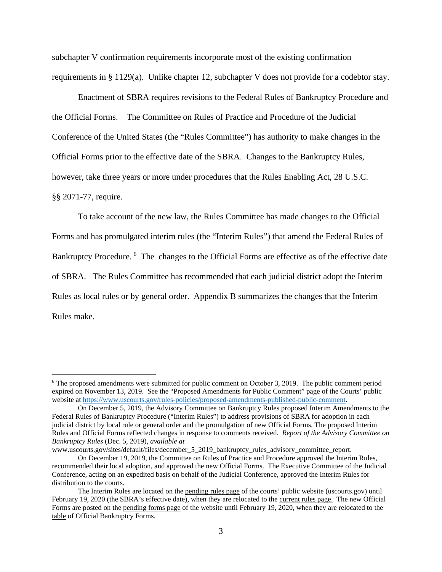subchapter V confirmation requirements incorporate most of the existing confirmation requirements in § 1129(a). Unlike chapter 12, subchapter V does not provide for a codebtor stay.

Enactment of SBRA requires revisions to the Federal Rules of Bankruptcy Procedure and the Official Forms. The Committee on Rules of Practice and Procedure of the Judicial Conference of the United States (the "Rules Committee") has authority to make changes in the Official Forms prior to the effective date of the SBRA. Changes to the Bankruptcy Rules, however, take three years or more under procedures that the Rules Enabling Act, 28 U.S.C. §§ 2071-77, require.

To take account of the new law, the Rules Committee has made changes to the Official Forms and has promulgated interim rules (the "Interim Rules") that amend the Federal Rules of Bankruptcy Procedure. <sup>6</sup> The changes to the Official Forms are effective as of the effective date of SBRA. The Rules Committee has recommended that each judicial district adopt the Interim Rules as local rules or by general order. Appendix B summarizes the changes that the Interim Rules make.

www.uscourts.gov/sites/default/files/december\_5\_2019\_bankruptcy\_rules\_advisory\_committee\_report.

 $6$  The proposed amendments were submitted for public comment on October 3, 2019. The public comment period expired on November 13, 2019. See the "Proposed Amendments for Public Comment" page of the Courts' public website at https://www.uscourts.gov/rules-policies/proposed-amendments-published-public-comment.

On December 5, 2019, the Advisory Committee on Bankruptcy Rules proposed Interim Amendments to the Federal Rules of Bankruptcy Procedure ("Interim Rules") to address provisions of SBRA for adoption in each judicial district by local rule or general order and the promulgation of new Official Forms. The proposed Interim Rules and Official Forms reflected changes in response to comments received. *Report of the Advisory Committee on Bankruptcy Rules* (Dec. 5, 2019), *available at* 

On December 19, 2019, the Committee on Rules of Practice and Procedure approved the Interim Rules, recommended their local adoption, and approved the new Official Forms. The Executive Committee of the Judicial Conference, acting on an expedited basis on behalf of the Judicial Conference, approved the Interim Rules for distribution to the courts.

The Interim Rules are located on the pending rules page of the courts' public website (uscourts.gov) until February 19, 2020 (the SBRA's effective date), when they are relocated to the current rules page. The new Official Forms are posted on the pending forms page of the website until February 19, 2020, when they are relocated to the table of Official Bankruptcy Forms.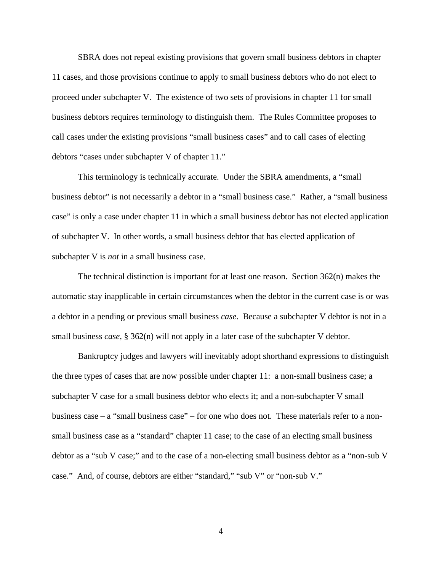SBRA does not repeal existing provisions that govern small business debtors in chapter 11 cases, and those provisions continue to apply to small business debtors who do not elect to proceed under subchapter V. The existence of two sets of provisions in chapter 11 for small business debtors requires terminology to distinguish them. The Rules Committee proposes to call cases under the existing provisions "small business cases" and to call cases of electing debtors "cases under subchapter V of chapter 11."

This terminology is technically accurate. Under the SBRA amendments, a "small business debtor" is not necessarily a debtor in a "small business case." Rather, a "small business case" is only a case under chapter 11 in which a small business debtor has not elected application of subchapter V. In other words, a small business debtor that has elected application of subchapter V is *not* in a small business case.

The technical distinction is important for at least one reason. Section 362(n) makes the automatic stay inapplicable in certain circumstances when the debtor in the current case is or was a debtor in a pending or previous small business *case*. Because a subchapter V debtor is not in a small business *case*, § 362(n) will not apply in a later case of the subchapter V debtor.

Bankruptcy judges and lawyers will inevitably adopt shorthand expressions to distinguish the three types of cases that are now possible under chapter 11: a non-small business case; a subchapter V case for a small business debtor who elects it; and a non-subchapter V small business case – a "small business case" – for one who does not. These materials refer to a nonsmall business case as a "standard" chapter 11 case; to the case of an electing small business debtor as a "sub V case;" and to the case of a non-electing small business debtor as a "non-sub V case." And, of course, debtors are either "standard," "sub V" or "non-sub V."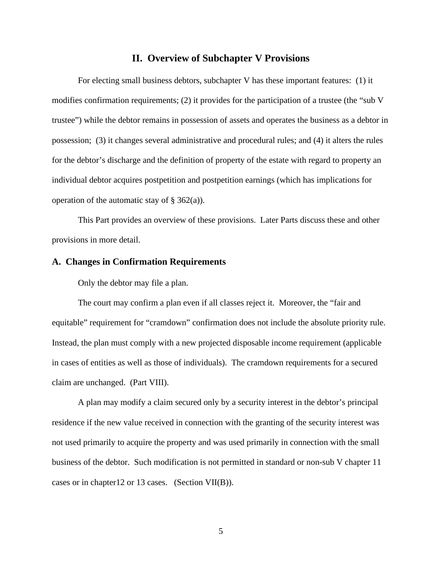#### **II. Overview of Subchapter V Provisions**

For electing small business debtors, subchapter V has these important features: (1) it modifies confirmation requirements; (2) it provides for the participation of a trustee (the "sub V trustee") while the debtor remains in possession of assets and operates the business as a debtor in possession; (3) it changes several administrative and procedural rules; and (4) it alters the rules for the debtor's discharge and the definition of property of the estate with regard to property an individual debtor acquires postpetition and postpetition earnings (which has implications for operation of the automatic stay of  $\S$  362(a)).

This Part provides an overview of these provisions. Later Parts discuss these and other provisions in more detail.

#### **A. Changes in Confirmation Requirements**

Only the debtor may file a plan.

The court may confirm a plan even if all classes reject it. Moreover, the "fair and equitable" requirement for "cramdown" confirmation does not include the absolute priority rule. Instead, the plan must comply with a new projected disposable income requirement (applicable in cases of entities as well as those of individuals). The cramdown requirements for a secured claim are unchanged. (Part VIII).

A plan may modify a claim secured only by a security interest in the debtor's principal residence if the new value received in connection with the granting of the security interest was not used primarily to acquire the property and was used primarily in connection with the small business of the debtor. Such modification is not permitted in standard or non-sub V chapter 11 cases or in chapter12 or 13 cases. (Section VII(B)).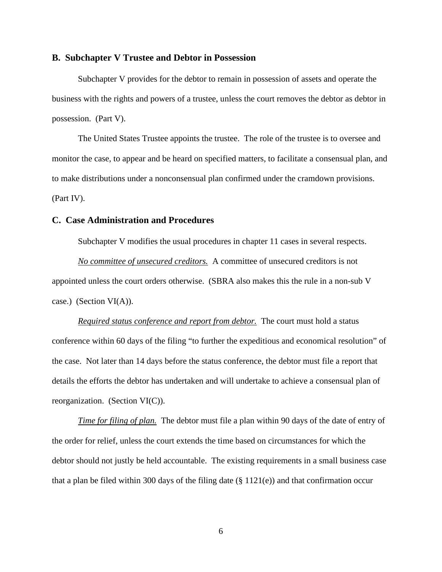#### **B. Subchapter V Trustee and Debtor in Possession**

Subchapter V provides for the debtor to remain in possession of assets and operate the business with the rights and powers of a trustee, unless the court removes the debtor as debtor in possession. (Part V).

The United States Trustee appoints the trustee. The role of the trustee is to oversee and monitor the case, to appear and be heard on specified matters, to facilitate a consensual plan, and to make distributions under a nonconsensual plan confirmed under the cramdown provisions. (Part IV).

#### **C. Case Administration and Procedures**

Subchapter V modifies the usual procedures in chapter 11 cases in several respects.

*No committee of unsecured creditors.* A committee of unsecured creditors is not appointed unless the court orders otherwise. (SBRA also makes this the rule in a non-sub V case.) (Section VI(A)).

*Required status conference and report from debtor.* The court must hold a status conference within 60 days of the filing "to further the expeditious and economical resolution" of the case. Not later than 14 days before the status conference, the debtor must file a report that details the efforts the debtor has undertaken and will undertake to achieve a consensual plan of reorganization. (Section VI(C)).

*Time for filing of plan.* The debtor must file a plan within 90 days of the date of entry of the order for relief, unless the court extends the time based on circumstances for which the debtor should not justly be held accountable. The existing requirements in a small business case that a plan be filed within 300 days of the filing date (§ 1121(e)) and that confirmation occur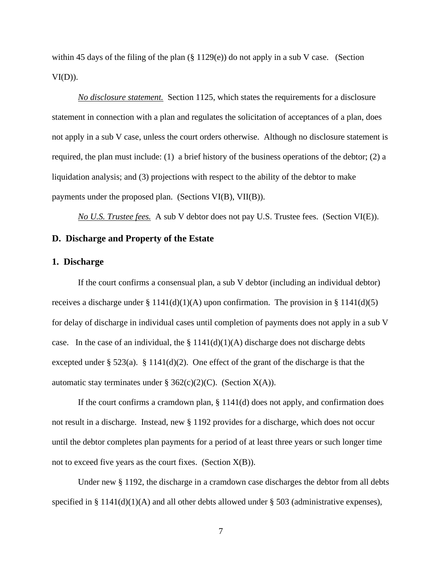within 45 days of the filing of the plan  $(\S 1129(e))$  do not apply in a sub V case. (Section  $VI(D)$ ).

*No disclosure statement.* Section 1125, which states the requirements for a disclosure statement in connection with a plan and regulates the solicitation of acceptances of a plan, does not apply in a sub V case, unless the court orders otherwise. Although no disclosure statement is required, the plan must include: (1) a brief history of the business operations of the debtor; (2) a liquidation analysis; and (3) projections with respect to the ability of the debtor to make payments under the proposed plan. (Sections VI(B), VII(B)).

*No U.S. Trustee fees.* A sub V debtor does not pay U.S. Trustee fees. (Section VI(E)).

#### **D. Discharge and Property of the Estate**

#### **1. Discharge**

If the court confirms a consensual plan, a sub V debtor (including an individual debtor) receives a discharge under § 1141(d)(1)(A) upon confirmation. The provision in § 1141(d)(5) for delay of discharge in individual cases until completion of payments does not apply in a sub V case. In the case of an individual, the  $\S 1141(d)(1)(A)$  discharge does not discharge debts excepted under  $\S 523(a)$ .  $\S 1141(d)(2)$ . One effect of the grant of the discharge is that the automatic stay terminates under § 362(c)(2)(C). (Section  $X(A)$ ).

If the court confirms a cramdown plan, § 1141(d) does not apply, and confirmation does not result in a discharge. Instead, new § 1192 provides for a discharge, which does not occur until the debtor completes plan payments for a period of at least three years or such longer time not to exceed five years as the court fixes. (Section  $X(B)$ ).

Under new § 1192, the discharge in a cramdown case discharges the debtor from all debts specified in § 1141(d)(1)(A) and all other debts allowed under § 503 (administrative expenses),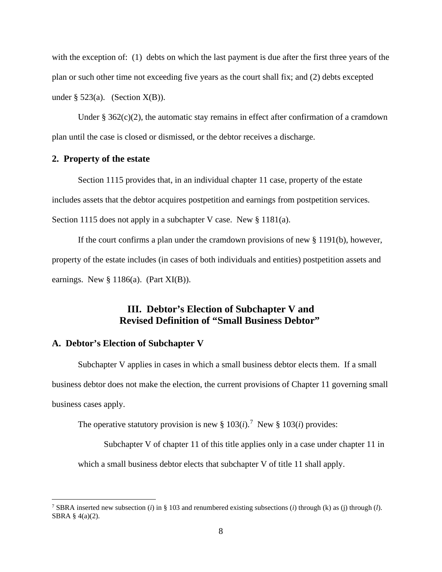with the exception of: (1) debts on which the last payment is due after the first three years of the plan or such other time not exceeding five years as the court shall fix; and (2) debts excepted under § 523(a). (Section  $X(B)$ ).

Under  $\S$  362(c)(2), the automatic stay remains in effect after confirmation of a cramdown plan until the case is closed or dismissed, or the debtor receives a discharge.

#### **2. Property of the estate**

Section 1115 provides that, in an individual chapter 11 case, property of the estate includes assets that the debtor acquires postpetition and earnings from postpetition services. Section 1115 does not apply in a subchapter V case. New § 1181(a).

If the court confirms a plan under the cramdown provisions of new § 1191(b), however, property of the estate includes (in cases of both individuals and entities) postpetition assets and earnings. New  $\S 1186(a)$ . (Part XI(B)).

#### **III. Debtor's Election of Subchapter V and Revised Definition of "Small Business Debtor"**

#### **A. Debtor's Election of Subchapter V**

Subchapter V applies in cases in which a small business debtor elects them. If a small business debtor does not make the election, the current provisions of Chapter 11 governing small business cases apply.

The operative statutory provision is new §  $103(i)$ .<sup>7</sup> New §  $103(i)$  provides:

Subchapter V of chapter 11 of this title applies only in a case under chapter 11 in

which a small business debtor elects that subchapter V of title 11 shall apply.

<sup>&</sup>lt;sup>7</sup> SBRA inserted new subsection (*i*) in § 103 and renumbered existing subsections (*i*) through (*k*) as (*j*) through (*l*). SBRA § 4(a)(2).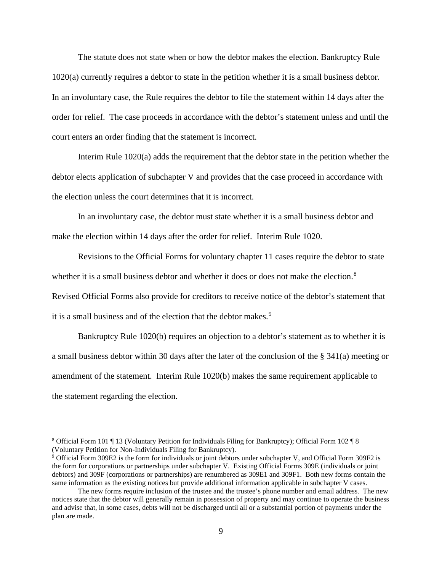The statute does not state when or how the debtor makes the election. Bankruptcy Rule 1020(a) currently requires a debtor to state in the petition whether it is a small business debtor. In an involuntary case, the Rule requires the debtor to file the statement within 14 days after the order for relief. The case proceeds in accordance with the debtor's statement unless and until the court enters an order finding that the statement is incorrect.

Interim Rule 1020(a) adds the requirement that the debtor state in the petition whether the debtor elects application of subchapter V and provides that the case proceed in accordance with the election unless the court determines that it is incorrect.

In an involuntary case, the debtor must state whether it is a small business debtor and make the election within 14 days after the order for relief. Interim Rule 1020.

Revisions to the Official Forms for voluntary chapter 11 cases require the debtor to state whether it is a small business debtor and whether it does or does not make the election.<sup>8</sup> Revised Official Forms also provide for creditors to receive notice of the debtor's statement that it is a small business and of the election that the debtor makes.<sup>9</sup>

Bankruptcy Rule 1020(b) requires an objection to a debtor's statement as to whether it is a small business debtor within 30 days after the later of the conclusion of the § 341(a) meeting or amendment of the statement. Interim Rule 1020(b) makes the same requirement applicable to the statement regarding the election.

<sup>8</sup> Official Form 101 ¶ 13 (Voluntary Petition for Individuals Filing for Bankruptcy); Official Form 102 ¶ 8 (Voluntary Petition for Non-Individuals Filing for Bankruptcy).

 $9$  Official Form 309E2 is the form for individuals or joint debtors under subchapter V, and Official Form 309F2 is the form for corporations or partnerships under subchapter V. Existing Official Forms 309E (individuals or joint debtors) and 309F (corporations or partnerships) are renumbered as 309E1 and 309F1. Both new forms contain the same information as the existing notices but provide additional information applicable in subchapter V cases.

The new forms require inclusion of the trustee and the trustee's phone number and email address. The new notices state that the debtor will generally remain in possession of property and may continue to operate the business and advise that, in some cases, debts will not be discharged until all or a substantial portion of payments under the plan are made.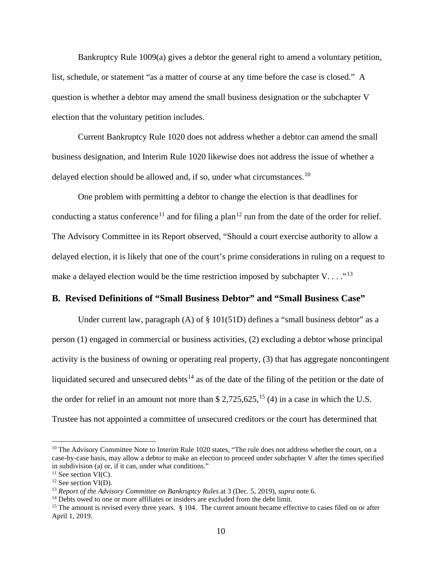Bankruptcy Rule 1009(a) gives a debtor the general right to amend a voluntary petition, list, schedule, or statement "as a matter of course at any time before the case is closed." A question is whether a debtor may amend the small business designation or the subchapter V election that the voluntary petition includes.

Current Bankruptcy Rule 1020 does not address whether a debtor can amend the small business designation, and Interim Rule 1020 likewise does not address the issue of whether a delayed election should be allowed and, if so, under what circumstances.<sup>10</sup>

One problem with permitting a debtor to change the election is that deadlines for conducting a status conference<sup>11</sup> and for filing a plan<sup>12</sup> run from the date of the order for relief. The Advisory Committee in its Report observed, "Should a court exercise authority to allow a delayed election, it is likely that one of the court's prime considerations in ruling on a request to make a delayed election would be the time restriction imposed by subchapter V...."<sup>13</sup>

#### **B. Revised Definitions of "Small Business Debtor" and "Small Business Case"**

Under current law, paragraph  $(A)$  of  $\S 101(51D)$  defines a "small business debtor" as a person (1) engaged in commercial or business activities, (2) excluding a debtor whose principal activity is the business of owning or operating real property, (3) that has aggregate noncontingent liquidated secured and unsecured debts<sup>14</sup> as of the date of the filing of the petition or the date of the order for relief in an amount not more than  $$ 2,725,625,^{15}$  (4) in a case in which the U.S. Trustee has not appointed a committee of unsecured creditors or the court has determined that

<sup>&</sup>lt;sup>10</sup> The Advisory Committee Note to Interim Rule 1020 states, "The rule does not address whether the court, on a case-by-case basis, may allow a debtor to make an election to proceed under subchapter V after the times specified in subdivision (a) or, if it can, under what conditions."

 $11$  See section VI(C).

 $12$  See section VI(D).

<sup>&</sup>lt;sup>13</sup> *Report of the Advisory Committee on Bankruptcy Rules* at 3 (Dec. 5, 2019), *supra* note 6.<br><sup>14</sup> Debts owed to one or more affiliates or insiders are excluded from the debt limit.

<sup>&</sup>lt;sup>15</sup> The amount is revised every three years. § 104. The current amount became effective to cases filed on or after April 1, 2019.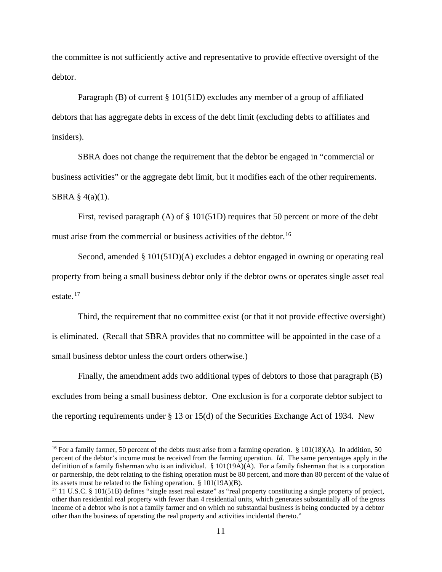the committee is not sufficiently active and representative to provide effective oversight of the debtor.

Paragraph (B) of current § 101(51D) excludes any member of a group of affiliated debtors that has aggregate debts in excess of the debt limit (excluding debts to affiliates and insiders).

SBRA does not change the requirement that the debtor be engaged in "commercial or business activities" or the aggregate debt limit, but it modifies each of the other requirements. SBRA § 4(a)(1).

First, revised paragraph (A) of § 101(51D) requires that 50 percent or more of the debt must arise from the commercial or business activities of the debtor.<sup>16</sup>

Second, amended § 101(51D)(A) excludes a debtor engaged in owning or operating real property from being a small business debtor only if the debtor owns or operates single asset real estate  $17$ 

Third, the requirement that no committee exist (or that it not provide effective oversight) is eliminated. (Recall that SBRA provides that no committee will be appointed in the case of a small business debtor unless the court orders otherwise.)

Finally, the amendment adds two additional types of debtors to those that paragraph (B) excludes from being a small business debtor. One exclusion is for a corporate debtor subject to the reporting requirements under § 13 or 15(d) of the Securities Exchange Act of 1934. New

<sup>&</sup>lt;sup>16</sup> For a family farmer, 50 percent of the debts must arise from a farming operation.  $\S$  101(18)(A). In addition, 50 percent of the debtor's income must be received from the farming operation. *Id.* The same percentages apply in the definition of a family fisherman who is an individual. § 101(19A)(A). For a family fisherman that is a corporation or partnership, the debt relating to the fishing operation must be 80 percent, and more than 80 percent of the value of its assets must be related to the fishing operation.  $\S$  101(19A)(B).<br><sup>17</sup> 11 U.S.C.  $\S$  101(51B) defines "single asset real estate" as "real property constituting a single property of project,

other than residential real property with fewer than 4 residential units, which generates substantially all of the gross income of a debtor who is not a family farmer and on which no substantial business is being conducted by a debtor other than the business of operating the real property and activities incidental thereto."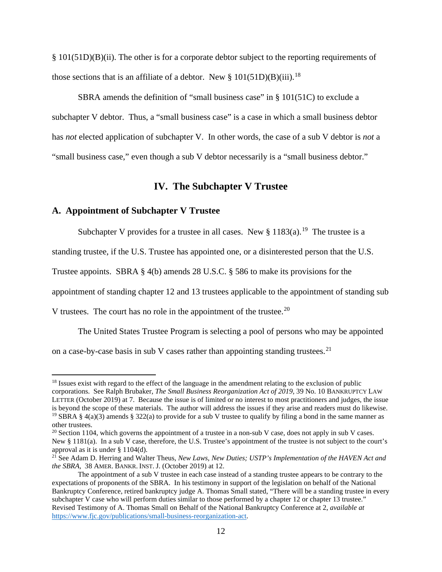§ 101(51D)(B)(ii). The other is for a corporate debtor subject to the reporting requirements of those sections that is an affiliate of a debtor. New  $\S 101(51D)(B)(iii)$ .<sup>18</sup>

SBRA amends the definition of "small business case" in § 101(51C) to exclude a subchapter V debtor. Thus, a "small business case" is a case in which a small business debtor has *not* elected application of subchapter V. In other words, the case of a sub V debtor is *not* a "small business case," even though a sub V debtor necessarily is a "small business debtor."

#### **IV. The Subchapter V Trustee**

#### **A. Appointment of Subchapter V Trustee**

Subchapter V provides for a trustee in all cases. New  $\S 1183(a)$ .<sup>19</sup> The trustee is a

standing trustee, if the U.S. Trustee has appointed one, or a disinterested person that the U.S.

Trustee appoints. SBRA § 4(b) amends 28 U.S.C. § 586 to make its provisions for the

appointment of standing chapter 12 and 13 trustees applicable to the appointment of standing sub

V trustees. The court has no role in the appointment of the trustee.<sup>20</sup>

The United States Trustee Program is selecting a pool of persons who may be appointed

on a case-by-case basis in sub V cases rather than appointing standing trustees.<sup>21</sup>

<sup>&</sup>lt;sup>18</sup> Issues exist with regard to the effect of the language in the amendment relating to the exclusion of public corporations. See Ralph Brubaker, *The Small Business Reorganization Act of 2019,* 39 No. 10 BANKRUPTCY LAW LETTER (October 2019) at 7. Because the issue is of limited or no interest to most practitioners and judges, the issue is beyond the scope of these materials. The author will address the issues if they arise and readers must do likewise. <sup>19</sup> SBRA § 4(a)(3) amends § 322(a) to provide for a sub V trustee to qualify by filing a bond in the same manner as other trustees.

 $20$  Section 1104, which governs the appointment of a trustee in a non-sub V case, does not apply in sub V cases. New § 1181(a). In a sub V case, therefore, the U.S. Trustee's appointment of the trustee is not subject to the court's approval as it is under § 1104(d).

<sup>&</sup>lt;sup>21</sup> See Adam D. Herring and Walter Theus, *New Laws, New Duties; USTP's Implementation of the HAVEN Act and the SBRA,* 38 AMER. BANKR. INST. J. (October 2019) at 12.

The appointment of a sub V trustee in each case instead of a standing trustee appears to be contrary to the expectations of proponents of the SBRA. In his testimony in support of the legislation on behalf of the National Bankruptcy Conference, retired bankruptcy judge A. Thomas Small stated, "There will be a standing trustee in every subchapter V case who will perform duties similar to those performed by a chapter 12 or chapter 13 trustee." Revised Testimony of A. Thomas Small on Behalf of the National Bankruptcy Conference at 2, *available at* https://www.fjc.gov/publications/small-business-reorganization-act.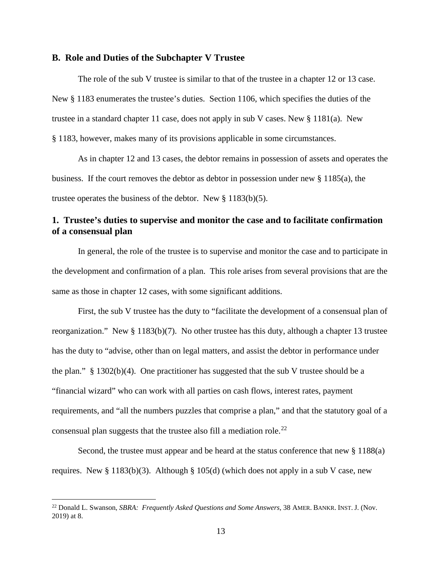#### **B. Role and Duties of the Subchapter V Trustee**

The role of the sub V trustee is similar to that of the trustee in a chapter 12 or 13 case. New § 1183 enumerates the trustee's duties. Section 1106, which specifies the duties of the trustee in a standard chapter 11 case, does not apply in sub V cases. New § 1181(a). New § 1183, however, makes many of its provisions applicable in some circumstances.

As in chapter 12 and 13 cases, the debtor remains in possession of assets and operates the business. If the court removes the debtor as debtor in possession under new § 1185(a), the trustee operates the business of the debtor. New § 1183(b)(5).

#### **1. Trustee's duties to supervise and monitor the case and to facilitate confirmation of a consensual plan**

In general, the role of the trustee is to supervise and monitor the case and to participate in the development and confirmation of a plan. This role arises from several provisions that are the same as those in chapter 12 cases, with some significant additions.

First, the sub V trustee has the duty to "facilitate the development of a consensual plan of reorganization." New § 1183(b)(7). No other trustee has this duty, although a chapter 13 trustee has the duty to "advise, other than on legal matters, and assist the debtor in performance under the plan."  $\S$  1302(b)(4). One practitioner has suggested that the sub V trustee should be a "financial wizard" who can work with all parties on cash flows, interest rates, payment requirements, and "all the numbers puzzles that comprise a plan," and that the statutory goal of a consensual plan suggests that the trustee also fill a mediation role.<sup>22</sup>

Second, the trustee must appear and be heard at the status conference that new § 1188(a) requires. New § 1183(b)(3). Although § 105(d) (which does not apply in a sub V case, new

<sup>22</sup> Donald L. Swanson, *SBRA: Frequently Asked Questions and Some Answers,* 38 AMER. BANKR. INST. J. (Nov. 2019) at 8.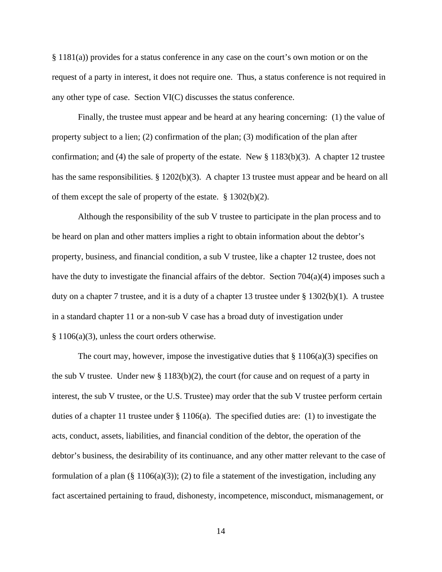§ 1181(a)) provides for a status conference in any case on the court's own motion or on the request of a party in interest, it does not require one. Thus, a status conference is not required in any other type of case. Section VI(C) discusses the status conference.

Finally, the trustee must appear and be heard at any hearing concerning: (1) the value of property subject to a lien; (2) confirmation of the plan; (3) modification of the plan after confirmation; and (4) the sale of property of the estate. New  $\S 1183(b)(3)$ . A chapter 12 trustee has the same responsibilities. § 1202(b)(3). A chapter 13 trustee must appear and be heard on all of them except the sale of property of the estate. § 1302(b)(2).

Although the responsibility of the sub V trustee to participate in the plan process and to be heard on plan and other matters implies a right to obtain information about the debtor's property, business, and financial condition, a sub V trustee, like a chapter 12 trustee, does not have the duty to investigate the financial affairs of the debtor. Section 704(a)(4) imposes such a duty on a chapter 7 trustee, and it is a duty of a chapter 13 trustee under  $\S$  1302(b)(1). A trustee in a standard chapter 11 or a non-sub V case has a broad duty of investigation under § 1106(a)(3), unless the court orders otherwise.

The court may, however, impose the investigative duties that  $\S 1106(a)(3)$  specifies on the sub V trustee. Under new  $\S 1183(b)(2)$ , the court (for cause and on request of a party in interest, the sub V trustee, or the U.S. Trustee) may order that the sub V trustee perform certain duties of a chapter 11 trustee under § 1106(a). The specified duties are: (1) to investigate the acts, conduct, assets, liabilities, and financial condition of the debtor, the operation of the debtor's business, the desirability of its continuance, and any other matter relevant to the case of formulation of a plan  $(\S 1106(a)(3))$ ; (2) to file a statement of the investigation, including any fact ascertained pertaining to fraud, dishonesty, incompetence, misconduct, mismanagement, or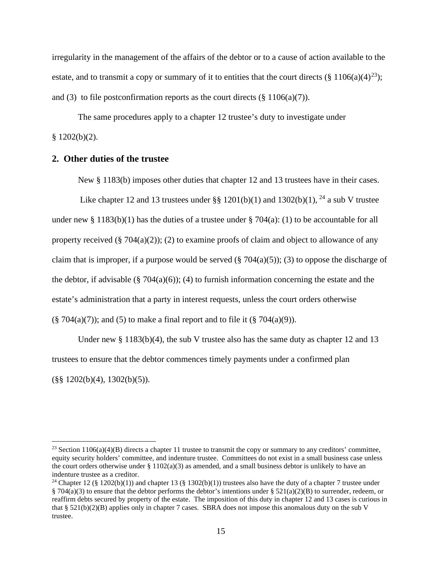irregularity in the management of the affairs of the debtor or to a cause of action available to the estate, and to transmit a copy or summary of it to entities that the court directs (§ 1106(a)(4)<sup>23</sup>); and (3) to file postconfirmation reports as the court directs ( $\S$  1106(a)(7)).

The same procedures apply to a chapter 12 trustee's duty to investigate under  $§ 1202(b)(2).$ 

#### **2. Other duties of the trustee**

New § 1183(b) imposes other duties that chapter 12 and 13 trustees have in their cases.

Like chapter 12 and 13 trustees under  $\S$ § 1201(b)(1) and 1302(b)(1), <sup>24</sup> a sub V trustee under new § 1183(b)(1) has the duties of a trustee under § 704(a): (1) to be accountable for all property received  $(\S 704(a)(2))$ ; (2) to examine proofs of claim and object to allowance of any claim that is improper, if a purpose would be served  $(\S 704(a)(5))$ ; (3) to oppose the discharge of the debtor, if advisable  $(\frac{8}{9}704(a)(6))$ ; (4) to furnish information concerning the estate and the estate's administration that a party in interest requests, unless the court orders otherwise  $(\S 704(a)(7))$ ; and (5) to make a final report and to file it  $(\S 704(a)(9))$ .

Under new  $\S 1183(b)(4)$ , the sub V trustee also has the same duty as chapter 12 and 13 trustees to ensure that the debtor commences timely payments under a confirmed plan  $(\frac{8}{9} \cdot 1202(b)(4), 1302(b)(5)).$ 

<sup>&</sup>lt;sup>23</sup> Section 1106(a)(4)(B) directs a chapter 11 trustee to transmit the copy or summary to any creditors' committee, equity security holders' committee, and indenture trustee. Committees do not exist in a small business case unless the court orders otherwise under  $\S 1102(a)(3)$  as amended, and a small business debtor is unlikely to have an indenture trustee as a creditor.

<sup>&</sup>lt;sup>24</sup> Chapter 12 (§ 1202(b)(1)) and chapter 13 (§ 1302(b)(1)) trustees also have the duty of a chapter 7 trustee under § 704(a)(3) to ensure that the debtor performs the debtor's intentions under § 521(a)(2)(B) to surrender, redeem, or reaffirm debts secured by property of the estate. The imposition of this duty in chapter 12 and 13 cases is curious in that  $\S 521(b)(2)(B)$  applies only in chapter 7 cases. SBRA does not impose this anomalous duty on the sub V trustee.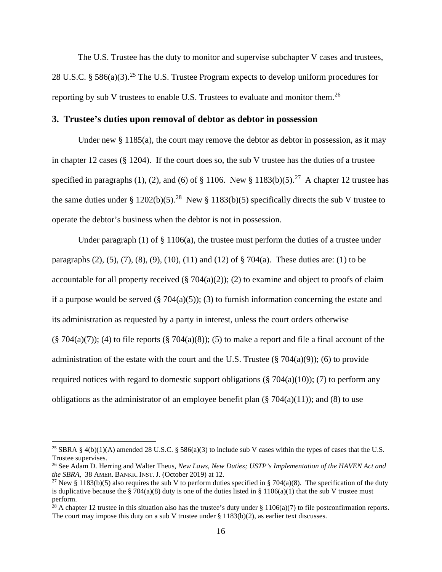The U.S. Trustee has the duty to monitor and supervise subchapter V cases and trustees, 28 U.S.C. § 586(a)(3).<sup>25</sup> The U.S. Trustee Program expects to develop uniform procedures for reporting by sub V trustees to enable U.S. Trustees to evaluate and monitor them.<sup>26</sup>

#### **3. Trustee's duties upon removal of debtor as debtor in possession**

Under new  $\S 1185(a)$ , the court may remove the debtor as debtor in possession, as it may in chapter 12 cases ( $\S$  1204). If the court does so, the sub V trustee has the duties of a trustee specified in paragraphs (1), (2), and (6) of  $\S 1106$ . New  $\S 1183(b)(5)$ .<sup>27</sup> A chapter 12 trustee has the same duties under § 1202(b)(5).<sup>28</sup> New § 1183(b)(5) specifically directs the sub V trustee to operate the debtor's business when the debtor is not in possession.

Under paragraph  $(1)$  of  $\S$  1106(a), the trustee must perform the duties of a trustee under paragraphs  $(2)$ ,  $(5)$ ,  $(7)$ ,  $(8)$ ,  $(9)$ ,  $(10)$ ,  $(11)$  and  $(12)$  of § 704(a). These duties are: (1) to be accountable for all property received  $(\S 704(a)(2))$ ; (2) to examine and object to proofs of claim if a purpose would be served  $(\S 704(a)(5))$ ; (3) to furnish information concerning the estate and its administration as requested by a party in interest, unless the court orders otherwise  $(\S$  704(a)(7)); (4) to file reports  $(\S$  704(a)(8)); (5) to make a report and file a final account of the administration of the estate with the court and the U.S. Trustee  $(\S 704(a)(9))$ ; (6) to provide required notices with regard to domestic support obligations  $(\frac{8}{3} 704(a)(10))$ ; (7) to perform any obligations as the administrator of an employee benefit plan  $(\S 704(a)(11))$ ; and (8) to use

<sup>&</sup>lt;sup>25</sup> SBRA § 4(b)(1)(A) amended 28 U.S.C. § 586(a)(3) to include sub V cases within the types of cases that the U.S. Trustee supervises.

<sup>26</sup> See Adam D. Herring and Walter Theus, *New Laws, New Duties; USTP's Implementation of the HAVEN Act and the SBRA,* 38 AMER. BANKR. INST. J. (October 2019) at 12.

<sup>&</sup>lt;sup>27</sup> New § 1183(b)(5) also requires the sub V to perform duties specified in § 704(a)(8). The specification of the duty is duplicative because the § 704(a)(8) duty is one of the duties listed in § 1106(a)(1) that the sub V trustee must perform.

<sup>&</sup>lt;sup>28</sup> A chapter 12 trustee in this situation also has the trustee's duty under § 1106(a)(7) to file postconfirmation reports. The court may impose this duty on a sub V trustee under  $\S 1183(b)(2)$ , as earlier text discusses.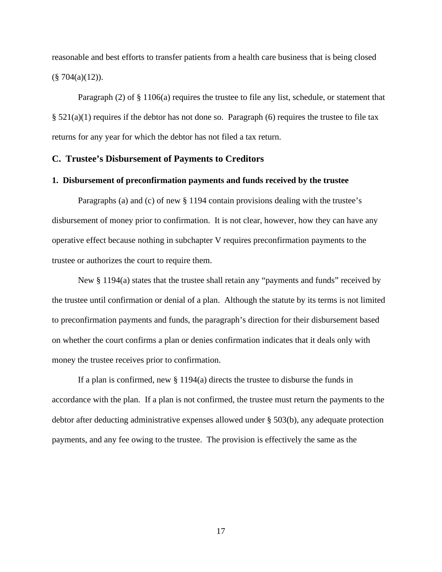reasonable and best efforts to transfer patients from a health care business that is being closed  $(\S$  704(a)(12)).

Paragraph (2) of § 1106(a) requires the trustee to file any list, schedule, or statement that  $§ 521(a)(1)$  requires if the debtor has not done so. Paragraph (6) requires the trustee to file tax returns for any year for which the debtor has not filed a tax return.

#### **C. Trustee's Disbursement of Payments to Creditors**

#### **1. Disbursement of preconfirmation payments and funds received by the trustee**

Paragraphs (a) and (c) of new § 1194 contain provisions dealing with the trustee's disbursement of money prior to confirmation. It is not clear, however, how they can have any operative effect because nothing in subchapter V requires preconfirmation payments to the trustee or authorizes the court to require them.

New § 1194(a) states that the trustee shall retain any "payments and funds" received by the trustee until confirmation or denial of a plan. Although the statute by its terms is not limited to preconfirmation payments and funds, the paragraph's direction for their disbursement based on whether the court confirms a plan or denies confirmation indicates that it deals only with money the trustee receives prior to confirmation.

If a plan is confirmed, new  $\S 1194(a)$  directs the trustee to disburse the funds in accordance with the plan. If a plan is not confirmed, the trustee must return the payments to the debtor after deducting administrative expenses allowed under § 503(b), any adequate protection payments, and any fee owing to the trustee. The provision is effectively the same as the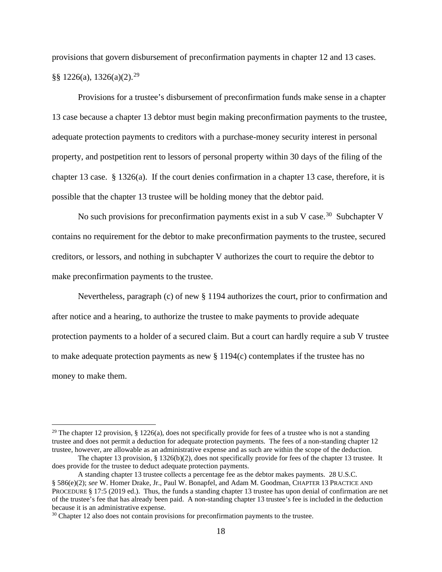provisions that govern disbursement of preconfirmation payments in chapter 12 and 13 cases.  $\S$ § 1226(a), 1326(a)(2).<sup>29</sup>

Provisions for a trustee's disbursement of preconfirmation funds make sense in a chapter 13 case because a chapter 13 debtor must begin making preconfirmation payments to the trustee, adequate protection payments to creditors with a purchase-money security interest in personal property, and postpetition rent to lessors of personal property within 30 days of the filing of the chapter 13 case. § 1326(a). If the court denies confirmation in a chapter 13 case, therefore, it is possible that the chapter 13 trustee will be holding money that the debtor paid.

No such provisions for preconfirmation payments exist in a sub V case.<sup>30</sup> Subchapter V contains no requirement for the debtor to make preconfirmation payments to the trustee, secured creditors, or lessors, and nothing in subchapter V authorizes the court to require the debtor to make preconfirmation payments to the trustee.

Nevertheless, paragraph (c) of new § 1194 authorizes the court, prior to confirmation and after notice and a hearing, to authorize the trustee to make payments to provide adequate protection payments to a holder of a secured claim. But a court can hardly require a sub V trustee to make adequate protection payments as new  $\S 1194(c)$  contemplates if the trustee has no money to make them.

<sup>&</sup>lt;sup>29</sup> The chapter 12 provision, § 1226(a), does not specifically provide for fees of a trustee who is not a standing trustee and does not permit a deduction for adequate protection payments. The fees of a non-standing chapter 12 trustee, however, are allowable as an administrative expense and as such are within the scope of the deduction.

The chapter 13 provision, § 1326(b)(2), does not specifically provide for fees of the chapter 13 trustee. It does provide for the trustee to deduct adequate protection payments.

A standing chapter 13 trustee collects a percentage fee as the debtor makes payments. 28 U.S.C. § 586(e)(2); *see* W. Homer Drake, Jr., Paul W. Bonapfel, and Adam M. Goodman, CHAPTER 13 PRACTICE AND PROCEDURE § 17:5 (2019 ed.). Thus, the funds a standing chapter 13 trustee has upon denial of confirmation are net of the trustee's fee that has already been paid. A non-standing chapter 13 trustee's fee is included in the deduction because it is an administrative expense.

<sup>&</sup>lt;sup>30</sup> Chapter 12 also does not contain provisions for preconfirmation payments to the trustee.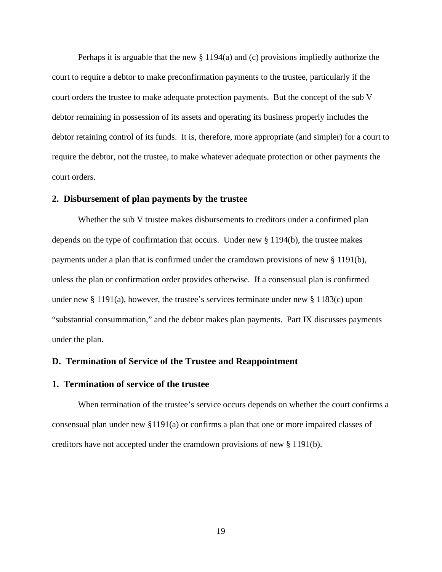Perhaps it is arguable that the new § 1194(a) and (c) provisions impliedly authorize the court to require a debtor to make preconfirmation payments to the trustee, particularly if the court orders the trustee to make adequate protection payments. But the concept of the sub V debtor remaining in possession of its assets and operating its business properly includes the debtor retaining control of its funds. It is, therefore, more appropriate (and simpler) for a court to require the debtor, not the trustee, to make whatever adequate protection or other payments the court orders.

#### **2. Disbursement of plan payments by the trustee**

Whether the sub V trustee makes disbursements to creditors under a confirmed plan depends on the type of confirmation that occurs. Under new § 1194(b), the trustee makes payments under a plan that is confirmed under the cramdown provisions of new § 1191(b), unless the plan or confirmation order provides otherwise. If a consensual plan is confirmed under new  $\S 1191(a)$ , however, the trustee's services terminate under new  $\S 1183(c)$  upon "substantial consummation," and the debtor makes plan payments. Part IX discusses payments under the plan.

#### **D. Termination of Service of the Trustee and Reappointment**

#### **1. Termination of service of the trustee**

When termination of the trustee's service occurs depends on whether the court confirms a consensual plan under new §1191(a) or confirms a plan that one or more impaired classes of creditors have not accepted under the cramdown provisions of new § 1191(b).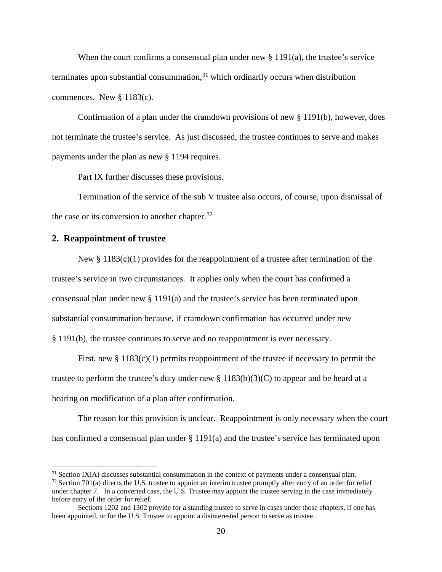When the court confirms a consensual plan under new  $\S 1191(a)$ , the trustee's service terminates upon substantial consummation, $31$  which ordinarily occurs when distribution commences. New § 1183(c).

Confirmation of a plan under the cramdown provisions of new  $\S 1191(b)$ , however, does not terminate the trustee's service. As just discussed, the trustee continues to serve and makes payments under the plan as new § 1194 requires.

Part IX further discusses these provisions.

Termination of the service of the sub V trustee also occurs, of course, upon dismissal of the case or its conversion to another chapter.<sup>32</sup>

#### **2. Reappointment of trustee**

New  $\S 1183(c)(1)$  provides for the reappointment of a trustee after termination of the trustee's service in two circumstances. It applies only when the court has confirmed a consensual plan under new § 1191(a) and the trustee's service has been terminated upon substantial consummation because, if cramdown confirmation has occurred under new § 1191(b), the trustee continues to serve and no reappointment is ever necessary.

First, new  $\S 1183(c)(1)$  permits reappointment of the trustee if necessary to permit the trustee to perform the trustee's duty under new  $\S 1183(b)(3)(C)$  to appear and be heard at a hearing on modification of a plan after confirmation.

The reason for this provision is unclear. Reappointment is only necessary when the court has confirmed a consensual plan under § 1191(a) and the trustee's service has terminated upon

 $31$  Section IX(A) discusses substantial consummation in the context of payments under a consensual plan.

 $32$  Section 701(a) directs the U.S. trustee to appoint an interim trustee promptly after entry of an order for relief under chapter 7. In a converted case, the U.S. Trustee may appoint the trustee serving in the case immediately before entry of the order for relief.

Sections 1202 and 1302 provide for a standing trustee to serve in cases under those chapters, if one has been appointed, or for the U.S. Trustee to appoint a disinterested person to serve as trustee.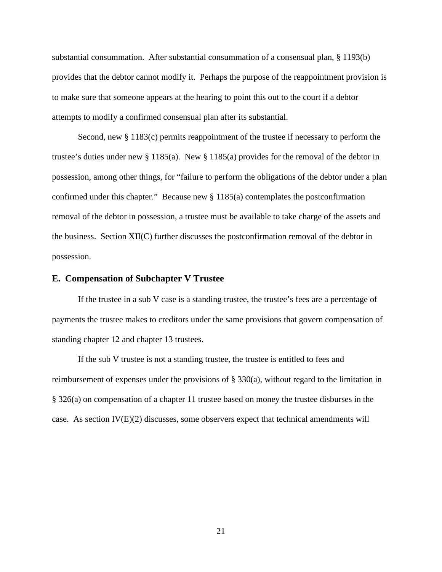substantial consummation. After substantial consummation of a consensual plan, § 1193(b) provides that the debtor cannot modify it. Perhaps the purpose of the reappointment provision is to make sure that someone appears at the hearing to point this out to the court if a debtor attempts to modify a confirmed consensual plan after its substantial.

Second, new § 1183(c) permits reappointment of the trustee if necessary to perform the trustee's duties under new § 1185(a). New § 1185(a) provides for the removal of the debtor in possession, among other things, for "failure to perform the obligations of the debtor under a plan confirmed under this chapter." Because new § 1185(a) contemplates the postconfirmation removal of the debtor in possession, a trustee must be available to take charge of the assets and the business. Section XII(C) further discusses the postconfirmation removal of the debtor in possession.

#### **E. Compensation of Subchapter V Trustee**

If the trustee in a sub V case is a standing trustee, the trustee's fees are a percentage of payments the trustee makes to creditors under the same provisions that govern compensation of standing chapter 12 and chapter 13 trustees.

If the sub V trustee is not a standing trustee, the trustee is entitled to fees and reimbursement of expenses under the provisions of § 330(a), without regard to the limitation in § 326(a) on compensation of a chapter 11 trustee based on money the trustee disburses in the case. As section  $IV(E)(2)$  discusses, some observers expect that technical amendments will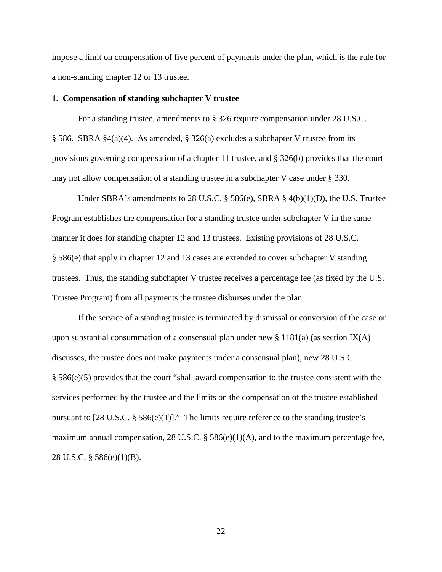impose a limit on compensation of five percent of payments under the plan, which is the rule for a non-standing chapter 12 or 13 trustee.

#### **1. Compensation of standing subchapter V trustee**

For a standing trustee, amendments to § 326 require compensation under 28 U.S.C. § 586. SBRA §4(a)(4). As amended, § 326(a) excludes a subchapter V trustee from its provisions governing compensation of a chapter 11 trustee, and § 326(b) provides that the court may not allow compensation of a standing trustee in a subchapter V case under § 330.

Under SBRA's amendments to 28 U.S.C.  $\S$  586(e), SBRA  $\S$  4(b)(1)(D), the U.S. Trustee Program establishes the compensation for a standing trustee under subchapter V in the same manner it does for standing chapter 12 and 13 trustees. Existing provisions of 28 U.S.C. § 586(e) that apply in chapter 12 and 13 cases are extended to cover subchapter V standing trustees. Thus, the standing subchapter V trustee receives a percentage fee (as fixed by the U.S. Trustee Program) from all payments the trustee disburses under the plan.

If the service of a standing trustee is terminated by dismissal or conversion of the case or upon substantial consummation of a consensual plan under new  $\S 1181(a)$  (as section IX(A) discusses, the trustee does not make payments under a consensual plan), new 28 U.S.C. § 586(e)(5) provides that the court "shall award compensation to the trustee consistent with the services performed by the trustee and the limits on the compensation of the trustee established pursuant to  $[28 \text{ U.S.C. } § 586(e)(1)]$ ." The limits require reference to the standing trustee's maximum annual compensation, 28 U.S.C. § 586(e)(1)(A), and to the maximum percentage fee, 28 U.S.C. § 586(e)(1)(B).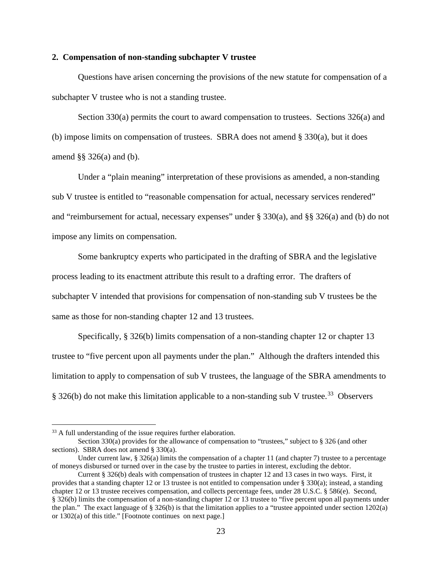#### **2. Compensation of non-standing subchapter V trustee**

Questions have arisen concerning the provisions of the new statute for compensation of a subchapter V trustee who is not a standing trustee.

Section 330(a) permits the court to award compensation to trustees. Sections 326(a) and (b) impose limits on compensation of trustees. SBRA does not amend  $\S$  330(a), but it does amend §§ 326(a) and (b).

Under a "plain meaning" interpretation of these provisions as amended, a non-standing sub V trustee is entitled to "reasonable compensation for actual, necessary services rendered" and "reimbursement for actual, necessary expenses" under § 330(a), and §§ 326(a) and (b) do not impose any limits on compensation.

Some bankruptcy experts who participated in the drafting of SBRA and the legislative process leading to its enactment attribute this result to a drafting error. The drafters of subchapter V intended that provisions for compensation of non-standing sub V trustees be the same as those for non-standing chapter 12 and 13 trustees.

Specifically, § 326(b) limits compensation of a non-standing chapter 12 or chapter 13 trustee to "five percent upon all payments under the plan." Although the drafters intended this limitation to apply to compensation of sub V trustees, the language of the SBRA amendments to § 326(b) do not make this limitation applicable to a non-standing sub V trustee.<sup>33</sup> Observers

<sup>&</sup>lt;sup>33</sup> A full understanding of the issue requires further elaboration.

Section 330(a) provides for the allowance of compensation to "trustees," subject to § 326 (and other sections). SBRA does not amend § 330(a).

Under current law,  $\S 326(a)$  limits the compensation of a chapter 11 (and chapter 7) trustee to a percentage of moneys disbursed or turned over in the case by the trustee to parties in interest, excluding the debtor.

Current § 326(b) deals with compensation of trustees in chapter 12 and 13 cases in two ways. First, it provides that a standing chapter 12 or 13 trustee is not entitled to compensation under  $\S$  330(a); instead, a standing chapter 12 or 13 trustee receives compensation, and collects percentage fees, under 28 U.S.C. § 586(e). Second, § 326(b) limits the compensation of a non-standing chapter 12 or 13 trustee to "five percent upon all payments under the plan." The exact language of  $\S 326(b)$  is that the limitation applies to a "trustee appointed under section 1202(a) or 1302(a) of this title." [Footnote continues on next page.]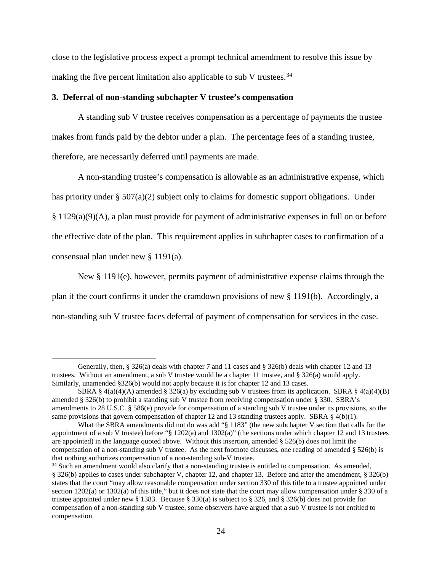close to the legislative process expect a prompt technical amendment to resolve this issue by making the five percent limitation also applicable to sub V trustees.<sup>34</sup>

#### **3. Deferral of non-standing subchapter V trustee's compensation**

A standing sub V trustee receives compensation as a percentage of payments the trustee makes from funds paid by the debtor under a plan. The percentage fees of a standing trustee, therefore, are necessarily deferred until payments are made.

A non-standing trustee's compensation is allowable as an administrative expense, which has priority under § 507(a)(2) subject only to claims for domestic support obligations. Under § 1129(a)(9)(A), a plan must provide for payment of administrative expenses in full on or before the effective date of the plan. This requirement applies in subchapter cases to confirmation of a consensual plan under new § 1191(a).

New § 1191(e), however, permits payment of administrative expense claims through the plan if the court confirms it under the cramdown provisions of new § 1191(b). Accordingly, a non-standing sub V trustee faces deferral of payment of compensation for services in the case.

Generally, then, § 326(a) deals with chapter 7 and 11 cases and § 326(b) deals with chapter 12 and 13 trustees. Without an amendment, a sub V trustee would be a chapter 11 trustee, and § 326(a) would apply. Similarly, unamended §326(b) would not apply because it is for chapter 12 and 13 cases.

SBRA §  $4(a)(4)(A)$  amended § 326(a) by excluding sub V trustees from its application. SBRA §  $4(a)(4)(B)$ amended § 326(b) to prohibit a standing sub V trustee from receiving compensation under § 330. SBRA's amendments to 28 U.S.C. § 586(e) provide for compensation of a standing sub V trustee under its provisions, so the same provisions that govern compensation of chapter 12 and 13 standing trustees apply. SBRA § 4(b)(1).

What the SBRA amendments did not do was add "§ 1183" (the new subchapter V section that calls for the appointment of a sub V trustee) before "§ 1202(a) and 1302(a)" (the sections under which chapter 12 and 13 trustees are appointed) in the language quoted above. Without this insertion, amended § 526(b) does not limit the compensation of a non-standing sub V trustee. As the next footnote discusses, one reading of amended § 526(b) is that nothing authorizes compensation of a non-standing sub-V trustee.<br><sup>34</sup> Such an amendment would also clarify that a non-standing trustee is entitled to compensation. As amended,

<sup>§</sup> 326(b) applies to cases under subchapter V, chapter 12, and chapter 13. Before and after the amendment, § 326(b) states that the court "may allow reasonable compensation under section 330 of this title to a trustee appointed under section 1202(a) or 1302(a) of this title," but it does not state that the court may allow compensation under § 330 of a trustee appointed under new § 1383. Because § 330(a) is subject to § 326, and § 326(b) does not provide for compensation of a non-standing sub V trustee, some observers have argued that a sub V trustee is not entitled to compensation.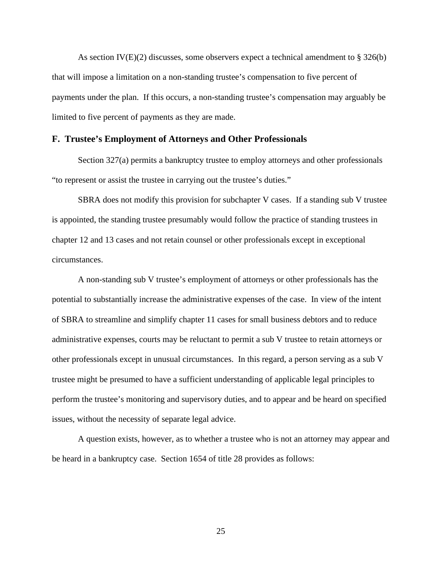As section IV(E)(2) discusses, some observers expect a technical amendment to  $\S 326(b)$ that will impose a limitation on a non-standing trustee's compensation to five percent of payments under the plan. If this occurs, a non-standing trustee's compensation may arguably be limited to five percent of payments as they are made.

#### **F. Trustee's Employment of Attorneys and Other Professionals**

Section 327(a) permits a bankruptcy trustee to employ attorneys and other professionals "to represent or assist the trustee in carrying out the trustee's duties."

SBRA does not modify this provision for subchapter V cases. If a standing sub V trustee is appointed, the standing trustee presumably would follow the practice of standing trustees in chapter 12 and 13 cases and not retain counsel or other professionals except in exceptional circumstances.

A non-standing sub V trustee's employment of attorneys or other professionals has the potential to substantially increase the administrative expenses of the case. In view of the intent of SBRA to streamline and simplify chapter 11 cases for small business debtors and to reduce administrative expenses, courts may be reluctant to permit a sub V trustee to retain attorneys or other professionals except in unusual circumstances. In this regard, a person serving as a sub V trustee might be presumed to have a sufficient understanding of applicable legal principles to perform the trustee's monitoring and supervisory duties, and to appear and be heard on specified issues, without the necessity of separate legal advice.

A question exists, however, as to whether a trustee who is not an attorney may appear and be heard in a bankruptcy case. Section 1654 of title 28 provides as follows: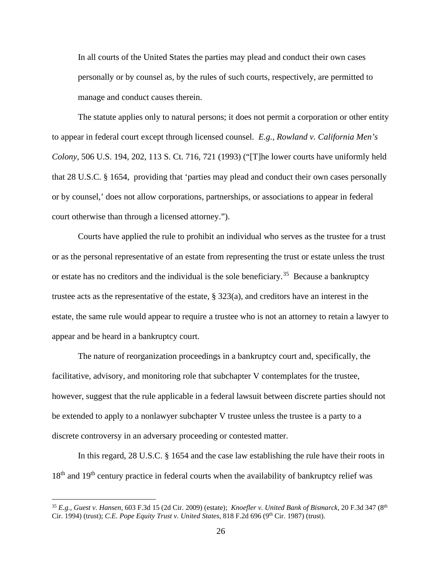In all courts of the United States the parties may plead and conduct their own cases personally or by counsel as, by the rules of such courts, respectively, are permitted to manage and conduct causes therein.

The statute applies only to natural persons; it does not permit a corporation or other entity to appear in federal court except through licensed counsel. *E.g., Rowland v. California Men's Colony,* 506 U.S. 194, 202, 113 S. Ct. 716, 721 (1993) ("[T]he lower courts have uniformly held that 28 U.S.C. § 1654, providing that 'parties may plead and conduct their own cases personally or by counsel,' does not allow corporations, partnerships, or associations to appear in federal court otherwise than through a licensed attorney.").

Courts have applied the rule to prohibit an individual who serves as the trustee for a trust or as the personal representative of an estate from representing the trust or estate unless the trust or estate has no creditors and the individual is the sole beneficiary.<sup>35</sup> Because a bankruptcy trustee acts as the representative of the estate, § 323(a), and creditors have an interest in the estate, the same rule would appear to require a trustee who is not an attorney to retain a lawyer to appear and be heard in a bankruptcy court.

The nature of reorganization proceedings in a bankruptcy court and, specifically, the facilitative, advisory, and monitoring role that subchapter V contemplates for the trustee, however, suggest that the rule applicable in a federal lawsuit between discrete parties should not be extended to apply to a nonlawyer subchapter V trustee unless the trustee is a party to a discrete controversy in an adversary proceeding or contested matter.

In this regard, 28 U.S.C. § 1654 and the case law establishing the rule have their roots in 18<sup>th</sup> and 19<sup>th</sup> century practice in federal courts when the availability of bankruptcy relief was

<sup>35</sup> *E.g., Guest v. Hansen,* 603 F.3d 15 (2d Cir. 2009) (estate); *Knoefler v. United Bank of Bismarck,* 20 F.3d 347 (8th Cir. 1994) (trust); *C.E. Pope Equity Trust v. United States*, 818 F.2d 696 (9<sup>th</sup> Cir. 1987) (trust).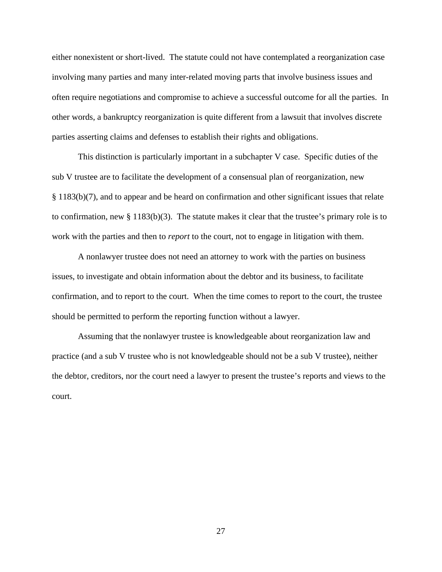either nonexistent or short-lived. The statute could not have contemplated a reorganization case involving many parties and many inter-related moving parts that involve business issues and often require negotiations and compromise to achieve a successful outcome for all the parties. In other words, a bankruptcy reorganization is quite different from a lawsuit that involves discrete parties asserting claims and defenses to establish their rights and obligations.

This distinction is particularly important in a subchapter V case. Specific duties of the sub V trustee are to facilitate the development of a consensual plan of reorganization, new § 1183(b)(7), and to appear and be heard on confirmation and other significant issues that relate to confirmation, new  $\S 1183(b)(3)$ . The statute makes it clear that the trustee's primary role is to work with the parties and then to *report* to the court, not to engage in litigation with them.

A nonlawyer trustee does not need an attorney to work with the parties on business issues, to investigate and obtain information about the debtor and its business, to facilitate confirmation, and to report to the court. When the time comes to report to the court, the trustee should be permitted to perform the reporting function without a lawyer.

Assuming that the nonlawyer trustee is knowledgeable about reorganization law and practice (and a sub V trustee who is not knowledgeable should not be a sub V trustee), neither the debtor, creditors, nor the court need a lawyer to present the trustee's reports and views to the court.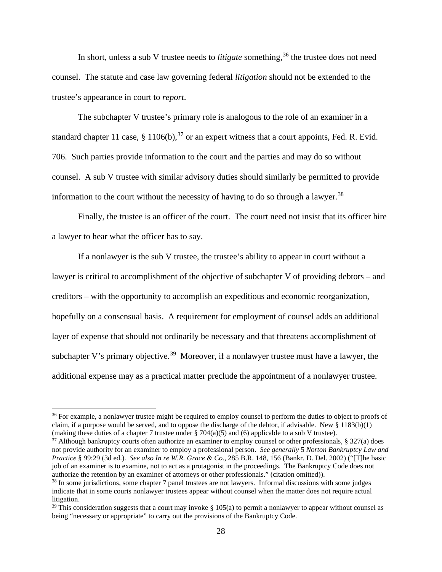In short, unless a sub V trustee needs to *litigate* something, <sup>36</sup> the trustee does not need counsel. The statute and case law governing federal *litigation* should not be extended to the trustee's appearance in court to *report*.

The subchapter V trustee's primary role is analogous to the role of an examiner in a standard chapter 11 case, § 1106(b),  $37$  or an expert witness that a court appoints, Fed. R. Evid. 706. Such parties provide information to the court and the parties and may do so without counsel. A sub V trustee with similar advisory duties should similarly be permitted to provide information to the court without the necessity of having to do so through a lawyer.<sup>38</sup>

Finally, the trustee is an officer of the court. The court need not insist that its officer hire a lawyer to hear what the officer has to say.

If a nonlawyer is the sub V trustee, the trustee's ability to appear in court without a lawyer is critical to accomplishment of the objective of subchapter V of providing debtors – and creditors – with the opportunity to accomplish an expeditious and economic reorganization, hopefully on a consensual basis. A requirement for employment of counsel adds an additional layer of expense that should not ordinarily be necessary and that threatens accomplishment of subchapter V's primary objective.<sup>39</sup> Moreover, if a nonlawyer trustee must have a lawyer, the additional expense may as a practical matter preclude the appointment of a nonlawyer trustee.

 $37$  Although bankruptcy courts often authorize an examiner to employ counsel or other professionals, § 327(a) does not provide authority for an examiner to employ a professional person. *See generally* 5 *Norton Bankruptcy Law and Practice* § 99:29 (3d ed.). *See also In re W.R. Grace & Co.,* 285 B.R. 148, 156 (Bankr. D. Del. 2002) ("[T]he basic job of an examiner is to examine, not to act as a protagonist in the proceedings. The Bankruptcy Code does not authorize the retention by an examiner of attorneys or other professionals." (citation omitted)).<br><sup>38</sup> In some jurisdictions, some chapter 7 panel trustees are not lawyers. Informal discussions with some judges

<sup>&</sup>lt;sup>36</sup> For example, a nonlawyer trustee might be required to employ counsel to perform the duties to object to proofs of claim, if a purpose would be served, and to oppose the discharge of the debtor, if advisable. New  $\S 1183(b)(1)$ (making these duties of a chapter 7 trustee under  $\S 704(a)(5)$  and (6) applicable to a sub V trustee).

indicate that in some courts nonlawyer trustees appear without counsel when the matter does not require actual litigation.

<sup>&</sup>lt;sup>39</sup> This consideration suggests that a court may invoke  $\S$  105(a) to permit a nonlawyer to appear without counsel as being "necessary or appropriate" to carry out the provisions of the Bankruptcy Code.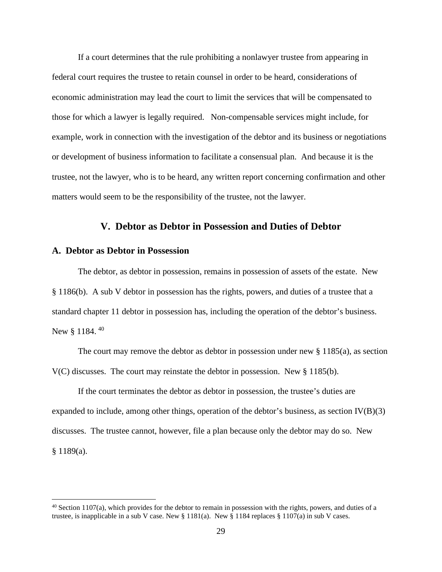If a court determines that the rule prohibiting a nonlawyer trustee from appearing in federal court requires the trustee to retain counsel in order to be heard, considerations of economic administration may lead the court to limit the services that will be compensated to those for which a lawyer is legally required. Non-compensable services might include, for example, work in connection with the investigation of the debtor and its business or negotiations or development of business information to facilitate a consensual plan. And because it is the trustee, not the lawyer, who is to be heard, any written report concerning confirmation and other matters would seem to be the responsibility of the trustee, not the lawyer.

#### **V. Debtor as Debtor in Possession and Duties of Debtor**

#### **A. Debtor as Debtor in Possession**

The debtor, as debtor in possession, remains in possession of assets of the estate. New § 1186(b). A sub V debtor in possession has the rights, powers, and duties of a trustee that a standard chapter 11 debtor in possession has, including the operation of the debtor's business. New § 1184.<sup>40</sup>

The court may remove the debtor as debtor in possession under new § 1185(a), as section V(C) discusses. The court may reinstate the debtor in possession. New § 1185(b).

If the court terminates the debtor as debtor in possession, the trustee's duties are expanded to include, among other things, operation of the debtor's business, as section IV(B)(3) discusses. The trustee cannot, however, file a plan because only the debtor may do so. New § 1189(a).

 $40$  Section 1107(a), which provides for the debtor to remain in possession with the rights, powers, and duties of a trustee, is inapplicable in a sub V case. New  $\S 1181(a)$ . New  $\S 1184$  replaces  $\S 1107(a)$  in sub V cases.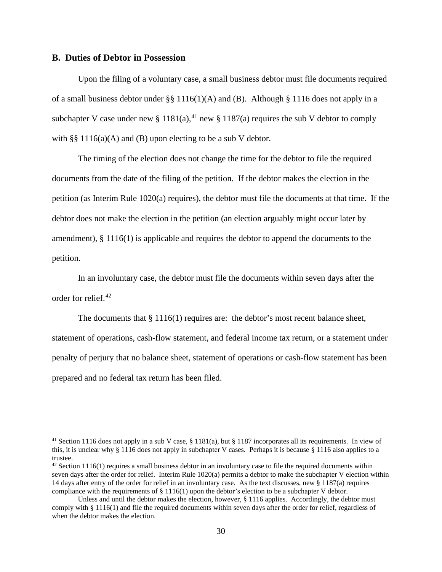#### **B. Duties of Debtor in Possession**

Upon the filing of a voluntary case, a small business debtor must file documents required of a small business debtor under §§ 1116(1)(A) and (B). Although § 1116 does not apply in a subchapter V case under new § 1181(a),<sup>41</sup> new § 1187(a) requires the sub V debtor to comply with §§ 1116(a)(A) and (B) upon electing to be a sub V debtor.

The timing of the election does not change the time for the debtor to file the required documents from the date of the filing of the petition. If the debtor makes the election in the petition (as Interim Rule 1020(a) requires), the debtor must file the documents at that time. If the debtor does not make the election in the petition (an election arguably might occur later by amendment), § 1116(1) is applicable and requires the debtor to append the documents to the petition.

In an involuntary case, the debtor must file the documents within seven days after the order for relief.42

The documents that  $\S 1116(1)$  requires are: the debtor's most recent balance sheet, statement of operations, cash-flow statement, and federal income tax return, or a statement under penalty of perjury that no balance sheet, statement of operations or cash-flow statement has been prepared and no federal tax return has been filed.

<sup>&</sup>lt;sup>41</sup> Section 1116 does not apply in a sub V case, § 1181(a), but § 1187 incorporates all its requirements. In view of this, it is unclear why § 1116 does not apply in subchapter V cases. Perhaps it is because § 1116 also applies to a trustee.

 $42$  Section 1116(1) requires a small business debtor in an involuntary case to file the required documents within seven days after the order for relief. Interim Rule 1020(a) permits a debtor to make the subchapter V election within 14 days after entry of the order for relief in an involuntary case. As the text discusses, new § 1187(a) requires compliance with the requirements of  $\S 1116(1)$  upon the debtor's election to be a subchapter V debtor.

Unless and until the debtor makes the election, however, § 1116 applies. Accordingly, the debtor must comply with § 1116(1) and file the required documents within seven days after the order for relief, regardless of when the debtor makes the election.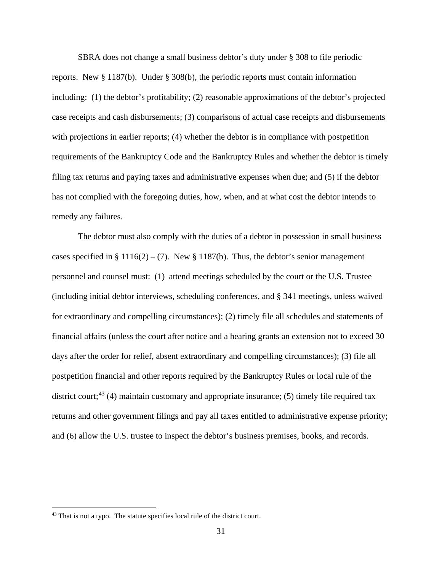SBRA does not change a small business debtor's duty under § 308 to file periodic

reports. New § 1187(b). Under § 308(b), the periodic reports must contain information including: (1) the debtor's profitability; (2) reasonable approximations of the debtor's projected case receipts and cash disbursements; (3) comparisons of actual case receipts and disbursements with projections in earlier reports; (4) whether the debtor is in compliance with postpetition requirements of the Bankruptcy Code and the Bankruptcy Rules and whether the debtor is timely filing tax returns and paying taxes and administrative expenses when due; and (5) if the debtor has not complied with the foregoing duties, how, when, and at what cost the debtor intends to remedy any failures.

The debtor must also comply with the duties of a debtor in possession in small business cases specified in § 1116(2) – (7). New § 1187(b). Thus, the debtor's senior management personnel and counsel must: (1) attend meetings scheduled by the court or the U.S. Trustee (including initial debtor interviews, scheduling conferences, and § 341 meetings, unless waived for extraordinary and compelling circumstances); (2) timely file all schedules and statements of financial affairs (unless the court after notice and a hearing grants an extension not to exceed 30 days after the order for relief, absent extraordinary and compelling circumstances); (3) file all postpetition financial and other reports required by the Bankruptcy Rules or local rule of the district court;<sup>43</sup> (4) maintain customary and appropriate insurance; (5) timely file required tax returns and other government filings and pay all taxes entitled to administrative expense priority; and (6) allow the U.S. trustee to inspect the debtor's business premises, books, and records.

<sup>&</sup>lt;sup>43</sup> That is not a typo. The statute specifies local rule of the district court.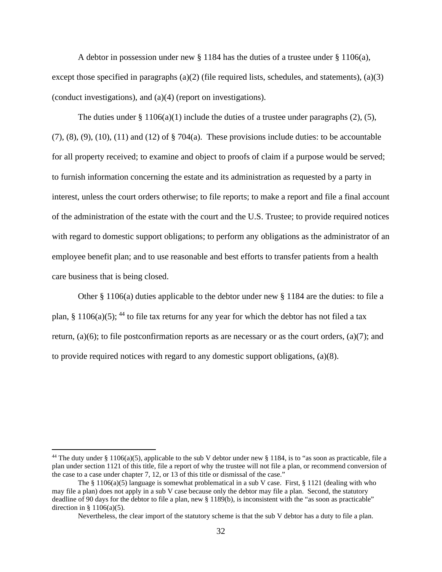A debtor in possession under new § 1184 has the duties of a trustee under § 1106(a), except those specified in paragraphs  $(a)(2)$  (file required lists, schedules, and statements),  $(a)(3)$ (conduct investigations), and (a)(4) (report on investigations).

The duties under § 1106(a)(1) include the duties of a trustee under paragraphs (2), (5),  $(7)$ ,  $(8)$ ,  $(9)$ ,  $(10)$ ,  $(11)$  and  $(12)$  of  $\S$  704 $(a)$ . These provisions include duties: to be accountable for all property received; to examine and object to proofs of claim if a purpose would be served; to furnish information concerning the estate and its administration as requested by a party in interest, unless the court orders otherwise; to file reports; to make a report and file a final account of the administration of the estate with the court and the U.S. Trustee; to provide required notices with regard to domestic support obligations; to perform any obligations as the administrator of an employee benefit plan; and to use reasonable and best efforts to transfer patients from a health care business that is being closed.

Other § 1106(a) duties applicable to the debtor under new § 1184 are the duties: to file a plan, § 1106(a)(5); <sup>44</sup> to file tax returns for any year for which the debtor has not filed a tax return, (a)(6); to file postconfirmation reports as are necessary or as the court orders, (a)(7); and to provide required notices with regard to any domestic support obligations,  $(a)(8)$ .

<sup>&</sup>lt;sup>44</sup> The duty under § 1106(a)(5), applicable to the sub V debtor under new § 1184, is to "as soon as practicable, file a plan under section 1121 of this title, file a report of why the trustee will not file a plan, or recommend conversion of the case to a case under chapter 7, 12, or 13 of this title or dismissal of the case."

The  $\S$  1106(a)(5) language is somewhat problematical in a sub V case. First,  $\S$  1121 (dealing with who may file a plan) does not apply in a sub V case because only the debtor may file a plan. Second, the statutory deadline of 90 days for the debtor to file a plan, new § 1189(b), is inconsistent with the "as soon as practicable" direction in §  $1106(a)(5)$ .

Nevertheless, the clear import of the statutory scheme is that the sub V debtor has a duty to file a plan.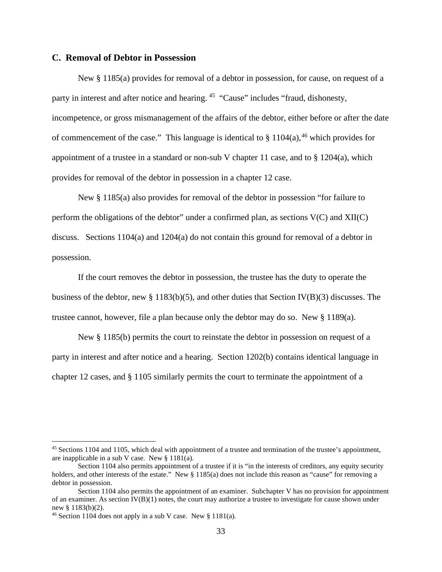#### **C. Removal of Debtor in Possession**

New § 1185(a) provides for removal of a debtor in possession, for cause, on request of a party in interest and after notice and hearing. 45 "Cause" includes "fraud, dishonesty, incompetence, or gross mismanagement of the affairs of the debtor, either before or after the date of commencement of the case." This language is identical to  $\S 1104(a)$ , <sup>46</sup> which provides for appointment of a trustee in a standard or non-sub V chapter 11 case, and to  $\S$  1204(a), which provides for removal of the debtor in possession in a chapter 12 case.

New § 1185(a) also provides for removal of the debtor in possession "for failure to perform the obligations of the debtor" under a confirmed plan, as sections  $V(C)$  and  $XII(C)$ discuss. Sections 1104(a) and 1204(a) do not contain this ground for removal of a debtor in possession.

If the court removes the debtor in possession, the trustee has the duty to operate the business of the debtor, new § 1183(b)(5), and other duties that Section IV(B)(3) discusses. The trustee cannot, however, file a plan because only the debtor may do so. New § 1189(a).

New § 1185(b) permits the court to reinstate the debtor in possession on request of a party in interest and after notice and a hearing. Section 1202(b) contains identical language in chapter 12 cases, and § 1105 similarly permits the court to terminate the appointment of a

<sup>&</sup>lt;sup>45</sup> Sections 1104 and 1105, which deal with appointment of a trustee and termination of the trustee's appointment, are inapplicable in a sub V case. New § 1181(a).

Section 1104 also permits appointment of a trustee if it is "in the interests of creditors, any equity security holders, and other interests of the estate." New § 1185(a) does not include this reason as "cause" for removing a debtor in possession.

Section 1104 also permits the appointment of an examiner. Subchapter V has no provision for appointment of an examiner. As section  $IV(B)(1)$  notes, the court may authorize a trustee to investigate for cause shown under new § 1183(b)(2).<br><sup>46</sup> Section 1104 does not apply in a sub V case. New § 1181(a).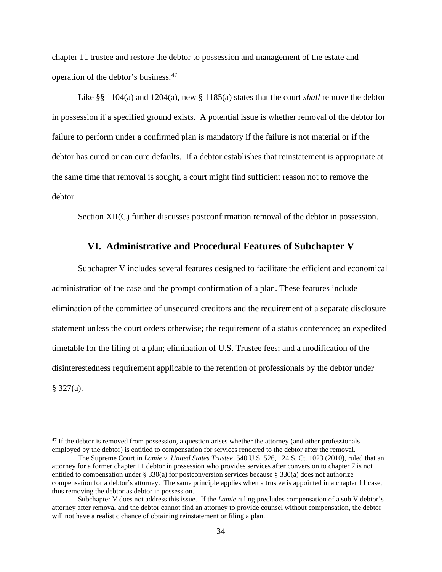chapter 11 trustee and restore the debtor to possession and management of the estate and operation of the debtor's business.47

Like §§ 1104(a) and 1204(a), new § 1185(a) states that the court *shall* remove the debtor in possession if a specified ground exists. A potential issue is whether removal of the debtor for failure to perform under a confirmed plan is mandatory if the failure is not material or if the debtor has cured or can cure defaults. If a debtor establishes that reinstatement is appropriate at the same time that removal is sought, a court might find sufficient reason not to remove the debtor.

Section XII(C) further discusses postconfirmation removal of the debtor in possession.

### **VI. Administrative and Procedural Features of Subchapter V**

Subchapter V includes several features designed to facilitate the efficient and economical administration of the case and the prompt confirmation of a plan. These features include elimination of the committee of unsecured creditors and the requirement of a separate disclosure statement unless the court orders otherwise; the requirement of a status conference; an expedited timetable for the filing of a plan; elimination of U.S. Trustee fees; and a modification of the disinterestedness requirement applicable to the retention of professionals by the debtor under  $§$  327(a).

<sup>&</sup>lt;sup>47</sup> If the debtor is removed from possession, a question arises whether the attorney (and other professionals employed by the debtor) is entitled to compensation for services rendered to the debtor after the removal.

The Supreme Court in *Lamie v. United States Trustee,* 540 U.S. 526, 124 S. Ct. 1023 (2010), ruled that an attorney for a former chapter 11 debtor in possession who provides services after conversion to chapter 7 is not entitled to compensation under § 330(a) for postconversion services because § 330(a) does not authorize compensation for a debtor's attorney. The same principle applies when a trustee is appointed in a chapter 11 case, thus removing the debtor as debtor in possession.

Subchapter V does not address this issue. If the *Lamie* ruling precludes compensation of a sub V debtor's attorney after removal and the debtor cannot find an attorney to provide counsel without compensation, the debtor will not have a realistic chance of obtaining reinstatement or filing a plan.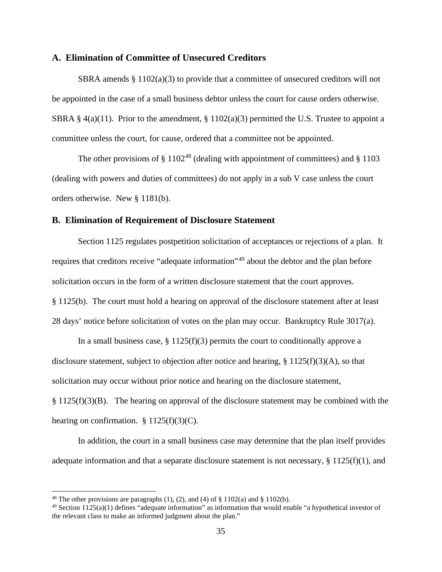### **A. Elimination of Committee of Unsecured Creditors**

SBRA amends  $\S 1102(a)(3)$  to provide that a committee of unsecured creditors will not be appointed in the case of a small business debtor unless the court for cause orders otherwise. SBRA § 4(a)(11). Prior to the amendment, §  $1102(a)(3)$  permitted the U.S. Trustee to appoint a committee unless the court, for cause, ordered that a committee not be appointed.

The other provisions of  $\S 1102^{48}$  (dealing with appointment of committees) and  $\S 1103$ (dealing with powers and duties of committees) do not apply in a sub V case unless the court orders otherwise. New § 1181(b).

### **B. Elimination of Requirement of Disclosure Statement**

Section 1125 regulates postpetition solicitation of acceptances or rejections of a plan. It requires that creditors receive "adequate information"<sup>49</sup> about the debtor and the plan before solicitation occurs in the form of a written disclosure statement that the court approves. § 1125(b). The court must hold a hearing on approval of the disclosure statement after at least 28 days' notice before solicitation of votes on the plan may occur. Bankruptcy Rule 3017(a).

In a small business case,  $\S 1125(f)(3)$  permits the court to conditionally approve a disclosure statement, subject to objection after notice and hearing, § 1125(f)(3)(A), so that solicitation may occur without prior notice and hearing on the disclosure statement,  $§ 1125(f)(3)(B)$ . The hearing on approval of the disclosure statement may be combined with the hearing on confirmation.  $§ 1125(f)(3)(C)$ .

In addition, the court in a small business case may determine that the plan itself provides adequate information and that a separate disclosure statement is not necessary, § 1125(f)(1), and

<sup>&</sup>lt;sup>48</sup> The other provisions are paragraphs (1), (2), and (4) of  $\S$  1102(a) and  $\S$  1102(b).

 $49$  Section 1125(a)(1) defines "adequate information" as information that would enable "a hypothetical investor of the relevant class to make an informed judgment about the plan."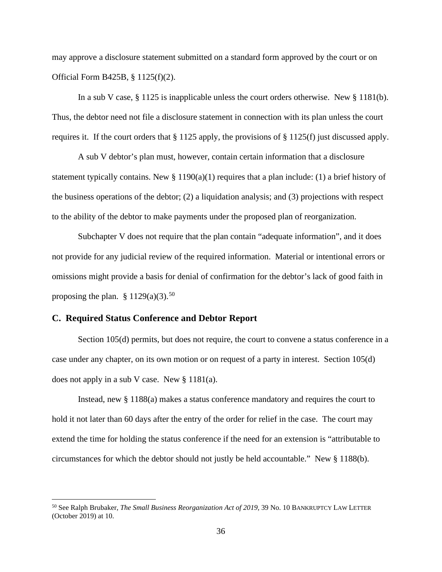may approve a disclosure statement submitted on a standard form approved by the court or on Official Form B425B, § 1125(f)(2).

In a sub V case,  $\S 1125$  is inapplicable unless the court orders otherwise. New  $\S 1181(b)$ . Thus, the debtor need not file a disclosure statement in connection with its plan unless the court requires it. If the court orders that § 1125 apply, the provisions of § 1125(f) just discussed apply.

A sub V debtor's plan must, however, contain certain information that a disclosure statement typically contains. New  $\S 1190(a)(1)$  requires that a plan include: (1) a brief history of the business operations of the debtor; (2) a liquidation analysis; and (3) projections with respect to the ability of the debtor to make payments under the proposed plan of reorganization.

Subchapter V does not require that the plan contain "adequate information", and it does not provide for any judicial review of the required information. Material or intentional errors or omissions might provide a basis for denial of confirmation for the debtor's lack of good faith in proposing the plan.  $§ 1129(a)(3).^{50}$ 

# **C. Required Status Conference and Debtor Report**

Section 105(d) permits, but does not require, the court to convene a status conference in a case under any chapter, on its own motion or on request of a party in interest. Section 105(d) does not apply in a sub V case. New § 1181(a).

Instead, new § 1188(a) makes a status conference mandatory and requires the court to hold it not later than 60 days after the entry of the order for relief in the case. The court may extend the time for holding the status conference if the need for an extension is "attributable to circumstances for which the debtor should not justly be held accountable." New § 1188(b).

<sup>50</sup> See Ralph Brubaker, *The Small Business Reorganization Act of 2019,* 39 No. 10 BANKRUPTCY LAW LETTER (October 2019) at 10.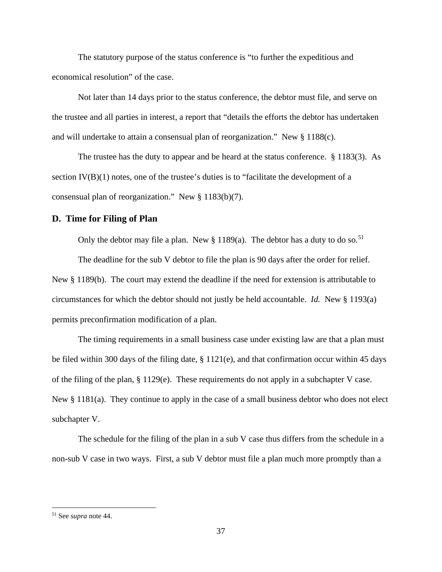The statutory purpose of the status conference is "to further the expeditious and economical resolution" of the case.

Not later than 14 days prior to the status conference, the debtor must file, and serve on the trustee and all parties in interest, a report that "details the efforts the debtor has undertaken and will undertake to attain a consensual plan of reorganization." New § 1188(c).

The trustee has the duty to appear and be heard at the status conference. § 1183(3). As section IV(B)(1) notes, one of the trustee's duties is to "facilitate the development of a consensual plan of reorganization." New § 1183(b)(7).

### **D. Time for Filing of Plan**

Only the debtor may file a plan. New  $\S 1189(a)$ . The debtor has a duty to do so.<sup>51</sup>

The deadline for the sub V debtor to file the plan is 90 days after the order for relief. New § 1189(b). The court may extend the deadline if the need for extension is attributable to circumstances for which the debtor should not justly be held accountable. *Id.* New § 1193(a) permits preconfirmation modification of a plan.

The timing requirements in a small business case under existing law are that a plan must be filed within 300 days of the filing date,  $\S 1121(e)$ , and that confirmation occur within 45 days of the filing of the plan, § 1129(e). These requirements do not apply in a subchapter V case. New § 1181(a). They continue to apply in the case of a small business debtor who does not elect subchapter V.

The schedule for the filing of the plan in a sub V case thus differs from the schedule in a non-sub V case in two ways. First, a sub V debtor must file a plan much more promptly than a

<sup>51</sup> See *supra* note 44.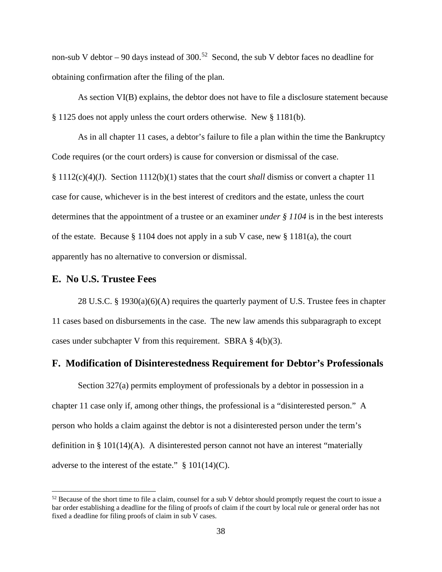non-sub V debtor – 90 days instead of 300.<sup>52</sup> Second, the sub V debtor faces no deadline for obtaining confirmation after the filing of the plan.

As section VI(B) explains, the debtor does not have to file a disclosure statement because § 1125 does not apply unless the court orders otherwise. New § 1181(b).

As in all chapter 11 cases, a debtor's failure to file a plan within the time the Bankruptcy Code requires (or the court orders) is cause for conversion or dismissal of the case.

§ 1112(c)(4)(J). Section 1112(b)(1) states that the court *shall* dismiss or convert a chapter 11 case for cause, whichever is in the best interest of creditors and the estate, unless the court determines that the appointment of a trustee or an examiner *under § 1104* is in the best interests of the estate. Because § 1104 does not apply in a sub V case, new § 1181(a), the court apparently has no alternative to conversion or dismissal.

# **E. No U.S. Trustee Fees**

28 U.S.C. § 1930(a)(6)(A) requires the quarterly payment of U.S. Trustee fees in chapter 11 cases based on disbursements in the case. The new law amends this subparagraph to except cases under subchapter V from this requirement. SBRA § 4(b)(3).

# **F. Modification of Disinterestedness Requirement for Debtor's Professionals**

Section 327(a) permits employment of professionals by a debtor in possession in a chapter 11 case only if, among other things, the professional is a "disinterested person." A person who holds a claim against the debtor is not a disinterested person under the term's definition in § 101(14)(A). A disinterested person cannot not have an interest "materially adverse to the interest of the estate."  $\S 101(14)(C)$ .

 $52$  Because of the short time to file a claim, counsel for a sub V debtor should promptly request the court to issue a bar order establishing a deadline for the filing of proofs of claim if the court by local rule or general order has not fixed a deadline for filing proofs of claim in sub V cases.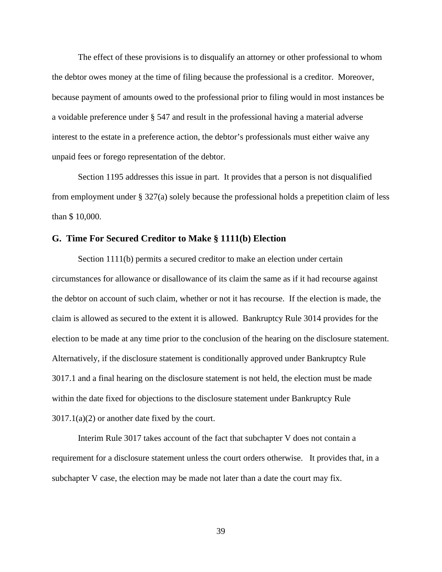The effect of these provisions is to disqualify an attorney or other professional to whom the debtor owes money at the time of filing because the professional is a creditor. Moreover, because payment of amounts owed to the professional prior to filing would in most instances be a voidable preference under § 547 and result in the professional having a material adverse interest to the estate in a preference action, the debtor's professionals must either waive any unpaid fees or forego representation of the debtor.

Section 1195 addresses this issue in part. It provides that a person is not disqualified from employment under  $\S 327(a)$  solely because the professional holds a prepetition claim of less than \$ 10,000.

### **G. Time For Secured Creditor to Make § 1111(b) Election**

Section 1111(b) permits a secured creditor to make an election under certain circumstances for allowance or disallowance of its claim the same as if it had recourse against the debtor on account of such claim, whether or not it has recourse. If the election is made, the claim is allowed as secured to the extent it is allowed. Bankruptcy Rule 3014 provides for the election to be made at any time prior to the conclusion of the hearing on the disclosure statement. Alternatively, if the disclosure statement is conditionally approved under Bankruptcy Rule 3017.1 and a final hearing on the disclosure statement is not held, the election must be made within the date fixed for objections to the disclosure statement under Bankruptcy Rule  $3017.1(a)(2)$  or another date fixed by the court.

Interim Rule 3017 takes account of the fact that subchapter V does not contain a requirement for a disclosure statement unless the court orders otherwise. It provides that, in a subchapter V case, the election may be made not later than a date the court may fix.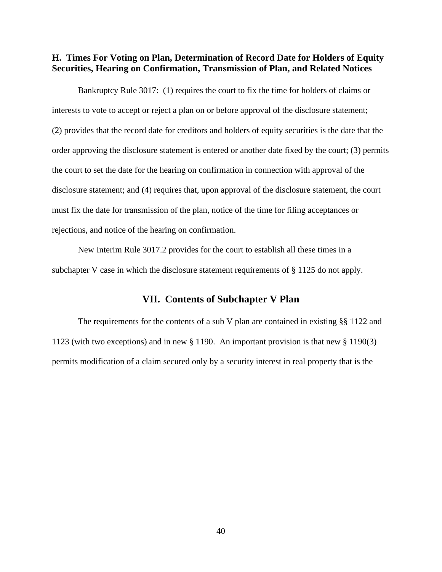# **H. Times For Voting on Plan, Determination of Record Date for Holders of Equity Securities, Hearing on Confirmation, Transmission of Plan, and Related Notices**

Bankruptcy Rule 3017: (1) requires the court to fix the time for holders of claims or interests to vote to accept or reject a plan on or before approval of the disclosure statement; (2) provides that the record date for creditors and holders of equity securities is the date that the order approving the disclosure statement is entered or another date fixed by the court; (3) permits the court to set the date for the hearing on confirmation in connection with approval of the disclosure statement; and (4) requires that, upon approval of the disclosure statement, the court must fix the date for transmission of the plan, notice of the time for filing acceptances or rejections, and notice of the hearing on confirmation.

New Interim Rule 3017.2 provides for the court to establish all these times in a subchapter V case in which the disclosure statement requirements of § 1125 do not apply.

# **VII. Contents of Subchapter V Plan**

The requirements for the contents of a sub V plan are contained in existing §§ 1122 and 1123 (with two exceptions) and in new § 1190. An important provision is that new § 1190(3) permits modification of a claim secured only by a security interest in real property that is the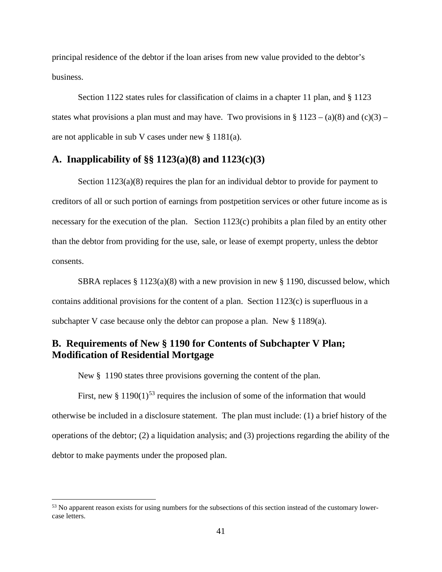principal residence of the debtor if the loan arises from new value provided to the debtor's business.

Section 1122 states rules for classification of claims in a chapter 11 plan, and § 1123 states what provisions a plan must and may have. Two provisions in § 1123 – (a)(8) and (c)(3) – are not applicable in sub V cases under new § 1181(a).

# **A. Inapplicability of §§ 1123(a)(8) and 1123(c)(3)**

Section 1123(a)(8) requires the plan for an individual debtor to provide for payment to creditors of all or such portion of earnings from postpetition services or other future income as is necessary for the execution of the plan. Section 1123(c) prohibits a plan filed by an entity other than the debtor from providing for the use, sale, or lease of exempt property, unless the debtor consents.

SBRA replaces  $\S 1123(a)(8)$  with a new provision in new  $\S 1190$ , discussed below, which contains additional provisions for the content of a plan. Section 1123(c) is superfluous in a subchapter V case because only the debtor can propose a plan. New § 1189(a).

# **B. Requirements of New § 1190 for Contents of Subchapter V Plan; Modification of Residential Mortgage**

New  $\S$  1190 states three provisions governing the content of the plan.

First, new  $\S 1190(1)^{53}$  requires the inclusion of some of the information that would otherwise be included in a disclosure statement. The plan must include: (1) a brief history of the operations of the debtor; (2) a liquidation analysis; and (3) projections regarding the ability of the debtor to make payments under the proposed plan.

<sup>&</sup>lt;sup>53</sup> No apparent reason exists for using numbers for the subsections of this section instead of the customary lowercase letters.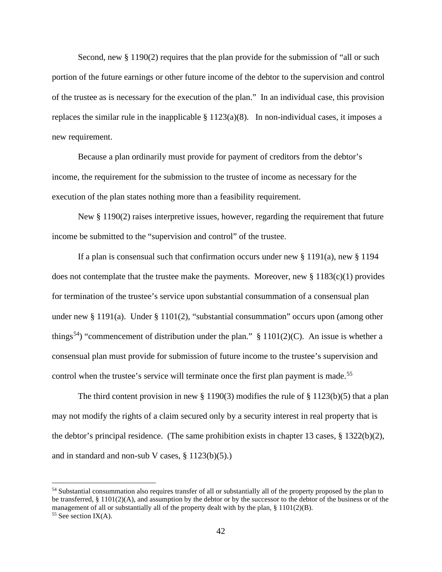Second, new § 1190(2) requires that the plan provide for the submission of "all or such portion of the future earnings or other future income of the debtor to the supervision and control of the trustee as is necessary for the execution of the plan." In an individual case, this provision replaces the similar rule in the inapplicable  $\S 1123(a)(8)$ . In non-individual cases, it imposes a new requirement.

Because a plan ordinarily must provide for payment of creditors from the debtor's income, the requirement for the submission to the trustee of income as necessary for the execution of the plan states nothing more than a feasibility requirement.

New § 1190(2) raises interpretive issues, however, regarding the requirement that future income be submitted to the "supervision and control" of the trustee.

If a plan is consensual such that confirmation occurs under new  $\S 1191(a)$ , new  $\S 1194$ does not contemplate that the trustee make the payments. Moreover, new  $\S 1183(c)(1)$  provides for termination of the trustee's service upon substantial consummation of a consensual plan under new § 1191(a). Under § 1101(2), "substantial consummation" occurs upon (among other things<sup>54</sup>) "commencement of distribution under the plan." § 1101(2)(C). An issue is whether a consensual plan must provide for submission of future income to the trustee's supervision and control when the trustee's service will terminate once the first plan payment is made.<sup>55</sup>

The third content provision in new § 1190(3) modifies the rule of § 1123(b)(5) that a plan may not modify the rights of a claim secured only by a security interest in real property that is the debtor's principal residence. (The same prohibition exists in chapter 13 cases, § 1322(b)(2), and in standard and non-sub V cases,  $\S 1123(b)(5)$ .

<sup>54</sup> Substantial consummation also requires transfer of all or substantially all of the property proposed by the plan to be transferred, § 1101(2)(A), and assumption by the debtor or by the successor to the debtor of the business or of the management of all or substantially all of the property dealt with by the plan,  $\S 1101(2)(B)$ .

<sup>&</sup>lt;sup>55</sup> See section IX(A).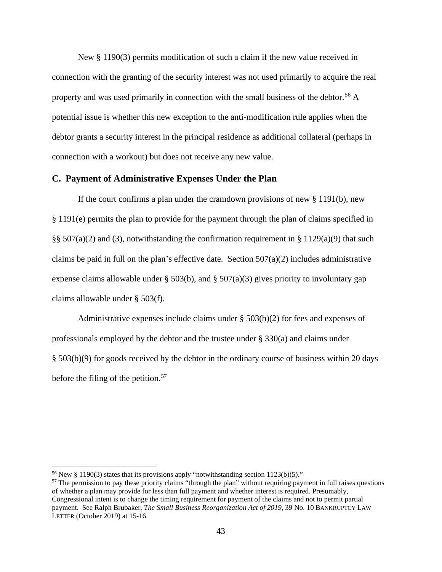New § 1190(3) permits modification of such a claim if the new value received in connection with the granting of the security interest was not used primarily to acquire the real property and was used primarily in connection with the small business of the debtor.<sup>56</sup> A potential issue is whether this new exception to the anti-modification rule applies when the debtor grants a security interest in the principal residence as additional collateral (perhaps in connection with a workout) but does not receive any new value.

### **C. Payment of Administrative Expenses Under the Plan**

If the court confirms a plan under the cramdown provisions of new  $\S 1191(b)$ , new § 1191(e) permits the plan to provide for the payment through the plan of claims specified in §§ 507(a)(2) and (3), notwithstanding the confirmation requirement in § 1129(a)(9) that such claims be paid in full on the plan's effective date. Section  $507(a)(2)$  includes administrative expense claims allowable under § 503(b), and § 507(a)(3) gives priority to involuntary gap claims allowable under § 503(f).

Administrative expenses include claims under  $\S 503(b)(2)$  for fees and expenses of professionals employed by the debtor and the trustee under  $\S 330(a)$  and claims under § 503(b)(9) for goods received by the debtor in the ordinary course of business within 20 days before the filing of the petition.<sup>57</sup>

<sup>&</sup>lt;sup>56</sup> New § 1190(3) states that its provisions apply "notwithstanding section  $1123(b)(5)$ ."

 $57$  The permission to pay these priority claims "through the plan" without requiring payment in full raises questions of whether a plan may provide for less than full payment and whether interest is required. Presumably, Congressional intent is to change the timing requirement for payment of the claims and not to permit partial payment. See Ralph Brubaker, *The Small Business Reorganization Act of 2019,* 39 No. 10 BANKRUPTCY LAW LETTER (October 2019) at 15-16.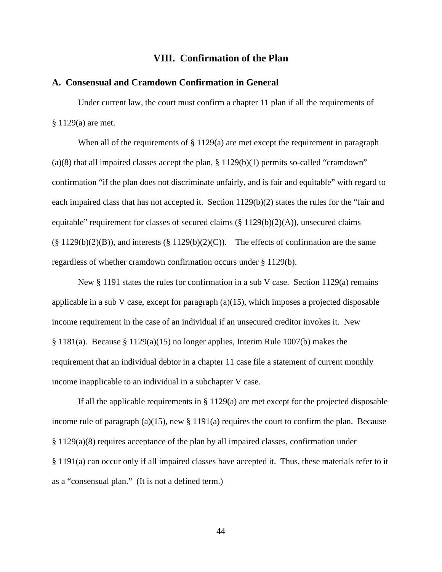## **VIII. Confirmation of the Plan**

#### **A. Consensual and Cramdown Confirmation in General**

Under current law, the court must confirm a chapter 11 plan if all the requirements of § 1129(a) are met.

When all of the requirements of § 1129(a) are met except the requirement in paragraph (a)(8) that all impaired classes accept the plan,  $\S 1129(b)(1)$  permits so-called "cramdown" confirmation "if the plan does not discriminate unfairly, and is fair and equitable" with regard to each impaired class that has not accepted it. Section 1129(b)(2) states the rules for the "fair and equitable" requirement for classes of secured claims  $(\S 1129(b)(2)(A))$ , unsecured claims  $(\S 1129(b)(2)(B))$ , and interests  $(\S 1129(b)(2)(C))$ . The effects of confirmation are the same regardless of whether cramdown confirmation occurs under § 1129(b).

New § 1191 states the rules for confirmation in a sub V case. Section 1129(a) remains applicable in a sub V case, except for paragraph  $(a)(15)$ , which imposes a projected disposable income requirement in the case of an individual if an unsecured creditor invokes it. New § 1181(a). Because § 1129(a)(15) no longer applies, Interim Rule 1007(b) makes the requirement that an individual debtor in a chapter 11 case file a statement of current monthly income inapplicable to an individual in a subchapter V case.

If all the applicable requirements in  $\S 1129(a)$  are met except for the projected disposable income rule of paragraph (a)(15), new  $\S$  1191(a) requires the court to confirm the plan. Because § 1129(a)(8) requires acceptance of the plan by all impaired classes, confirmation under § 1191(a) can occur only if all impaired classes have accepted it. Thus, these materials refer to it as a "consensual plan." (It is not a defined term.)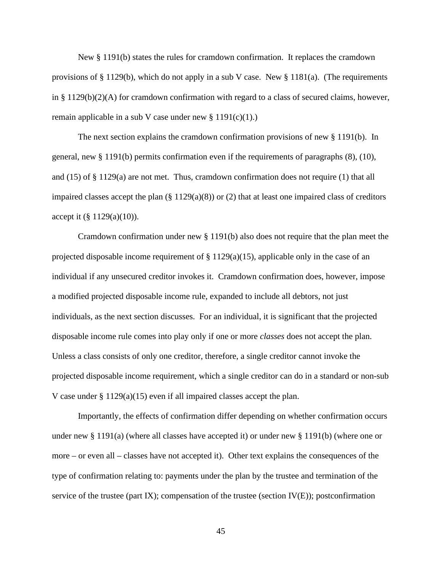New § 1191(b) states the rules for cramdown confirmation. It replaces the cramdown provisions of § 1129(b), which do not apply in a sub V case. New § 1181(a). (The requirements in §  $1129(b)(2)(A)$  for cramdown confirmation with regard to a class of secured claims, however, remain applicable in a sub V case under new  $\S 1191(c)(1)$ .

The next section explains the cramdown confirmation provisions of new § 1191(b). In general, new § 1191(b) permits confirmation even if the requirements of paragraphs (8), (10), and  $(15)$  of § 1129(a) are not met. Thus, cramdown confirmation does not require (1) that all impaired classes accept the plan  $(\S 1129(a)(8))$  or  $(2)$  that at least one impaired class of creditors accept it  $(\S 1129(a)(10))$ .

Cramdown confirmation under new § 1191(b) also does not require that the plan meet the projected disposable income requirement of § 1129(a)(15), applicable only in the case of an individual if any unsecured creditor invokes it. Cramdown confirmation does, however, impose a modified projected disposable income rule, expanded to include all debtors, not just individuals, as the next section discusses. For an individual, it is significant that the projected disposable income rule comes into play only if one or more *classes* does not accept the plan. Unless a class consists of only one creditor, therefore, a single creditor cannot invoke the projected disposable income requirement, which a single creditor can do in a standard or non-sub V case under § 1129(a)(15) even if all impaired classes accept the plan.

Importantly, the effects of confirmation differ depending on whether confirmation occurs under new § 1191(a) (where all classes have accepted it) or under new § 1191(b) (where one or more – or even all – classes have not accepted it). Other text explains the consequences of the type of confirmation relating to: payments under the plan by the trustee and termination of the service of the trustee (part IX); compensation of the trustee (section  $IV(E)$ ); postconfirmation

45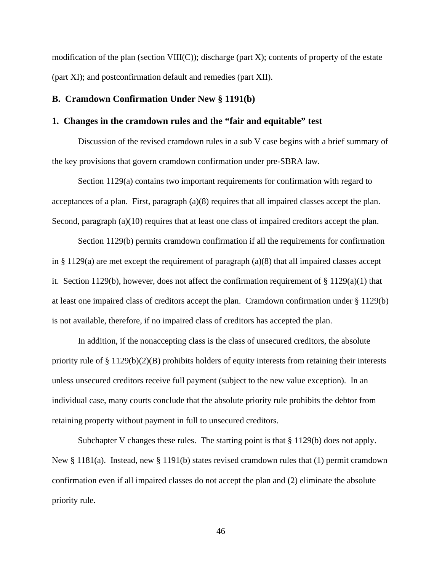modification of the plan (section VIII(C)); discharge (part X); contents of property of the estate (part XI); and postconfirmation default and remedies (part XII).

#### **B. Cramdown Confirmation Under New § 1191(b)**

#### **1. Changes in the cramdown rules and the "fair and equitable" test**

Discussion of the revised cramdown rules in a sub V case begins with a brief summary of the key provisions that govern cramdown confirmation under pre-SBRA law.

Section 1129(a) contains two important requirements for confirmation with regard to acceptances of a plan. First, paragraph  $(a)(8)$  requires that all impaired classes accept the plan. Second, paragraph (a)(10) requires that at least one class of impaired creditors accept the plan.

Section 1129(b) permits cramdown confirmation if all the requirements for confirmation in § 1129(a) are met except the requirement of paragraph  $(a)(8)$  that all impaired classes accept it. Section 1129(b), however, does not affect the confirmation requirement of § 1129(a)(1) that at least one impaired class of creditors accept the plan. Cramdown confirmation under § 1129(b) is not available, therefore, if no impaired class of creditors has accepted the plan.

In addition, if the nonaccepting class is the class of unsecured creditors, the absolute priority rule of  $\S 1129(b)(2)(B)$  prohibits holders of equity interests from retaining their interests unless unsecured creditors receive full payment (subject to the new value exception). In an individual case, many courts conclude that the absolute priority rule prohibits the debtor from retaining property without payment in full to unsecured creditors.

Subchapter V changes these rules. The starting point is that § 1129(b) does not apply. New § 1181(a). Instead, new § 1191(b) states revised cramdown rules that (1) permit cramdown confirmation even if all impaired classes do not accept the plan and (2) eliminate the absolute priority rule.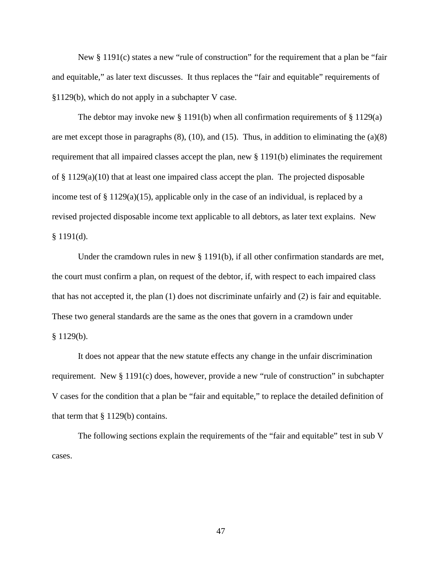New § 1191(c) states a new "rule of construction" for the requirement that a plan be "fair and equitable," as later text discusses. It thus replaces the "fair and equitable" requirements of §1129(b), which do not apply in a subchapter V case.

The debtor may invoke new  $\S 1191(b)$  when all confirmation requirements of  $\S 1129(a)$ are met except those in paragraphs  $(8)$ ,  $(10)$ , and  $(15)$ . Thus, in addition to eliminating the  $(a)(8)$ requirement that all impaired classes accept the plan, new § 1191(b) eliminates the requirement of  $\S 1129(a)(10)$  that at least one impaired class accept the plan. The projected disposable income test of  $\S 1129(a)(15)$ , applicable only in the case of an individual, is replaced by a revised projected disposable income text applicable to all debtors, as later text explains. New  $§ 1191(d).$ 

Under the cramdown rules in new § 1191(b), if all other confirmation standards are met, the court must confirm a plan, on request of the debtor, if, with respect to each impaired class that has not accepted it, the plan (1) does not discriminate unfairly and (2) is fair and equitable. These two general standards are the same as the ones that govern in a cramdown under § 1129(b).

It does not appear that the new statute effects any change in the unfair discrimination requirement. New § 1191(c) does, however, provide a new "rule of construction" in subchapter V cases for the condition that a plan be "fair and equitable," to replace the detailed definition of that term that § 1129(b) contains.

The following sections explain the requirements of the "fair and equitable" test in sub V cases.

47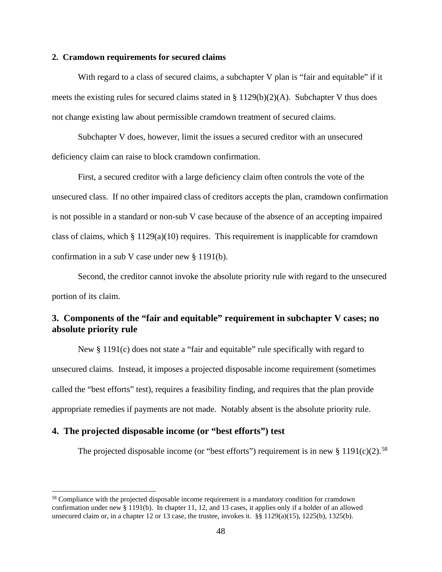#### **2. Cramdown requirements for secured claims**

With regard to a class of secured claims, a subchapter V plan is "fair and equitable" if it meets the existing rules for secured claims stated in  $\S 1129(b)(2)(A)$ . Subchapter V thus does not change existing law about permissible cramdown treatment of secured claims.

Subchapter V does, however, limit the issues a secured creditor with an unsecured deficiency claim can raise to block cramdown confirmation.

First, a secured creditor with a large deficiency claim often controls the vote of the unsecured class. If no other impaired class of creditors accepts the plan, cramdown confirmation is not possible in a standard or non-sub V case because of the absence of an accepting impaired class of claims, which  $\S 1129(a)(10)$  requires. This requirement is inapplicable for cramdown confirmation in a sub V case under new § 1191(b).

Second, the creditor cannot invoke the absolute priority rule with regard to the unsecured portion of its claim.

# **3. Components of the "fair and equitable" requirement in subchapter V cases; no absolute priority rule**

New § 1191(c) does not state a "fair and equitable" rule specifically with regard to unsecured claims. Instead, it imposes a projected disposable income requirement (sometimes called the "best efforts" test), requires a feasibility finding, and requires that the plan provide appropriate remedies if payments are not made. Notably absent is the absolute priority rule.

### **4. The projected disposable income (or "best efforts") test**

The projected disposable income (or "best efforts") requirement is in new  $\S 1191(c)(2)$ .<sup>58</sup>

<sup>58</sup> Compliance with the projected disposable income requirement is a mandatory condition for cramdown confirmation under new § 1191(b). In chapter 11, 12, and 13 cases, it applies only if a holder of an allowed unsecured claim or, in a chapter 12 or 13 case, the trustee, invokes it.  $\frac{12}{9}$  1129(a)(15), 1225(b), 1325(b).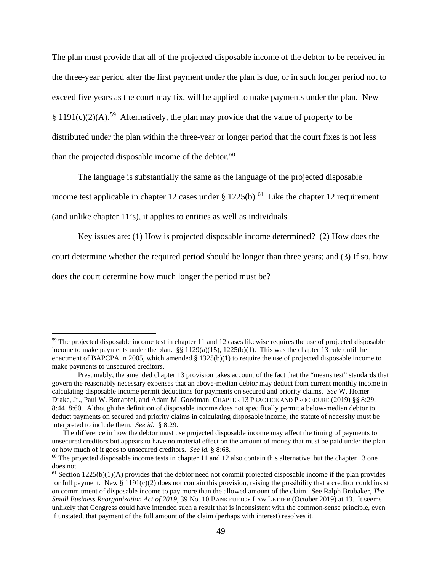The plan must provide that all of the projected disposable income of the debtor to be received in the three-year period after the first payment under the plan is due, or in such longer period not to exceed five years as the court may fix, will be applied to make payments under the plan. New § 1191(c)(2)(A).<sup>59</sup> Alternatively, the plan may provide that the value of property to be distributed under the plan within the three-year or longer period that the court fixes is not less than the projected disposable income of the debtor. $60$ 

The language is substantially the same as the language of the projected disposable

income test applicable in chapter 12 cases under  $\S 1225(b)$ .<sup>61</sup> Like the chapter 12 requirement

(and unlike chapter 11's), it applies to entities as well as individuals.

Key issues are: (1) How is projected disposable income determined? (2) How does the

court determine whether the required period should be longer than three years; and (3) If so, how

does the court determine how much longer the period must be?

<sup>&</sup>lt;sup>59</sup> The projected disposable income test in chapter 11 and 12 cases likewise requires the use of projected disposable income to make payments under the plan. §§  $1129(a)(15)$ ,  $1225(b)(1)$ . This was the chapter 13 rule until the enactment of BAPCPA in 2005, which amended § 1325(b)(1) to require the use of projected disposable income to make payments to unsecured creditors.

Presumably, the amended chapter 13 provision takes account of the fact that the "means test" standards that govern the reasonably necessary expenses that an above-median debtor may deduct from current monthly income in calculating disposable income permit deductions for payments on secured and priority claims. *See* W. Homer Drake, Jr., Paul W. Bonapfel, and Adam M. Goodman, CHAPTER 13 PRACTICE AND PROCEDURE (2019) §§ 8:29, 8:44, 8:60. Although the definition of disposable income does not specifically permit a below-median debtor to deduct payments on secured and priority claims in calculating disposable income, the statute of necessity must be interpreted to include them. *See id.* § 8:29.

The difference in how the debtor must use projected disposable income may affect the timing of payments to unsecured creditors but appears to have no material effect on the amount of money that must be paid under the plan or how much of it goes to unsecured creditors. *See id.* § 8:68.

 $60$  The projected disposable income tests in chapter 11 and 12 also contain this alternative, but the chapter 13 one does not.

 $<sup>61</sup> Section 1225(b)(1)(A) provides that the debtor need not commit projected disposal.$ </sup> for full payment. New  $\S 1191(c)(2)$  does not contain this provision, raising the possibility that a creditor could insist on commitment of disposable income to pay more than the allowed amount of the claim. See Ralph Brubaker, *The Small Business Reorganization Act of 2019,* 39 No. 10 BANKRUPTCY LAW LETTER (October 2019) at 13. It seems unlikely that Congress could have intended such a result that is inconsistent with the common-sense principle, even if unstated, that payment of the full amount of the claim (perhaps with interest) resolves it.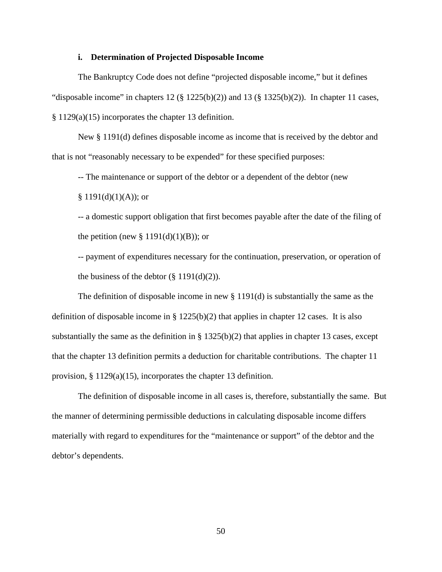#### **i. Determination of Projected Disposable Income**

The Bankruptcy Code does not define "projected disposable income," but it defines "disposable income" in chapters  $12 \times 1225(b)(2)$  and  $13 \times 1325(b)(2)$ ). In chapter 11 cases, § 1129(a)(15) incorporates the chapter 13 definition.

New § 1191(d) defines disposable income as income that is received by the debtor and that is not "reasonably necessary to be expended" for these specified purposes:

-- The maintenance or support of the debtor or a dependent of the debtor (new

 $§ 1191(d)(1)(A))$ ; or

-- a domestic support obligation that first becomes payable after the date of the filing of the petition (new  $\S 1191(d)(1)(B)$ ); or

-- payment of expenditures necessary for the continuation, preservation, or operation of the business of the debtor  $(\S 1191(d)(2))$ .

The definition of disposable income in new  $\S 1191(d)$  is substantially the same as the definition of disposable income in §  $1225(b)(2)$  that applies in chapter 12 cases. It is also substantially the same as the definition in §  $1325(b)(2)$  that applies in chapter 13 cases, except that the chapter 13 definition permits a deduction for charitable contributions. The chapter 11 provision, § 1129(a)(15), incorporates the chapter 13 definition.

The definition of disposable income in all cases is, therefore, substantially the same. But the manner of determining permissible deductions in calculating disposable income differs materially with regard to expenditures for the "maintenance or support" of the debtor and the debtor's dependents.

50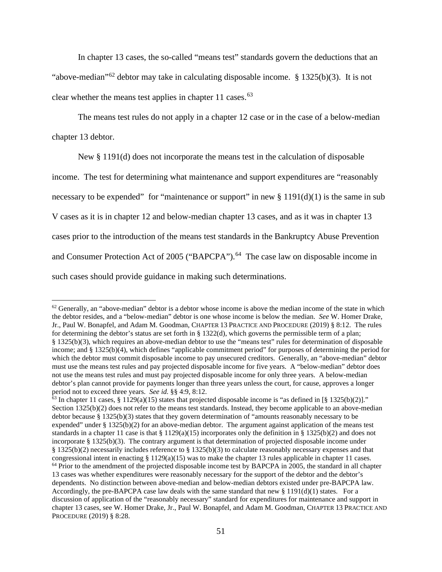In chapter 13 cases, the so-called "means test" standards govern the deductions that an "above-median"<sup>62</sup> debtor may take in calculating disposable income. § 1325(b)(3). It is not clear whether the means test applies in chapter 11 cases.  $63$ 

The means test rules do not apply in a chapter 12 case or in the case of a below-median chapter 13 debtor.

New § 1191(d) does not incorporate the means test in the calculation of disposable

income. The test for determining what maintenance and support expenditures are "reasonably

necessary to be expended" for "maintenance or support" in new  $\S 1191(d)(1)$  is the same in sub

V cases as it is in chapter 12 and below-median chapter 13 cases, and as it was in chapter 13

cases prior to the introduction of the means test standards in the Bankruptcy Abuse Prevention

and Consumer Protection Act of 2005 ("BAPCPA").<sup>64</sup> The case law on disposable income in

such cases should provide guidance in making such determinations.

 $62$  Generally, an "above-median" debtor is a debtor whose income is above the median income of the state in which the debtor resides, and a "below-median" debtor is one whose income is below the median. *See* W. Homer Drake, Jr., Paul W. Bonapfel, and Adam M. Goodman, CHAPTER 13 PRACTICE AND PROCEDURE (2019) § 8:12. The rules for determining the debtor's status are set forth in § 1322(d), which governs the permissible term of a plan; § 1325(b)(3), which requires an above-median debtor to use the "means test" rules for determination of disposable income; and § 1325(b)(4), which defines "applicable commitment period" for purposes of determining the period for which the debtor must commit disposable income to pay unsecured creditors. Generally, an "above-median" debtor must use the means test rules and pay projected disposable income for five years. A "below-median" debtor does not use the means test rules and must pay projected disposable income for only three years. A below-median debtor's plan cannot provide for payments longer than three years unless the court, for cause, approves a longer period not to exceed three years. *See id.* §§ 4:9, 8:12.<br><sup>63</sup> In chapter 11 cases, § 1129(a)(15) states that projected disposable income is "as defined in [§ 1325(b)(2)]."

Section 1325(b)(2) does not refer to the means test standards. Instead, they become applicable to an above-median debtor because § 1325(b)(3) states that they govern determination of "amounts reasonably necessary to be expended" under § 1325(b)(2) for an above-median debtor. The argument against application of the means test standards in a chapter 11 case is that § 1129(a)(15) incorporates only the definition in § 1325(b)(2) and does not incorporate § 1325(b)(3). The contrary argument is that determination of projected disposable income under § 1325(b)(2) necessarily includes reference to § 1325(b)(3) to calculate reasonably necessary expenses and that congressional intent in enacting § 1129(a)(15) was to make the chapter 13 rules applicable in chapter 11 case  $<sup>64</sup>$  Prior to the amendment of the projected disposable income test by BAPCPA in 2005, the standard in all chapter</sup> 13 cases was whether expenditures were reasonably necessary for the support of the debtor and the debtor's dependents. No distinction between above-median and below-median debtors existed under pre-BAPCPA law. Accordingly, the pre-BAPCPA case law deals with the same standard that new  $\S 1191(d)(1)$  states. For a discussion of application of the "reasonably necessary" standard for expenditures for maintenance and support in chapter 13 cases, see W. Homer Drake, Jr., Paul W. Bonapfel, and Adam M. Goodman, CHAPTER 13 PRACTICE AND PROCEDURE (2019) § 8:28.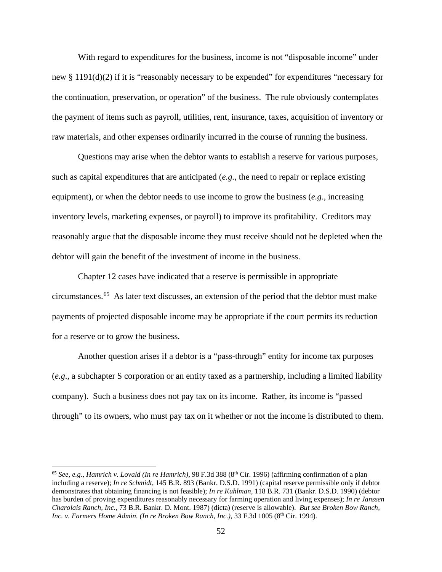With regard to expenditures for the business, income is not "disposable income" under new § 1191(d)(2) if it is "reasonably necessary to be expended" for expenditures "necessary for the continuation, preservation, or operation" of the business. The rule obviously contemplates the payment of items such as payroll, utilities, rent, insurance, taxes, acquisition of inventory or raw materials, and other expenses ordinarily incurred in the course of running the business.

Questions may arise when the debtor wants to establish a reserve for various purposes, such as capital expenditures that are anticipated (*e.g.,* the need to repair or replace existing equipment), or when the debtor needs to use income to grow the business (*e.g.,* increasing inventory levels, marketing expenses, or payroll) to improve its profitability. Creditors may reasonably argue that the disposable income they must receive should not be depleted when the debtor will gain the benefit of the investment of income in the business.

Chapter 12 cases have indicated that a reserve is permissible in appropriate circumstances.65 As later text discusses, an extension of the period that the debtor must make payments of projected disposable income may be appropriate if the court permits its reduction for a reserve or to grow the business.

Another question arises if a debtor is a "pass-through" entity for income tax purposes (*e.g*., a subchapter S corporation or an entity taxed as a partnership, including a limited liability company). Such a business does not pay tax on its income. Rather, its income is "passed through" to its owners, who must pay tax on it whether or not the income is distributed to them.

<sup>&</sup>lt;sup>65</sup> See, e.g., Hamrich v. Lovald (In re Hamrich), 98 F.3d 388 (8<sup>th</sup> Cir. 1996) (affirming confirmation of a plan including a reserve); *In re Schmidt,* 145 B.R. 893 (Bankr. D.S.D. 1991) (capital reserve permissible only if debtor demonstrates that obtaining financing is not feasible); *In re Kuhlman,* 118 B.R. 731 (Bankr. D.S.D. 1990) (debtor has burden of proving expenditures reasonably necessary for farming operation and living expenses); *In re Janssen Charolais Ranch, Inc.,* 73 B.R. Bankr. D. Mont. 1987) (dicta) (reserve is allowable). *But see Broken Bow Ranch, Inc. v. Farmers Home Admin. (In re Broken Bow Ranch, Inc.)*, 33 F.3d 1005 (8<sup>th</sup> Cir. 1994).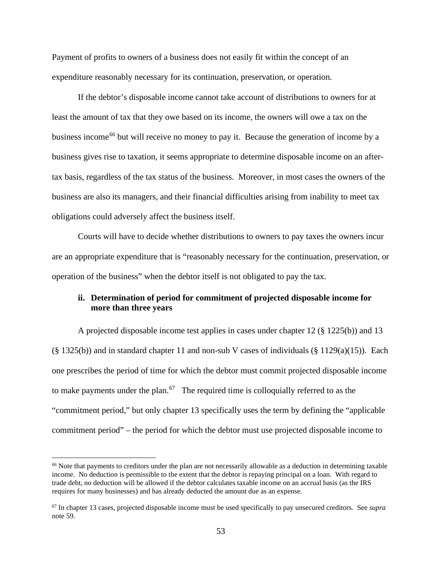Payment of profits to owners of a business does not easily fit within the concept of an expenditure reasonably necessary for its continuation, preservation, or operation.

If the debtor's disposable income cannot take account of distributions to owners for at least the amount of tax that they owe based on its income, the owners will owe a tax on the business income<sup>66</sup> but will receive no money to pay it. Because the generation of income by a business gives rise to taxation, it seems appropriate to determine disposable income on an aftertax basis, regardless of the tax status of the business. Moreover, in most cases the owners of the business are also its managers, and their financial difficulties arising from inability to meet tax obligations could adversely affect the business itself.

Courts will have to decide whether distributions to owners to pay taxes the owners incur are an appropriate expenditure that is "reasonably necessary for the continuation, preservation, or operation of the business" when the debtor itself is not obligated to pay the tax.

## **ii. Determination of period for commitment of projected disposable income for more than three years**

A projected disposable income test applies in cases under chapter 12 (§ 1225(b)) and 13  $(\S 1325(b))$  and in standard chapter 11 and non-sub V cases of individuals  $(\S 1129(a)(15))$ . Each one prescribes the period of time for which the debtor must commit projected disposable income to make payments under the plan.<sup>67</sup> The required time is colloquially referred to as the "commitment period," but only chapter 13 specifically uses the term by defining the "applicable commitment period" – the period for which the debtor must use projected disposable income to

<sup>&</sup>lt;sup>66</sup> Note that payments to creditors under the plan are not necessarily allowable as a deduction in determining taxable income. No deduction is permissible to the extent that the debtor is repaying principal on a loan. With regard to trade debt, no deduction will be allowed if the debtor calculates taxable income on an accrual basis (as the IRS requires for many businesses) and has already deducted the amount due as an expense.

<sup>67</sup> In chapter 13 cases, projected disposable income must be used specifically to pay unsecured creditors. See *supra* note 59.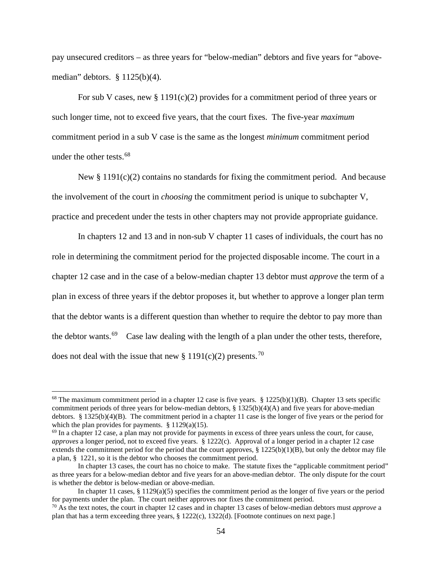pay unsecured creditors – as three years for "below-median" debtors and five years for "abovemedian" debtors. § 1125(b)(4).

For sub V cases, new  $\S 1191(c)(2)$  provides for a commitment period of three years or such longer time, not to exceed five years, that the court fixes. The five-year *maximum* commitment period in a sub V case is the same as the longest *minimum* commitment period under the other tests.<sup>68</sup>

New  $\S 1191(c)(2)$  contains no standards for fixing the commitment period. And because the involvement of the court in *choosing* the commitment period is unique to subchapter V, practice and precedent under the tests in other chapters may not provide appropriate guidance.

In chapters 12 and 13 and in non-sub V chapter 11 cases of individuals, the court has no role in determining the commitment period for the projected disposable income. The court in a chapter 12 case and in the case of a below-median chapter 13 debtor must *approve* the term of a plan in excess of three years if the debtor proposes it, but whether to approve a longer plan term that the debtor wants is a different question than whether to require the debtor to pay more than the debtor wants.<sup>69</sup> Case law dealing with the length of a plan under the other tests, therefore, does not deal with the issue that new  $\S 1191(c)(2)$  presents.<sup>70</sup>

<sup>&</sup>lt;sup>68</sup> The maximum commitment period in a chapter 12 case is five years. § 1225(b)(1)(B). Chapter 13 sets specific commitment periods of three years for below-median debtors,  $\S 1325(b)(4)(A)$  and five years for above-median debtors. § 1325(b)(4)(B). The commitment period in a chapter 11 case is the longer of five years or the period for which the plan provides for payments. § 1129(a)(15).

 $^{69}$  In a chapter 12 case, a plan may not provide for payments in excess of three years unless the court, for cause, *approves* a longer period, not to exceed five years. § 1222(c). Approval of a longer period in a chapter 12 case extends the commitment period for the period that the court approves,  $\S$  1225(b)(1)(B), but only the debtor may file a plan, § 1221, so it is the debtor who chooses the commitment period.

In chapter 13 cases, the court has no choice to make. The statute fixes the "applicable commitment period" as three years for a below-median debtor and five years for an above-median debtor. The only dispute for the court is whether the debtor is below-median or above-median.

In chapter 11 cases,  $§$  1129(a)(5) specifies the commitment period as the longer of five years or the period for payments under the plan. The court neither approves nor fixes the commitment period.

<sup>70</sup> As the text notes, the court in chapter 12 cases and in chapter 13 cases of below-median debtors must *approve* a plan that has a term exceeding three years, § 1222(c), 1322(d). [Footnote continues on next page.]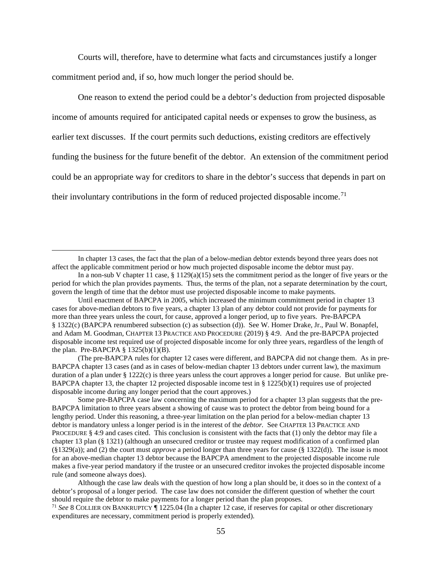Courts will, therefore, have to determine what facts and circumstances justify a longer commitment period and, if so, how much longer the period should be.

One reason to extend the period could be a debtor's deduction from projected disposable income of amounts required for anticipated capital needs or expenses to grow the business, as earlier text discusses. If the court permits such deductions, existing creditors are effectively funding the business for the future benefit of the debtor. An extension of the commitment period could be an appropriate way for creditors to share in the debtor's success that depends in part on their involuntary contributions in the form of reduced projected disposable income.<sup>71</sup>

(The pre-BAPCPA rules for chapter 12 cases were different, and BAPCPA did not change them. As in pre-BAPCPA chapter 13 cases (and as in cases of below-median chapter 13 debtors under current law), the maximum duration of a plan under  $\S 1222(c)$  is three years unless the court approves a longer period for cause. But unlike pre-BAPCPA chapter 13, the chapter 12 projected disposable income test in  $\S$  1225(b)(1) requires use of projected disposable income during any longer period that the court approves.)

In chapter 13 cases, the fact that the plan of a below-median debtor extends beyond three years does not affect the applicable commitment period or how much projected disposable income the debtor must pay.

In a non-sub V chapter 11 case,  $\S 1129(a)(15)$  sets the commitment period as the longer of five years or the period for which the plan provides payments. Thus, the terms of the plan, not a separate determination by the court, govern the length of time that the debtor must use projected disposable income to make payments.

Until enactment of BAPCPA in 2005, which increased the minimum commitment period in chapter 13 cases for above-median debtors to five years, a chapter 13 plan of any debtor could not provide for payments for more than three years unless the court, for cause, approved a longer period, up to five years. Pre-BAPCPA § 1322(c) (BAPCPA renumbered subsection (c) as subsection (d)). See W. Homer Drake, Jr., Paul W. Bonapfel, and Adam M. Goodman, CHAPTER 13 PRACTICE AND PROCEDURE (2019) § 4:9. And the pre-BAPCPA projected disposable income test required use of projected disposable income for only three years, regardless of the length of the plan. Pre-BAPCPA  $\S$  1325(b)(1)(B).

Some pre-BAPCPA case law concerning the maximum period for a chapter 13 plan suggests that the pre-BAPCPA limitation to three years absent a showing of cause was to protect the debtor from being bound for a lengthy period. Under this reasoning, a three-year limitation on the plan period for a below-median chapter 13 debtor is mandatory unless a longer period is in the interest of the *debtor.* See CHAPTER 13 PRACTICE AND PROCEDURE § 4:9 and cases cited.This conclusion is consistent with the facts that (1) only the debtor may file a chapter 13 plan (§ 1321) (although an unsecured creditor or trustee may request modification of a confirmed plan (§1329(a)); and (2) the court must *approve* a period longer than three years for cause (§ 1322(d)). The issue is moot for an above-median chapter 13 debtor because the BAPCPA amendment to the projected disposable income rule makes a five-year period mandatory if the trustee or an unsecured creditor invokes the projected disposable income rule (and someone always does).

Although the case law deals with the question of how long a plan should be, it does so in the context of a debtor's proposal of a longer period. The case law does not consider the different question of whether the court should require the debtor to make payments for a longer period than the plan proposes.

<sup>71</sup> *See* 8 COLLIER ON BANKRUPTCY ¶ 1225.04 (In a chapter 12 case, if reserves for capital or other discretionary expenditures are necessary, commitment period is properly extended).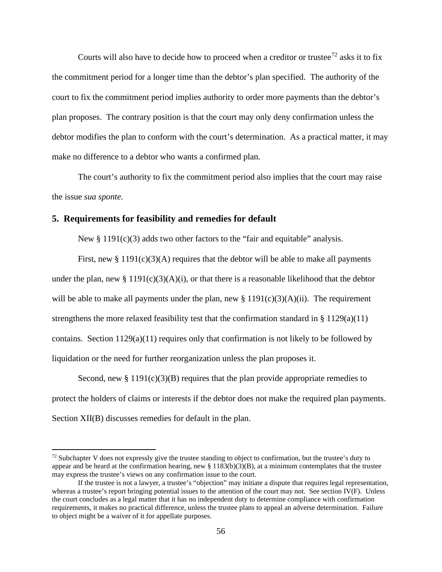Courts will also have to decide how to proceed when a creditor or trustee<sup>72</sup> asks it to fix the commitment period for a longer time than the debtor's plan specified. The authority of the court to fix the commitment period implies authority to order more payments than the debtor's plan proposes. The contrary position is that the court may only deny confirmation unless the debtor modifies the plan to conform with the court's determination. As a practical matter, it may make no difference to a debtor who wants a confirmed plan.

The court's authority to fix the commitment period also implies that the court may raise the issue *sua sponte.*

### **5. Requirements for feasibility and remedies for default**

New  $\S 1191(c)(3)$  adds two other factors to the "fair and equitable" analysis.

First, new  $\S 1191(c)(3)$ (A) requires that the debtor will be able to make all payments under the plan, new §  $1191(c)(3)(A)(i)$ , or that there is a reasonable likelihood that the debtor will be able to make all payments under the plan, new  $\S 1191(c)(3)(A)(ii)$ . The requirement strengthens the more relaxed feasibility test that the confirmation standard in  $\S 1129(a)(11)$ contains. Section 1129(a)(11) requires only that confirmation is not likely to be followed by liquidation or the need for further reorganization unless the plan proposes it.

Second, new  $\S 1191(c)(3)(B)$  requires that the plan provide appropriate remedies to protect the holders of claims or interests if the debtor does not make the required plan payments. Section XII(B) discusses remedies for default in the plan.

 $72$  Subchapter V does not expressly give the trustee standing to object to confirmation, but the trustee's duty to appear and be heard at the confirmation hearing, new  $\S 1183(b)(3)(B)$ , at a minimum contemplates that the trustee may express the trustee's views on any confirmation issue to the court.

If the trustee is not a lawyer, a trustee's "objection" may initiate a dispute that requires legal representation, whereas a trustee's report bringing potential issues to the attention of the court may not. See section IV(F). Unless the court concludes as a legal matter that it has no independent duty to determine compliance with confirmation requirements, it makes no practical difference, unless the trustee plans to appeal an adverse determination. Failure to object might be a waiver of it for appellate purposes.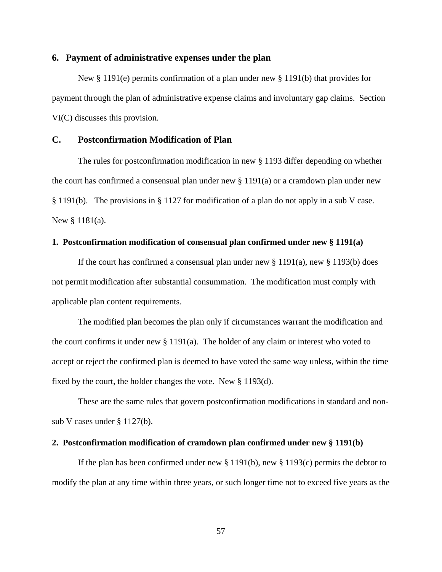#### **6. Payment of administrative expenses under the plan**

New § 1191(e) permits confirmation of a plan under new § 1191(b) that provides for payment through the plan of administrative expense claims and involuntary gap claims. Section VI(C) discusses this provision.

### **C. Postconfirmation Modification of Plan**

The rules for postconfirmation modification in new § 1193 differ depending on whether the court has confirmed a consensual plan under new  $\S 1191(a)$  or a cramdown plan under new § 1191(b). The provisions in § 1127 for modification of a plan do not apply in a sub V case. New § 1181(a).

#### **1. Postconfirmation modification of consensual plan confirmed under new § 1191(a)**

If the court has confirmed a consensual plan under new  $\S 1191(a)$ , new  $\S 1193(b)$  does not permit modification after substantial consummation. The modification must comply with applicable plan content requirements.

The modified plan becomes the plan only if circumstances warrant the modification and the court confirms it under new § 1191(a). The holder of any claim or interest who voted to accept or reject the confirmed plan is deemed to have voted the same way unless, within the time fixed by the court, the holder changes the vote. New § 1193(d).

These are the same rules that govern postconfirmation modifications in standard and nonsub V cases under § 1127(b).

#### **2. Postconfirmation modification of cramdown plan confirmed under new § 1191(b)**

If the plan has been confirmed under new  $\S 1191(b)$ , new  $\S 1193(c)$  permits the debtor to modify the plan at any time within three years, or such longer time not to exceed five years as the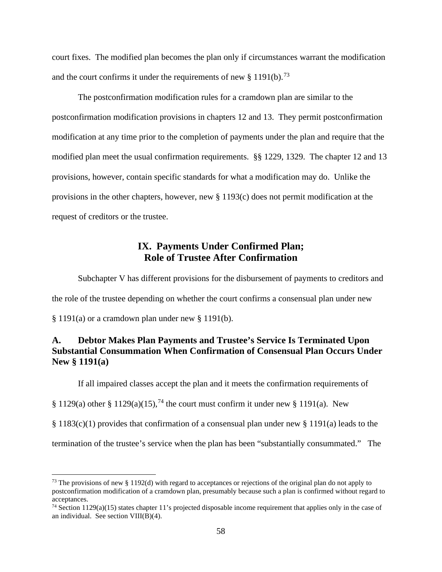court fixes. The modified plan becomes the plan only if circumstances warrant the modification and the court confirms it under the requirements of new  $\S 1191(b)$ .<sup>73</sup>

The postconfirmation modification rules for a cramdown plan are similar to the postconfirmation modification provisions in chapters 12 and 13. They permit postconfirmation modification at any time prior to the completion of payments under the plan and require that the modified plan meet the usual confirmation requirements. §§ 1229, 1329. The chapter 12 and 13 provisions, however, contain specific standards for what a modification may do. Unlike the provisions in the other chapters, however, new § 1193(c) does not permit modification at the request of creditors or the trustee.

# **IX. Payments Under Confirmed Plan; Role of Trustee After Confirmation**

Subchapter V has different provisions for the disbursement of payments to creditors and the role of the trustee depending on whether the court confirms a consensual plan under new § 1191(a) or a cramdown plan under new § 1191(b).

# **A. Debtor Makes Plan Payments and Trustee's Service Is Terminated Upon Substantial Consummation When Confirmation of Consensual Plan Occurs Under New § 1191(a)**

If all impaired classes accept the plan and it meets the confirmation requirements of

§ 1129(a) other § 1129(a)(15),<sup>74</sup> the court must confirm it under new § 1191(a). New

§ 1183(c)(1) provides that confirmation of a consensual plan under new § 1191(a) leads to the

termination of the trustee's service when the plan has been "substantially consummated." The

<sup>&</sup>lt;sup>73</sup> The provisions of new § 1192(d) with regard to acceptances or rejections of the original plan do not apply to postconfirmation modification of a cramdown plan, presumably because such a plan is confirmed without regard to acceptances.

 $74$  Section 1129(a)(15) states chapter 11's projected disposable income requirement that applies only in the case of an individual. See section  $VIII(B)(4)$ .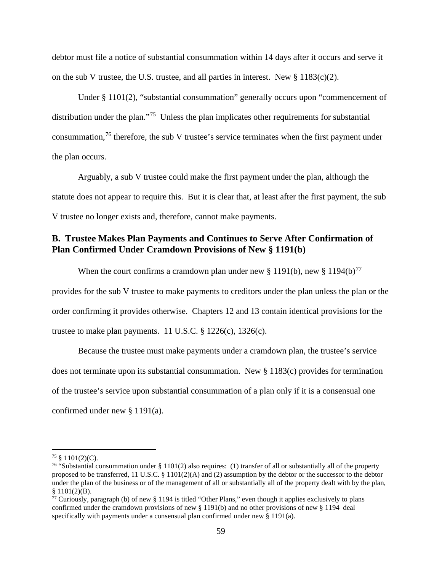debtor must file a notice of substantial consummation within 14 days after it occurs and serve it on the sub V trustee, the U.S. trustee, and all parties in interest. New  $\S 1183(c)(2)$ .

Under § 1101(2), "substantial consummation" generally occurs upon "commencement of distribution under the plan."<sup>75</sup> Unless the plan implicates other requirements for substantial consummation,<sup>76</sup> therefore, the sub V trustee's service terminates when the first payment under the plan occurs.

Arguably, a sub V trustee could make the first payment under the plan, although the statute does not appear to require this. But it is clear that, at least after the first payment, the sub V trustee no longer exists and, therefore, cannot make payments.

# **B. Trustee Makes Plan Payments and Continues to Serve After Confirmation of Plan Confirmed Under Cramdown Provisions of New § 1191(b)**

When the court confirms a cramdown plan under new § 1191(b), new § 1194(b)<sup>77</sup> provides for the sub V trustee to make payments to creditors under the plan unless the plan or the order confirming it provides otherwise. Chapters 12 and 13 contain identical provisions for the trustee to make plan payments. 11 U.S.C.  $\S$  1226(c), 1326(c).

Because the trustee must make payments under a cramdown plan, the trustee's service does not terminate upon its substantial consummation. New  $\S 1183(c)$  provides for termination of the trustee's service upon substantial consummation of a plan only if it is a consensual one confirmed under new § 1191(a).

<sup>&</sup>lt;sup>75</sup> § 1101(2)(C).<br><sup>76</sup> "Substantial consummation under § 1101(2) also requires: (1) transfer of all or substantially all of the property proposed to be transferred, 11 U.S.C. § 1101(2)(A) and (2) assumption by the debtor or the successor to the debtor under the plan of the business or of the management of all or substantially all of the property dealt with by the plan,  $$1101(2)(B).$ 

<sup>&</sup>lt;sup>77</sup> Curiously, paragraph (b) of new § 1194 is titled "Other Plans," even though it applies exclusively to plans confirmed under the cramdown provisions of new § 1191(b) and no other provisions of new § 1194 deal specifically with payments under a consensual plan confirmed under new  $\frac{8}{9}$  1191(a).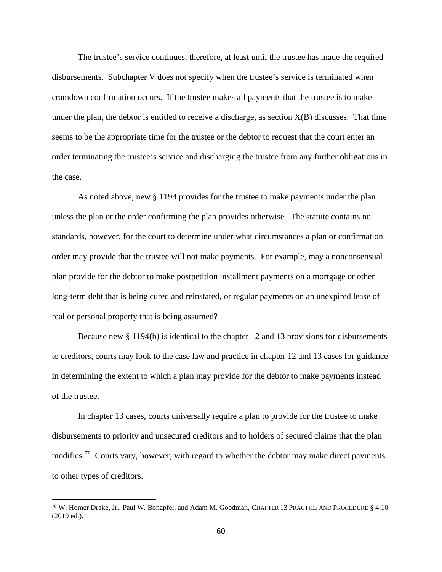The trustee's service continues, therefore, at least until the trustee has made the required disbursements. Subchapter V does not specify when the trustee's service is terminated when cramdown confirmation occurs. If the trustee makes all payments that the trustee is to make under the plan, the debtor is entitled to receive a discharge, as section  $X(B)$  discusses. That time seems to be the appropriate time for the trustee or the debtor to request that the court enter an order terminating the trustee's service and discharging the trustee from any further obligations in the case.

As noted above, new § 1194 provides for the trustee to make payments under the plan unless the plan or the order confirming the plan provides otherwise. The statute contains no standards, however, for the court to determine under what circumstances a plan or confirmation order may provide that the trustee will not make payments. For example, may a nonconsensual plan provide for the debtor to make postpetition installment payments on a mortgage or other long-term debt that is being cured and reinstated, or regular payments on an unexpired lease of real or personal property that is being assumed?

Because new § 1194(b) is identical to the chapter 12 and 13 provisions for disbursements to creditors, courts may look to the case law and practice in chapter 12 and 13 cases for guidance in determining the extent to which a plan may provide for the debtor to make payments instead of the trustee.

In chapter 13 cases, courts universally require a plan to provide for the trustee to make disbursements to priority and unsecured creditors and to holders of secured claims that the plan modifies.78 Courts vary, however, with regard to whether the debtor may make direct payments to other types of creditors.

<sup>78</sup> W. Homer Drake, Jr., Paul W. Bonapfel, and Adam M. Goodman, CHAPTER 13 PRACTICE AND PROCEDURE § 4:10 (2019 ed.).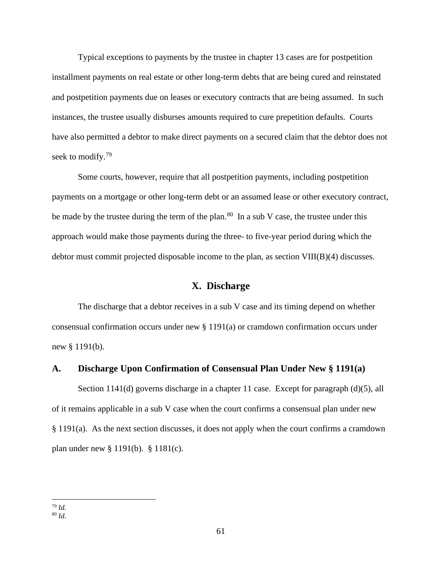Typical exceptions to payments by the trustee in chapter 13 cases are for postpetition installment payments on real estate or other long-term debts that are being cured and reinstated and postpetition payments due on leases or executory contracts that are being assumed. In such instances, the trustee usually disburses amounts required to cure prepetition defaults. Courts have also permitted a debtor to make direct payments on a secured claim that the debtor does not seek to modify.<sup>79</sup>

Some courts, however, require that all postpetition payments, including postpetition payments on a mortgage or other long-term debt or an assumed lease or other executory contract, be made by the trustee during the term of the plan.<sup>80</sup> In a sub V case, the trustee under this approach would make those payments during the three- to five-year period during which the debtor must commit projected disposable income to the plan, as section VIII(B)(4) discusses.

### **X. Discharge**

The discharge that a debtor receives in a sub V case and its timing depend on whether consensual confirmation occurs under new § 1191(a) or cramdown confirmation occurs under new § 1191(b).

#### **A. Discharge Upon Confirmation of Consensual Plan Under New § 1191(a)**

Section 1141(d) governs discharge in a chapter 11 case. Except for paragraph (d)(5), all of it remains applicable in a sub V case when the court confirms a consensual plan under new § 1191(a). As the next section discusses, it does not apply when the court confirms a cramdown plan under new § 1191(b). § 1181(c).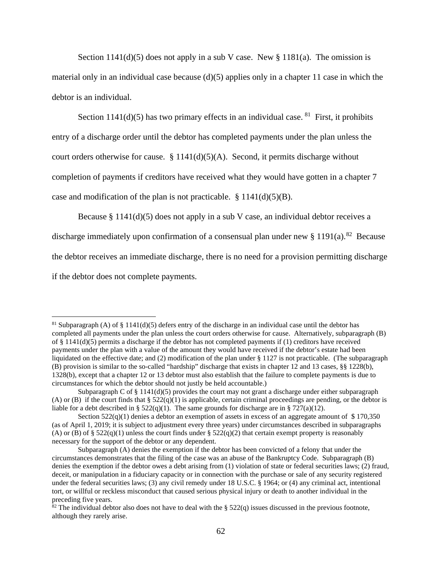Section  $1141(d)(5)$  does not apply in a sub V case. New §  $1181(a)$ . The omission is material only in an individual case because (d)(5) applies only in a chapter 11 case in which the debtor is an individual.

Section 1141(d)(5) has two primary effects in an individual case. <sup>81</sup> First, it prohibits entry of a discharge order until the debtor has completed payments under the plan unless the court orders otherwise for cause.  $§ 1141(d)(5)(A)$ . Second, it permits discharge without completion of payments if creditors have received what they would have gotten in a chapter 7 case and modification of the plan is not practicable.  $\S 1141(d)(5)(B)$ .

Because  $\S 1141(d)(5)$  does not apply in a sub V case, an individual debtor receives a

discharge immediately upon confirmation of a consensual plan under new  $\S 1191(a)$ .<sup>82</sup> Because

the debtor receives an immediate discharge, there is no need for a provision permitting discharge

if the debtor does not complete payments.

<sup>&</sup>lt;sup>81</sup> Subparagraph (A) of § 1141(d)(5) defers entry of the discharge in an individual case until the debtor has completed all payments under the plan unless the court orders otherwise for cause. Alternatively, subparagraph (B) of  $\S$  1141(d)(5) permits a discharge if the debtor has not completed payments if (1) creditors have received payments under the plan with a value of the amount they would have received if the debtor's estate had been liquidated on the effective date; and (2) modification of the plan under § 1127 is not practicable. (The subparagraph  $(\overline{B})$  provision is similar to the so-called "hardship" discharge that exists in chapter 12 and 13 cases, §§ 1228(b), 1328(b), except that a chapter 12 or 13 debtor must also establish that the failure to complete payments is due to circumstances for which the debtor should not justly be held accountable.)

Subparagraph C of  $\S 1141(d)(5)$  provides the court may not grant a discharge under either subparagraph (A) or (B) if the court finds that  $\S 522(q)(1)$  is applicable, certain criminal proceedings are pending, or the debtor is liable for a debt described in §  $522(q)(1)$ . The same grounds for discharge are in § 727(a)(12).

Section  $522(q)(1)$  denies a debtor an exemption of assets in excess of an aggregate amount of \$170,350 (as of April 1, 2019; it is subject to adjustment every three years) under circumstances described in subparagraphs (A) or (B) of §  $522(q)(1)$  unless the court finds under §  $522(q)(2)$  that certain exempt property is reasonably necessary for the support of the debtor or any dependent.

Subparagraph (A) denies the exemption if the debtor has been convicted of a felony that under the circumstances demonstrates that the filing of the case was an abuse of the Bankruptcy Code. Subparagraph (B) denies the exemption if the debtor owes a debt arising from (1) violation of state or federal securities laws; (2) fraud, deceit, or manipulation in a fiduciary capacity or in connection with the purchase or sale of any security registered under the federal securities laws; (3) any civil remedy under 18 U.S.C. § 1964; or (4) any criminal act, intentional tort, or willful or reckless misconduct that caused serious physical injury or death to another individual in the preceding five years.<br><sup>82</sup> The individual debtor also does not have to deal with the § 522(q) issues discussed in the previous footnote,

although they rarely arise.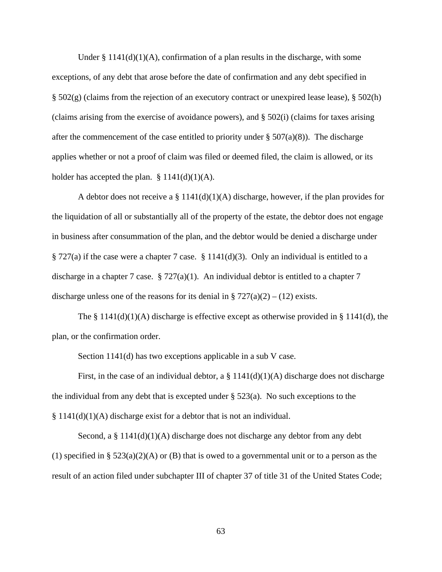Under §  $1141(d)(1)(A)$ , confirmation of a plan results in the discharge, with some exceptions, of any debt that arose before the date of confirmation and any debt specified in § 502(g) (claims from the rejection of an executory contract or unexpired lease lease), § 502(h) (claims arising from the exercise of avoidance powers), and § 502(i) (claims for taxes arising after the commencement of the case entitled to priority under  $\S 507(a)(8)$ . The discharge applies whether or not a proof of claim was filed or deemed filed, the claim is allowed, or its holder has accepted the plan.  $\S 1141(d)(1)(A)$ .

A debtor does not receive a  $\S 1141(d)(1)(A)$  discharge, however, if the plan provides for the liquidation of all or substantially all of the property of the estate, the debtor does not engage in business after consummation of the plan, and the debtor would be denied a discharge under § 727(a) if the case were a chapter 7 case. § 1141(d)(3). Only an individual is entitled to a discharge in a chapter 7 case.  $\S 727(a)(1)$ . An individual debtor is entitled to a chapter 7 discharge unless one of the reasons for its denial in §  $727(a)(2) - (12)$  exists.

The §  $1141(d)(1)(A)$  discharge is effective except as otherwise provided in § 1141(d), the plan, or the confirmation order.

Section 1141(d) has two exceptions applicable in a sub V case.

First, in the case of an individual debtor, a  $\S 1141(d)(1)(A)$  discharge does not discharge the individual from any debt that is excepted under  $\S$  523(a). No such exceptions to the  $§ 1141(d)(1)(A)$  discharge exist for a debtor that is not an individual.

Second, a  $\S 1141(d)(1)(A)$  discharge does not discharge any debtor from any debt (1) specified in §  $523(a)(2)(A)$  or (B) that is owed to a governmental unit or to a person as the result of an action filed under subchapter III of chapter 37 of title 31 of the United States Code;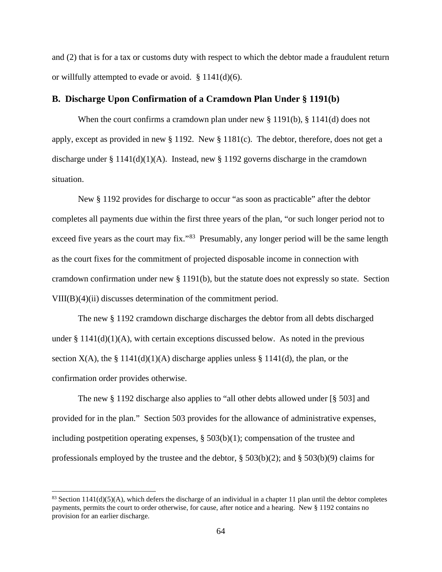and (2) that is for a tax or customs duty with respect to which the debtor made a fraudulent return or willfully attempted to evade or avoid. § 1141(d)(6).

# **B. Discharge Upon Confirmation of a Cramdown Plan Under § 1191(b)**

When the court confirms a cramdown plan under new § 1191(b), § 1141(d) does not apply, except as provided in new § 1192. New § 1181(c). The debtor, therefore, does not get a discharge under § 1141(d)(1)(A). Instead, new § 1192 governs discharge in the cramdown situation.

New § 1192 provides for discharge to occur "as soon as practicable" after the debtor completes all payments due within the first three years of the plan, "or such longer period not to exceed five years as the court may fix."<sup>83</sup> Presumably, any longer period will be the same length as the court fixes for the commitment of projected disposable income in connection with cramdown confirmation under new § 1191(b), but the statute does not expressly so state. Section VIII(B)(4)(ii) discusses determination of the commitment period.

The new § 1192 cramdown discharge discharges the debtor from all debts discharged under  $\S 1141(d)(1)(A)$ , with certain exceptions discussed below. As noted in the previous section  $X(A)$ , the § 1141(d)(1)(A) discharge applies unless § 1141(d), the plan, or the confirmation order provides otherwise.

The new § 1192 discharge also applies to "all other debts allowed under [§ 503] and provided for in the plan." Section 503 provides for the allowance of administrative expenses, including postpetition operating expenses, § 503(b)(1); compensation of the trustee and professionals employed by the trustee and the debtor, § 503(b)(2); and § 503(b)(9) claims for

<sup>&</sup>lt;sup>83</sup> Section 1141(d)(5)(A), which defers the discharge of an individual in a chapter 11 plan until the debtor completes payments, permits the court to order otherwise, for cause, after notice and a hearing. New § 1192 contains no provision for an earlier discharge.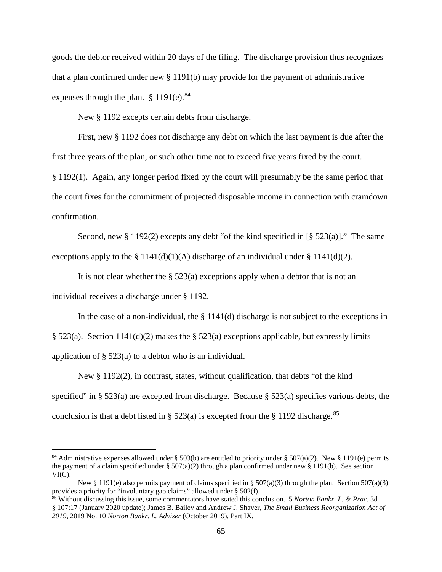goods the debtor received within 20 days of the filing. The discharge provision thus recognizes that a plan confirmed under new § 1191(b) may provide for the payment of administrative expenses through the plan.  $§$  1191(e).<sup>84</sup>

New § 1192 excepts certain debts from discharge.

First, new § 1192 does not discharge any debt on which the last payment is due after the first three years of the plan, or such other time not to exceed five years fixed by the court.

§ 1192(1). Again, any longer period fixed by the court will presumably be the same period that the court fixes for the commitment of projected disposable income in connection with cramdown confirmation.

Second, new  $\S 1192(2)$  excepts any debt "of the kind specified in [ $\S 523(a)$ ]." The same exceptions apply to the § 1141(d)(1)(A) discharge of an individual under § 1141(d)(2).

It is not clear whether the  $\S$  523(a) exceptions apply when a debtor that is not an individual receives a discharge under § 1192.

In the case of a non-individual, the  $\S 1141(d)$  discharge is not subject to the exceptions in § 523(a). Section 1141(d)(2) makes the § 523(a) exceptions applicable, but expressly limits application of § 523(a) to a debtor who is an individual.

New § 1192(2), in contrast, states, without qualification, that debts "of the kind specified" in  $\S$  523(a) are excepted from discharge. Because  $\S$  523(a) specifies various debts, the conclusion is that a debt listed in § 523(a) is excepted from the § 1192 discharge.<sup>85</sup>

<sup>&</sup>lt;sup>84</sup> Administrative expenses allowed under § 503(b) are entitled to priority under § 507(a)(2). New § 1191(e) permits the payment of a claim specified under §  $507(a)(2)$  through a plan confirmed under new § 1191(b). See section VI(C).

New § 1191(e) also permits payment of claims specified in § 507(a)(3) through the plan. Section 507(a)(3) provides a priority for "involuntary gap claims" allowed under § 502(f).

<sup>85</sup> Without discussing this issue, some commentators have stated this conclusion. 5 *Norton Bankr. L. & Prac.* 3d § 107:17 (January 2020 update); James B. Bailey and Andrew J. Shaver, *The Small Business Reorganization Act of 2019,* 2019 No. 10 *Norton Bankr. L. Adviser* (October 2019), Part IX.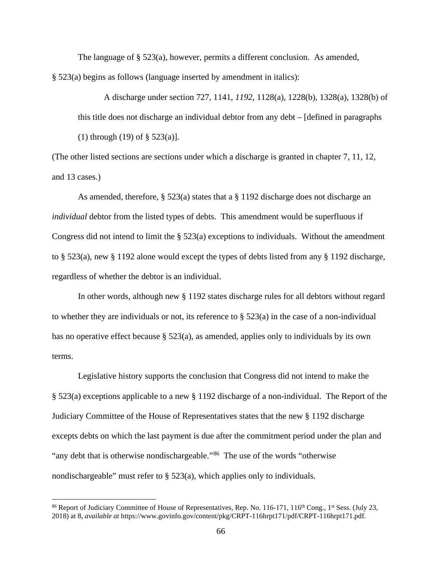The language of § 523(a), however, permits a different conclusion. As amended, § 523(a) begins as follows (language inserted by amendment in italics):

A discharge under section 727, 1141, *1192,* 1128(a), 1228(b), 1328(a), 1328(b) of this title does not discharge an individual debtor from any debt – [defined in paragraphs (1) through (19) of § 523(a)].

(The other listed sections are sections under which a discharge is granted in chapter 7, 11, 12, and 13 cases.)

As amended, therefore, § 523(a) states that a § 1192 discharge does not discharge an *individual* debtor from the listed types of debts. This amendment would be superfluous if Congress did not intend to limit the § 523(a) exceptions to individuals. Without the amendment to § 523(a), new § 1192 alone would except the types of debts listed from any § 1192 discharge, regardless of whether the debtor is an individual.

In other words, although new § 1192 states discharge rules for all debtors without regard to whether they are individuals or not, its reference to  $\S$  523(a) in the case of a non-individual has no operative effect because § 523(a), as amended, applies only to individuals by its own terms.

Legislative history supports the conclusion that Congress did not intend to make the § 523(a) exceptions applicable to a new § 1192 discharge of a non-individual. The Report of the Judiciary Committee of the House of Representatives states that the new § 1192 discharge excepts debts on which the last payment is due after the commitment period under the plan and "any debt that is otherwise nondischargeable."<sup>86</sup> The use of the words "otherwise" nondischargeable" must refer to § 523(a), which applies only to individuals.

<sup>&</sup>lt;sup>86</sup> Report of Judiciary Committee of House of Representatives, Rep. No. 116-171, 116<sup>th</sup> Cong., 1<sup>st</sup> Sess. (July 23, 2018) at 8, *available at* https://www.govinfo.gov/content/pkg/CRPT-116hrpt171/pdf/CRPT-116hrpt171.pdf.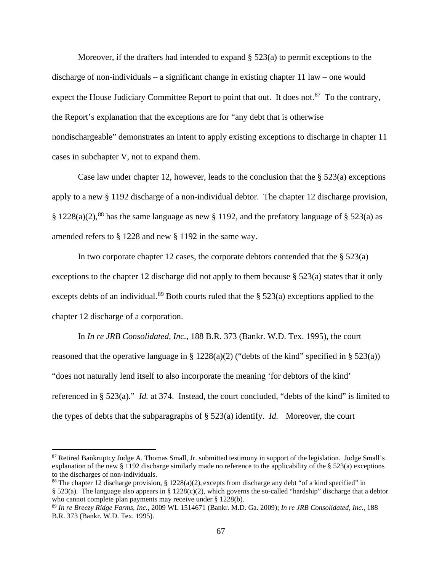Moreover, if the drafters had intended to expand  $\S$  523(a) to permit exceptions to the discharge of non-individuals – a significant change in existing chapter 11 law – one would expect the House Judiciary Committee Report to point that out. It does not.<sup>87</sup> To the contrary, the Report's explanation that the exceptions are for "any debt that is otherwise nondischargeable" demonstrates an intent to apply existing exceptions to discharge in chapter 11 cases in subchapter V, not to expand them.

Case law under chapter 12, however, leads to the conclusion that the  $\S$  523(a) exceptions apply to a new § 1192 discharge of a non-individual debtor. The chapter 12 discharge provision,  $\S 1228(a)(2)$ ,<sup>88</sup> has the same language as new  $\S 1192$ , and the prefatory language of  $\S 523(a)$  as amended refers to § 1228 and new § 1192 in the same way.

In two corporate chapter 12 cases, the corporate debtors contended that the  $\S$  523(a) exceptions to the chapter 12 discharge did not apply to them because  $\S$  523(a) states that it only excepts debts of an individual.<sup>89</sup> Both courts ruled that the  $\S$  523(a) exceptions applied to the chapter 12 discharge of a corporation.

In *In re JRB Consolidated, Inc.,* 188 B.R. 373 (Bankr. W.D. Tex. 1995), the court reasoned that the operative language in § 1228(a)(2) ("debts of the kind" specified in § 523(a)) "does not naturally lend itself to also incorporate the meaning 'for debtors of the kind' referenced in § 523(a)." *Id.* at 374. Instead, the court concluded, "debts of the kind" is limited to the types of debts that the subparagraphs of § 523(a) identify. *Id.* Moreover, the court

<sup>87</sup> Retired Bankruptcy Judge A. Thomas Small, Jr. submitted testimony in support of the legislation. Judge Small's explanation of the new § 1192 discharge similarly made no reference to the applicability of the § 523(a) exceptions to the discharges of non-individuals.

<sup>&</sup>lt;sup>88</sup> The chapter 12 discharge provision, § 1228(a)(2), excepts from discharge any debt "of a kind specified" in § 523(a). The language also appears in § 1228(c)(2), which governs the so-called "hardship" discharge that a debtor who cannot complete plan payments may receive under § 1228(b).

<sup>89</sup> *In re Breezy Ridge Farms, Inc.,* 2009 WL 1514671 (Bankr. M.D. Ga. 2009); *In re JRB Consolidated, Inc.,* 188 B.R. 373 (Bankr. W.D. Tex. 1995).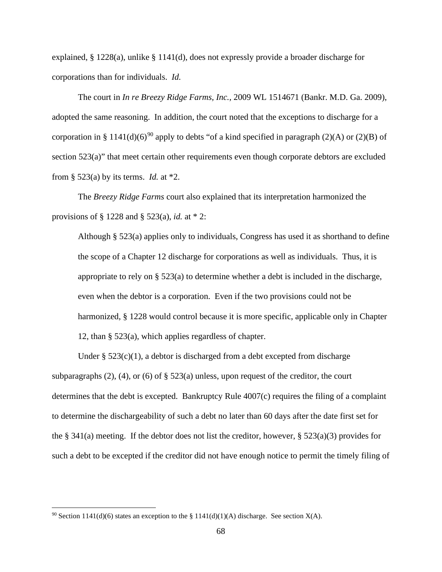explained, § 1228(a), unlike § 1141(d), does not expressly provide a broader discharge for corporations than for individuals. *Id.*

The court in *In re Breezy Ridge Farms, Inc.,* 2009 WL 1514671 (Bankr. M.D. Ga. 2009), adopted the same reasoning. In addition, the court noted that the exceptions to discharge for a corporation in § 1141(d)(6)<sup>90</sup> apply to debts "of a kind specified in paragraph (2)(A) or (2)(B) of section 523(a)" that meet certain other requirements even though corporate debtors are excluded from § 523(a) by its terms. *Id.* at \*2.

The *Breezy Ridge Farms* court also explained that its interpretation harmonized the provisions of § 1228 and § 523(a), *id.* at \* 2:

Although § 523(a) applies only to individuals, Congress has used it as shorthand to define the scope of a Chapter 12 discharge for corporations as well as individuals. Thus, it is appropriate to rely on  $\S$  523(a) to determine whether a debt is included in the discharge, even when the debtor is a corporation. Even if the two provisions could not be harmonized, § 1228 would control because it is more specific, applicable only in Chapter 12, than § 523(a), which applies regardless of chapter.

Under  $\S 523(c)(1)$ , a debtor is discharged from a debt excepted from discharge subparagraphs (2), (4), or (6) of  $\S$  523(a) unless, upon request of the creditor, the court determines that the debt is excepted. Bankruptcy Rule 4007(c) requires the filing of a complaint to determine the dischargeability of such a debt no later than 60 days after the date first set for the § 341(a) meeting. If the debtor does not list the creditor, however, § 523(a)(3) provides for such a debt to be excepted if the creditor did not have enough notice to permit the timely filing of

<sup>&</sup>lt;sup>90</sup> Section 1141(d)(6) states an exception to the § 1141(d)(1)(A) discharge. See section X(A).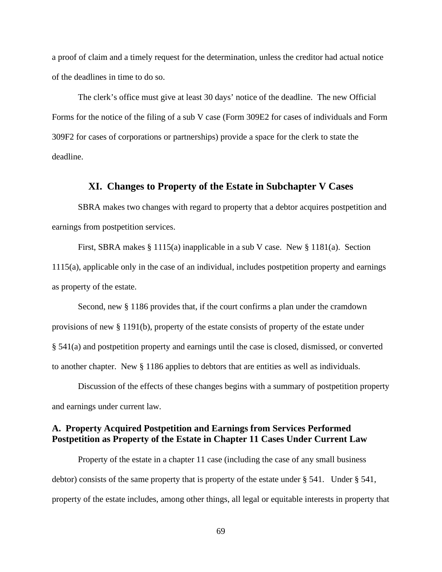a proof of claim and a timely request for the determination, unless the creditor had actual notice of the deadlines in time to do so.

The clerk's office must give at least 30 days' notice of the deadline. The new Official Forms for the notice of the filing of a sub V case (Form 309E2 for cases of individuals and Form 309F2 for cases of corporations or partnerships) provide a space for the clerk to state the deadline.

# **XI. Changes to Property of the Estate in Subchapter V Cases**

SBRA makes two changes with regard to property that a debtor acquires postpetition and earnings from postpetition services.

First, SBRA makes § 1115(a) inapplicable in a sub V case. New § 1181(a). Section 1115(a), applicable only in the case of an individual, includes postpetition property and earnings as property of the estate.

Second, new § 1186 provides that, if the court confirms a plan under the cramdown provisions of new § 1191(b), property of the estate consists of property of the estate under § 541(a) and postpetition property and earnings until the case is closed, dismissed, or converted to another chapter. New § 1186 applies to debtors that are entities as well as individuals.

Discussion of the effects of these changes begins with a summary of postpetition property and earnings under current law.

# **A. Property Acquired Postpetition and Earnings from Services Performed Postpetition as Property of the Estate in Chapter 11 Cases Under Current Law**

Property of the estate in a chapter 11 case (including the case of any small business debtor) consists of the same property that is property of the estate under § 541. Under § 541, property of the estate includes, among other things, all legal or equitable interests in property that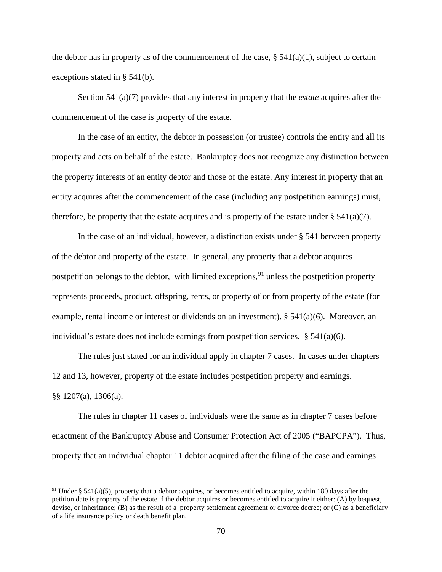the debtor has in property as of the commencement of the case,  $\S$  541(a)(1), subject to certain exceptions stated in § 541(b).

Section 541(a)(7) provides that any interest in property that the *estate* acquires after the commencement of the case is property of the estate.

In the case of an entity, the debtor in possession (or trustee) controls the entity and all its property and acts on behalf of the estate. Bankruptcy does not recognize any distinction between the property interests of an entity debtor and those of the estate. Any interest in property that an entity acquires after the commencement of the case (including any postpetition earnings) must, therefore, be property that the estate acquires and is property of the estate under  $\S$  541(a)(7).

In the case of an individual, however, a distinction exists under § 541 between property of the debtor and property of the estate. In general, any property that a debtor acquires postpetition belongs to the debtor, with limited exceptions,  $91$  unless the postpetition property represents proceeds, product, offspring, rents, or property of or from property of the estate (for example, rental income or interest or dividends on an investment).  $\S 541(a)(6)$ . Moreover, an individual's estate does not include earnings from postpetition services.  $\S$  541(a)(6).

The rules just stated for an individual apply in chapter 7 cases. In cases under chapters 12 and 13, however, property of the estate includes postpetition property and earnings. §§ 1207(a), 1306(a).

The rules in chapter 11 cases of individuals were the same as in chapter 7 cases before enactment of the Bankruptcy Abuse and Consumer Protection Act of 2005 ("BAPCPA"). Thus, property that an individual chapter 11 debtor acquired after the filing of the case and earnings

<sup>&</sup>lt;sup>91</sup> Under § 541(a)(5), property that a debtor acquires, or becomes entitled to acquire, within 180 days after the petition date is property of the estate if the debtor acquires or becomes entitled to acquire it either: (A) by bequest, devise, or inheritance; (B) as the result of a property settlement agreement or divorce decree; or (C) as a beneficiary of a life insurance policy or death benefit plan.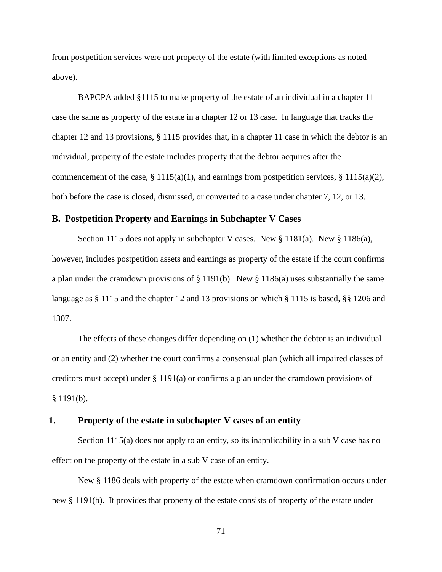from postpetition services were not property of the estate (with limited exceptions as noted above).

BAPCPA added §1115 to make property of the estate of an individual in a chapter 11 case the same as property of the estate in a chapter 12 or 13 case. In language that tracks the chapter 12 and 13 provisions, § 1115 provides that, in a chapter 11 case in which the debtor is an individual, property of the estate includes property that the debtor acquires after the commencement of the case, § 1115(a)(1), and earnings from postpetition services, § 1115(a)(2), both before the case is closed, dismissed, or converted to a case under chapter 7, 12, or 13.

## **B. Postpetition Property and Earnings in Subchapter V Cases**

Section 1115 does not apply in subchapter V cases. New  $\S$  1181(a). New  $\S$  1186(a), however, includes postpetition assets and earnings as property of the estate if the court confirms a plan under the cramdown provisions of § 1191(b). New § 1186(a) uses substantially the same language as § 1115 and the chapter 12 and 13 provisions on which § 1115 is based, §§ 1206 and 1307.

The effects of these changes differ depending on (1) whether the debtor is an individual or an entity and (2) whether the court confirms a consensual plan (which all impaired classes of creditors must accept) under § 1191(a) or confirms a plan under the cramdown provisions of  $§ 1191(b).$ 

#### **1. Property of the estate in subchapter V cases of an entity**

Section 1115(a) does not apply to an entity, so its inapplicability in a sub V case has no effect on the property of the estate in a sub V case of an entity.

New § 1186 deals with property of the estate when cramdown confirmation occurs under new § 1191(b). It provides that property of the estate consists of property of the estate under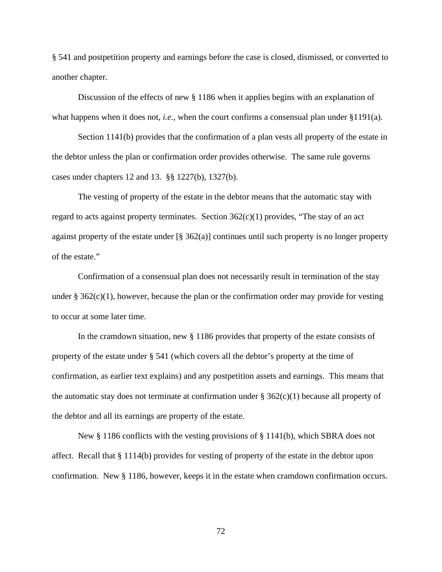§ 541 and postpetition property and earnings before the case is closed, dismissed, or converted to another chapter.

Discussion of the effects of new § 1186 when it applies begins with an explanation of what happens when it does not, *i.e.*, when the court confirms a consensual plan under §1191(a).

Section 1141(b) provides that the confirmation of a plan vests all property of the estate in the debtor unless the plan or confirmation order provides otherwise. The same rule governs cases under chapters 12 and 13. §§ 1227(b), 1327(b).

The vesting of property of the estate in the debtor means that the automatic stay with regard to acts against property terminates. Section  $362(c)(1)$  provides, "The stay of an act against property of the estate under [§ 362(a)] continues until such property is no longer property of the estate."

Confirmation of a consensual plan does not necessarily result in termination of the stay under  $\S 362(c)(1)$ , however, because the plan or the confirmation order may provide for vesting to occur at some later time.

In the cramdown situation, new § 1186 provides that property of the estate consists of property of the estate under § 541 (which covers all the debtor's property at the time of confirmation, as earlier text explains) and any postpetition assets and earnings. This means that the automatic stay does not terminate at confirmation under  $\S$  362(c)(1) because all property of the debtor and all its earnings are property of the estate.

New  $\S 1186$  conflicts with the vesting provisions of  $\S 1141(b)$ , which SBRA does not affect. Recall that § 1114(b) provides for vesting of property of the estate in the debtor upon confirmation. New § 1186, however, keeps it in the estate when cramdown confirmation occurs.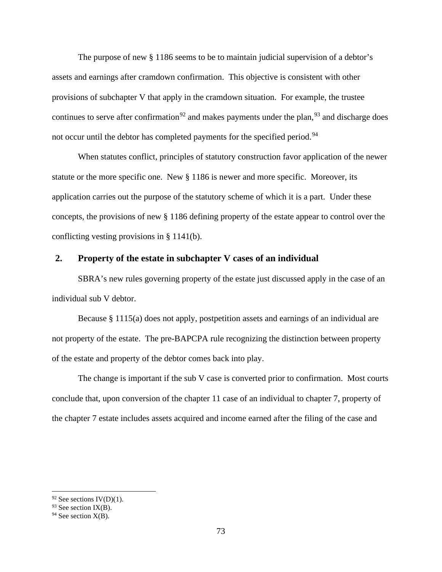The purpose of new § 1186 seems to be to maintain judicial supervision of a debtor's assets and earnings after cramdown confirmation. This objective is consistent with other provisions of subchapter V that apply in the cramdown situation. For example, the trustee continues to serve after confirmation<sup>92</sup> and makes payments under the plan,<sup>93</sup> and discharge does not occur until the debtor has completed payments for the specified period.<sup>94</sup>

When statutes conflict, principles of statutory construction favor application of the newer statute or the more specific one. New § 1186 is newer and more specific. Moreover, its application carries out the purpose of the statutory scheme of which it is a part. Under these concepts, the provisions of new § 1186 defining property of the estate appear to control over the conflicting vesting provisions in § 1141(b).

#### **2. Property of the estate in subchapter V cases of an individual**

SBRA's new rules governing property of the estate just discussed apply in the case of an individual sub V debtor.

Because § 1115(a) does not apply, postpetition assets and earnings of an individual are not property of the estate. The pre-BAPCPA rule recognizing the distinction between property of the estate and property of the debtor comes back into play.

The change is important if the sub V case is converted prior to confirmation. Most courts conclude that, upon conversion of the chapter 11 case of an individual to chapter 7, property of the chapter 7 estate includes assets acquired and income earned after the filing of the case and

 $92$  See sections IV(D)(1).

 $93$  See section IX(B).

 $94$  See section  $X(B)$ .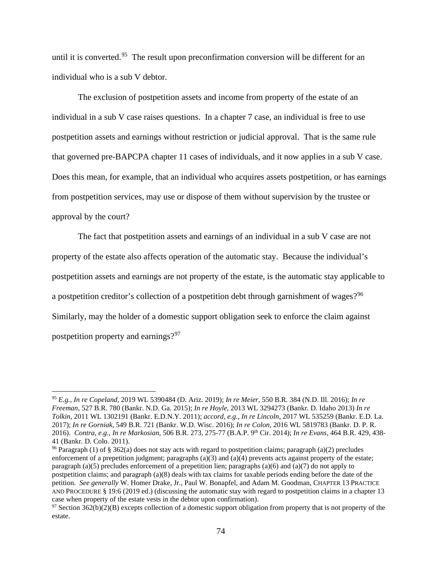until it is converted.<sup>95</sup> The result upon preconfirmation conversion will be different for an individual who is a sub V debtor.

The exclusion of postpetition assets and income from property of the estate of an individual in a sub V case raises questions. In a chapter 7 case, an individual is free to use postpetition assets and earnings without restriction or judicial approval. That is the same rule that governed pre-BAPCPA chapter 11 cases of individuals, and it now applies in a sub V case. Does this mean, for example, that an individual who acquires assets postpetition, or has earnings from postpetition services, may use or dispose of them without supervision by the trustee or approval by the court?

The fact that postpetition assets and earnings of an individual in a sub V case are not property of the estate also affects operation of the automatic stay. Because the individual's postpetition assets and earnings are not property of the estate, is the automatic stay applicable to a postpetition creditor's collection of a postpetition debt through garnishment of wages?<sup>96</sup> Similarly, may the holder of a domestic support obligation seek to enforce the claim against postpetition property and earnings?<sup>97</sup>

<sup>95</sup> *E.g., In re Copeland,* 2019 WL 5390484 (D. Ariz. 2019); *In re Meier,* 550 B.R. 384 (N.D. Ill. 2016); *In re Freeman,* 527 B.R. 780 (Bankr. N.D. Ga. 2015); *In re Hoyle,* 2013 WL 3294273 (Bankr. D. Idaho 2013) *In re Tolkin,* 2011 WL 1302191 (Bankr. E.D.N.Y. 2011); *accord, e.g., In re Lincoln,* 2017 WL 535259 (Bankr. E.D. La. 2017); *In re Gorniak,* 549 B.R. 721 (Bankr. W.D. Wisc. 2016); *In re Colon,* 2016 WL 5819783 (Bankr. D. P. R. 2016). *Contra, e.g., In re Markosian,* 506 B.R. 273, 275-77 (B.A.P. 9th Cir. 2014); *In re Evans,* 464 B.R. 429, 438- 41 (Bankr. D. Colo. 2011).

<sup>96</sup> Paragraph (1) of § 362(a) does not stay acts with regard to postpetition claims; paragraph (a)(2) precludes enforcement of a prepetition judgment; paragraphs  $(a)(3)$  and  $(a)(4)$  prevents acts against property of the estate; paragraph (a)(5) precludes enforcement of a prepetition lien; paragraphs (a)(6) and (a)(7) do not apply to postpetition claims; and paragraph (a)(8) deals with tax claims for taxable periods ending before the date of the petition. *See generally* W. Homer Drake, Jr., Paul W. Bonapfel, and Adam M. Goodman, CHAPTER 13 PRACTICE AND PROCEDURE § 19:6 (2019 ed.) (discussing the automatic stay with regard to postpetition claims in a chapter 13 case when property of the estate vests in the debtor upon confirmation).

 $97$  Section 362(b)(2)(B) excepts collection of a domestic support obligation from property that is not property of the estate.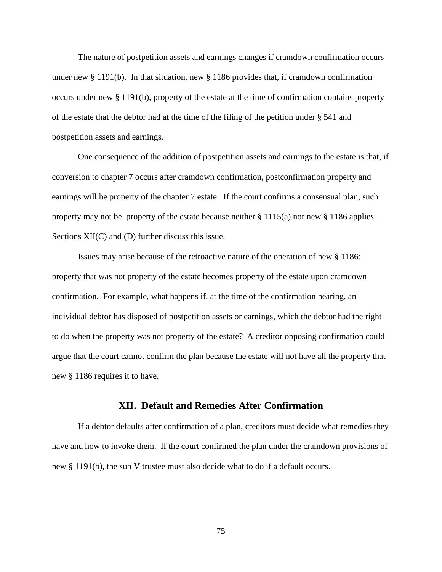The nature of postpetition assets and earnings changes if cramdown confirmation occurs under new § 1191(b). In that situation, new § 1186 provides that, if cramdown confirmation occurs under new § 1191(b), property of the estate at the time of confirmation contains property of the estate that the debtor had at the time of the filing of the petition under § 541 and postpetition assets and earnings.

One consequence of the addition of postpetition assets and earnings to the estate is that, if conversion to chapter 7 occurs after cramdown confirmation, postconfirmation property and earnings will be property of the chapter 7 estate. If the court confirms a consensual plan, such property may not be property of the estate because neither  $\S 1115(a)$  nor new  $\S 1186$  applies. Sections XII(C) and (D) further discuss this issue.

Issues may arise because of the retroactive nature of the operation of new § 1186: property that was not property of the estate becomes property of the estate upon cramdown confirmation. For example, what happens if, at the time of the confirmation hearing, an individual debtor has disposed of postpetition assets or earnings, which the debtor had the right to do when the property was not property of the estate? A creditor opposing confirmation could argue that the court cannot confirm the plan because the estate will not have all the property that new § 1186 requires it to have.

# **XII. Default and Remedies After Confirmation**

If a debtor defaults after confirmation of a plan, creditors must decide what remedies they have and how to invoke them. If the court confirmed the plan under the cramdown provisions of new § 1191(b), the sub V trustee must also decide what to do if a default occurs.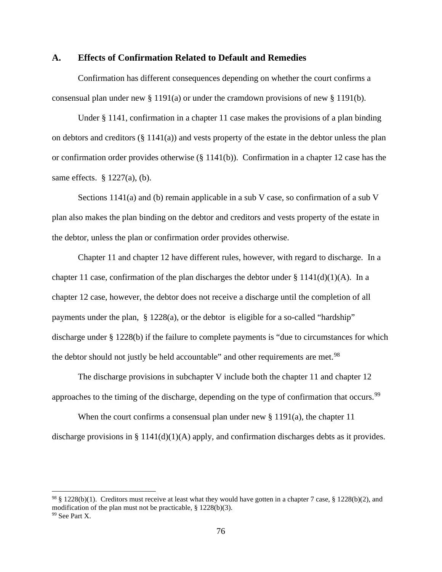#### **A. Effects of Confirmation Related to Default and Remedies**

Confirmation has different consequences depending on whether the court confirms a consensual plan under new § 1191(a) or under the cramdown provisions of new § 1191(b).

Under § 1141, confirmation in a chapter 11 case makes the provisions of a plan binding on debtors and creditors (§ 1141(a)) and vests property of the estate in the debtor unless the plan or confirmation order provides otherwise  $(\S 1141(b))$ . Confirmation in a chapter 12 case has the same effects.  $\S$  1227(a), (b).

Sections 1141(a) and (b) remain applicable in a sub V case, so confirmation of a sub V plan also makes the plan binding on the debtor and creditors and vests property of the estate in the debtor, unless the plan or confirmation order provides otherwise.

Chapter 11 and chapter 12 have different rules, however, with regard to discharge. In a chapter 11 case, confirmation of the plan discharges the debtor under  $\S 1141(d)(1)(A)$ . In a chapter 12 case, however, the debtor does not receive a discharge until the completion of all payments under the plan, § 1228(a), or the debtor is eligible for a so-called "hardship" discharge under § 1228(b) if the failure to complete payments is "due to circumstances for which the debtor should not justly be held accountable" and other requirements are met.<sup>98</sup>

The discharge provisions in subchapter V include both the chapter 11 and chapter 12 approaches to the timing of the discharge, depending on the type of confirmation that occurs.<sup>99</sup>

When the court confirms a consensual plan under new  $\S 1191(a)$ , the chapter 11 discharge provisions in §  $1141(d)(1)(A)$  apply, and confirmation discharges debts as it provides.

<sup>&</sup>lt;sup>98</sup> § 1228(b)(1). Creditors must receive at least what they would have gotten in a chapter 7 case, § 1228(b)(2), and modification of the plan must not be practicable, § 1228(b)(3). <sup>99</sup> See Part X.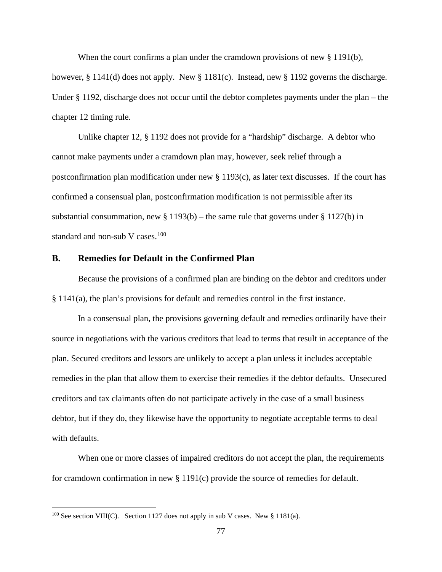When the court confirms a plan under the cramdown provisions of new § 1191(b),

however, § 1141(d) does not apply. New § 1181(c). Instead, new § 1192 governs the discharge. Under § 1192, discharge does not occur until the debtor completes payments under the plan – the chapter 12 timing rule.

Unlike chapter 12, § 1192 does not provide for a "hardship" discharge. A debtor who cannot make payments under a cramdown plan may, however, seek relief through a postconfirmation plan modification under new  $\S$  1193(c), as later text discusses. If the court has confirmed a consensual plan, postconfirmation modification is not permissible after its substantial consummation, new  $\S 1193(b)$  – the same rule that governs under  $\S 1127(b)$  in standard and non-sub V cases. $100$ 

## **B. Remedies for Default in the Confirmed Plan**

Because the provisions of a confirmed plan are binding on the debtor and creditors under § 1141(a), the plan's provisions for default and remedies control in the first instance.

In a consensual plan, the provisions governing default and remedies ordinarily have their source in negotiations with the various creditors that lead to terms that result in acceptance of the plan. Secured creditors and lessors are unlikely to accept a plan unless it includes acceptable remedies in the plan that allow them to exercise their remedies if the debtor defaults. Unsecured creditors and tax claimants often do not participate actively in the case of a small business debtor, but if they do, they likewise have the opportunity to negotiate acceptable terms to deal with defaults.

When one or more classes of impaired creditors do not accept the plan, the requirements for cramdown confirmation in new § 1191(c) provide the source of remedies for default.

 $100$  See section VIII(C). Section 1127 does not apply in sub V cases. New § 1181(a).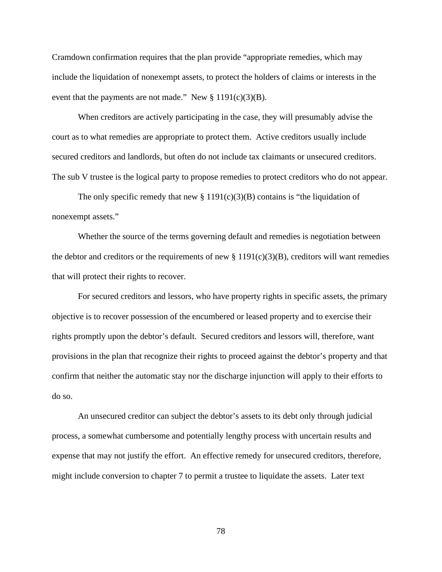Cramdown confirmation requires that the plan provide "appropriate remedies, which may include the liquidation of nonexempt assets, to protect the holders of claims or interests in the event that the payments are not made." New  $\S 1191(c)(3)(B)$ .

When creditors are actively participating in the case, they will presumably advise the court as to what remedies are appropriate to protect them. Active creditors usually include secured creditors and landlords, but often do not include tax claimants or unsecured creditors. The sub V trustee is the logical party to propose remedies to protect creditors who do not appear.

The only specific remedy that new  $\S 1191(c)(3)(B)$  contains is "the liquidation of nonexempt assets."

Whether the source of the terms governing default and remedies is negotiation between the debtor and creditors or the requirements of new  $\S 1191(c)(3)(B)$ , creditors will want remedies that will protect their rights to recover.

For secured creditors and lessors, who have property rights in specific assets, the primary objective is to recover possession of the encumbered or leased property and to exercise their rights promptly upon the debtor's default. Secured creditors and lessors will, therefore, want provisions in the plan that recognize their rights to proceed against the debtor's property and that confirm that neither the automatic stay nor the discharge injunction will apply to their efforts to do so.

An unsecured creditor can subject the debtor's assets to its debt only through judicial process, a somewhat cumbersome and potentially lengthy process with uncertain results and expense that may not justify the effort. An effective remedy for unsecured creditors, therefore, might include conversion to chapter 7 to permit a trustee to liquidate the assets. Later text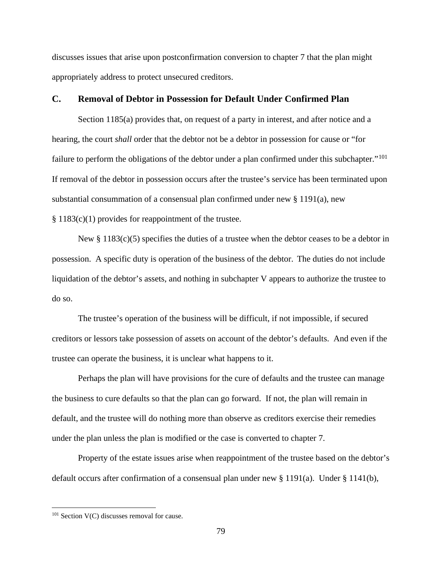discusses issues that arise upon postconfirmation conversion to chapter 7 that the plan might appropriately address to protect unsecured creditors.

# **C. Removal of Debtor in Possession for Default Under Confirmed Plan**

Section 1185(a) provides that, on request of a party in interest, and after notice and a hearing, the court *shall* order that the debtor not be a debtor in possession for cause or "for failure to perform the obligations of the debtor under a plan confirmed under this subchapter."<sup>101</sup> If removal of the debtor in possession occurs after the trustee's service has been terminated upon substantial consummation of a consensual plan confirmed under new § 1191(a), new § 1183(c)(1) provides for reappointment of the trustee.

New  $\S 1183(c)(5)$  specifies the duties of a trustee when the debtor ceases to be a debtor in possession. A specific duty is operation of the business of the debtor. The duties do not include liquidation of the debtor's assets, and nothing in subchapter V appears to authorize the trustee to do so.

The trustee's operation of the business will be difficult, if not impossible, if secured creditors or lessors take possession of assets on account of the debtor's defaults. And even if the trustee can operate the business, it is unclear what happens to it.

Perhaps the plan will have provisions for the cure of defaults and the trustee can manage the business to cure defaults so that the plan can go forward. If not, the plan will remain in default, and the trustee will do nothing more than observe as creditors exercise their remedies under the plan unless the plan is modified or the case is converted to chapter 7.

Property of the estate issues arise when reappointment of the trustee based on the debtor's default occurs after confirmation of a consensual plan under new § 1191(a). Under § 1141(b),

<sup>&</sup>lt;sup>101</sup> Section V(C) discusses removal for cause.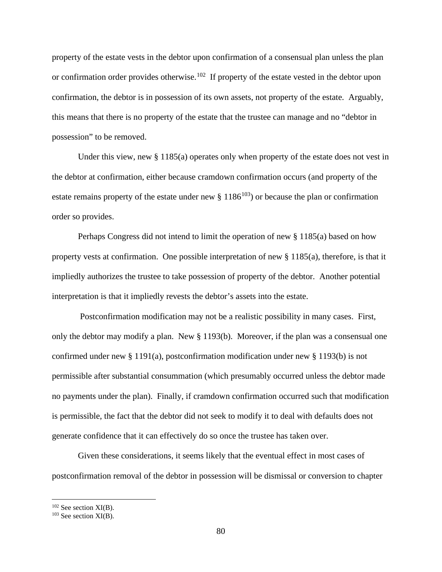property of the estate vests in the debtor upon confirmation of a consensual plan unless the plan or confirmation order provides otherwise.<sup>102</sup> If property of the estate vested in the debtor upon confirmation, the debtor is in possession of its own assets, not property of the estate. Arguably, this means that there is no property of the estate that the trustee can manage and no "debtor in possession" to be removed.

Under this view, new § 1185(a) operates only when property of the estate does not vest in the debtor at confirmation, either because cramdown confirmation occurs (and property of the estate remains property of the estate under new  $\S 1186^{103}$  or because the plan or confirmation order so provides.

Perhaps Congress did not intend to limit the operation of new § 1185(a) based on how property vests at confirmation. One possible interpretation of new § 1185(a), therefore, is that it impliedly authorizes the trustee to take possession of property of the debtor. Another potential interpretation is that it impliedly revests the debtor's assets into the estate.

Postconfirmation modification may not be a realistic possibility in many cases. First, only the debtor may modify a plan. New § 1193(b). Moreover, if the plan was a consensual one confirmed under new § 1191(a), postconfirmation modification under new § 1193(b) is not permissible after substantial consummation (which presumably occurred unless the debtor made no payments under the plan). Finally, if cramdown confirmation occurred such that modification is permissible, the fact that the debtor did not seek to modify it to deal with defaults does not generate confidence that it can effectively do so once the trustee has taken over.

Given these considerations, it seems likely that the eventual effect in most cases of postconfirmation removal of the debtor in possession will be dismissal or conversion to chapter

 $102$  See section XI(B).

 $103$  See section XI(B).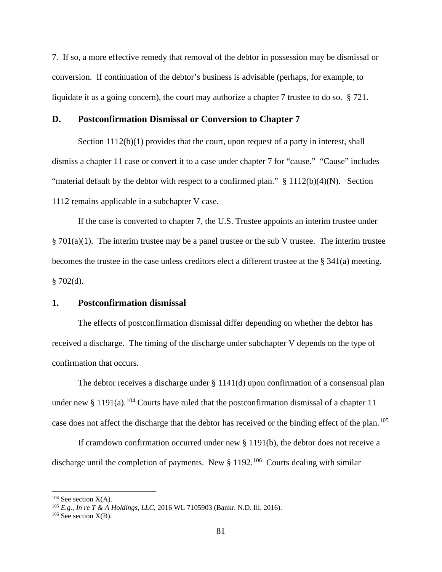7. If so, a more effective remedy that removal of the debtor in possession may be dismissal or conversion. If continuation of the debtor's business is advisable (perhaps, for example, to liquidate it as a going concern), the court may authorize a chapter 7 trustee to do so. § 721.

#### **D. Postconfirmation Dismissal or Conversion to Chapter 7**

Section 1112(b)(1) provides that the court, upon request of a party in interest, shall dismiss a chapter 11 case or convert it to a case under chapter 7 for "cause." "Cause" includes "material default by the debtor with respect to a confirmed plan."  $\S 1112(b)(4)(N)$ . Section 1112 remains applicable in a subchapter V case.

If the case is converted to chapter 7, the U.S. Trustee appoints an interim trustee under  $\S 701(a)(1)$ . The interim trustee may be a panel trustee or the sub V trustee. The interim trustee becomes the trustee in the case unless creditors elect a different trustee at the § 341(a) meeting.  $§ 702(d).$ 

#### **1. Postconfirmation dismissal**

The effects of postconfirmation dismissal differ depending on whether the debtor has received a discharge. The timing of the discharge under subchapter V depends on the type of confirmation that occurs.

The debtor receives a discharge under  $\S 1141(d)$  upon confirmation of a consensual plan under new § 1191(a).<sup>104</sup> Courts have ruled that the postconfirmation dismissal of a chapter 11 case does not affect the discharge that the debtor has received or the binding effect of the plan.<sup>105</sup>

If cramdown confirmation occurred under new § 1191(b), the debtor does not receive a discharge until the completion of payments. New  $\S 1192$ .<sup>106</sup> Courts dealing with similar

 $104$  See section  $X(A)$ .

<sup>105</sup> *E.g., In re T & A Holdings, LLC,* 2016 WL 7105903 (Bankr. N.D. Ill. 2016).

 $106$  See section  $X(B)$ .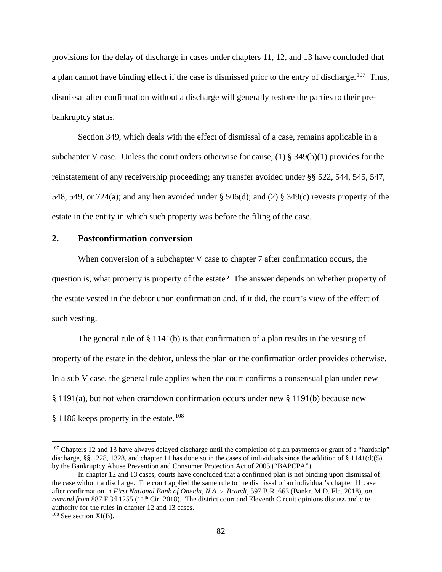provisions for the delay of discharge in cases under chapters 11, 12, and 13 have concluded that a plan cannot have binding effect if the case is dismissed prior to the entry of discharge.<sup>107</sup> Thus, dismissal after confirmation without a discharge will generally restore the parties to their prebankruptcy status.

Section 349, which deals with the effect of dismissal of a case, remains applicable in a subchapter V case. Unless the court orders otherwise for cause, (1)  $\S$  349(b)(1) provides for the reinstatement of any receivership proceeding; any transfer avoided under §§ 522, 544, 545, 547, 548, 549, or 724(a); and any lien avoided under § 506(d); and (2) § 349(c) revests property of the estate in the entity in which such property was before the filing of the case.

# **2. Postconfirmation conversion**

When conversion of a subchapter V case to chapter 7 after confirmation occurs, the question is, what property is property of the estate? The answer depends on whether property of the estate vested in the debtor upon confirmation and, if it did, the court's view of the effect of such vesting.

The general rule of  $\S 1141(b)$  is that confirmation of a plan results in the vesting of property of the estate in the debtor, unless the plan or the confirmation order provides otherwise. In a sub V case, the general rule applies when the court confirms a consensual plan under new § 1191(a), but not when cramdown confirmation occurs under new § 1191(b) because new § 1186 keeps property in the estate.108

<sup>&</sup>lt;sup>107</sup> Chapters 12 and 13 have always delayed discharge until the completion of plan payments or grant of a "hardship" discharge, §§ 1228, 1328, and chapter 11 has done so in the cases of individuals since the addition of § 1141(d)(5) by the Bankruptcy Abuse Prevention and Consumer Protection Act of 2005 ("BAPCPA").

In chapter 12 and 13 cases, courts have concluded that a confirmed plan is not binding upon dismissal of the case without a discharge. The court applied the same rule to the dismissal of an individual's chapter 11 case after confirmation in *First National Bank of Oneida, N.A. v. Brandt,* 597 B.R. 663 (Bankr. M.D. Fla. 2018), *on remand from* 887 F.3d 1255 (11<sup>th</sup> Cir. 2018). The district court and Eleventh Circuit opinions discuss and cite authority for the rules in chapter 12 and 13 cases.

 $108$  See section XI(B).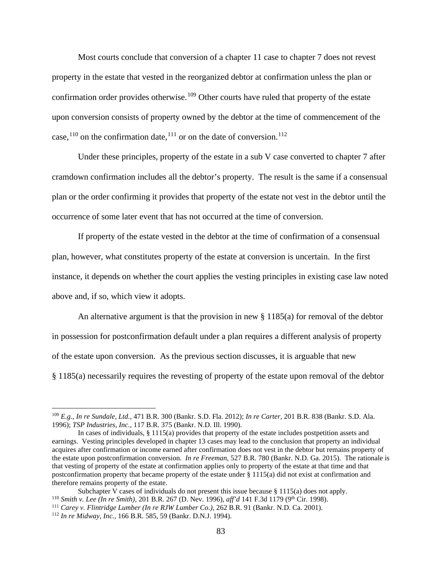Most courts conclude that conversion of a chapter 11 case to chapter 7 does not revest property in the estate that vested in the reorganized debtor at confirmation unless the plan or confirmation order provides otherwise.<sup>109</sup> Other courts have ruled that property of the estate upon conversion consists of property owned by the debtor at the time of commencement of the case,<sup>110</sup> on the confirmation date,<sup>111</sup> or on the date of conversion.<sup>112</sup>

Under these principles, property of the estate in a sub V case converted to chapter 7 after cramdown confirmation includes all the debtor's property. The result is the same if a consensual plan or the order confirming it provides that property of the estate not vest in the debtor until the occurrence of some later event that has not occurred at the time of conversion.

If property of the estate vested in the debtor at the time of confirmation of a consensual plan, however, what constitutes property of the estate at conversion is uncertain. In the first instance, it depends on whether the court applies the vesting principles in existing case law noted above and, if so, which view it adopts.

An alternative argument is that the provision in new  $\S$  1185(a) for removal of the debtor in possession for postconfirmation default under a plan requires a different analysis of property of the estate upon conversion. As the previous section discusses, it is arguable that new § 1185(a) necessarily requires the revesting of property of the estate upon removal of the debtor

<sup>109</sup> *E.g., In re Sundale, Ltd.,* 471 B.R. 300 (Bankr. S.D. Fla. 2012); *In re Carter,* 201 B.R. 838 (Bankr. S.D. Ala. 1996); *TSP Industries, Inc.,* 117 B.R. 375 (Bankr. N.D. Ill. 1990).

In cases of individuals, § 1115(a) provides that property of the estate includes postpetition assets and earnings. Vesting principles developed in chapter 13 cases may lead to the conclusion that property an individual acquires after confirmation or income earned after confirmation does not vest in the debtor but remains property of the estate upon postconfirmation conversion. *In re Freeman,* 527 B.R. 780 (Bankr. N.D. Ga. 2015). The rationale is that vesting of property of the estate at confirmation applies only to property of the estate at that time and that postconfirmation property that became property of the estate under § 1115(a) did not exist at confirmation and therefore remains property of the estate.<br>Subchapter V cases of individuals do not present this issue because  $\S 1115(a)$  does not apply.

<sup>&</sup>lt;sup>110</sup> Smith v. Lee (In re Smith), 201 B.R. 267 (D. Nev. 1996), aff'd 141 F.3d 1179 (9<sup>th</sup> Cir. 1998).<br><sup>111</sup> Carey v. Flintridge Lumber (In re RJW Lumber Co.), 262 B.R. 91 (Bankr. N.D. Ca. 2001).<br><sup>112</sup> In re Midway, Inc.,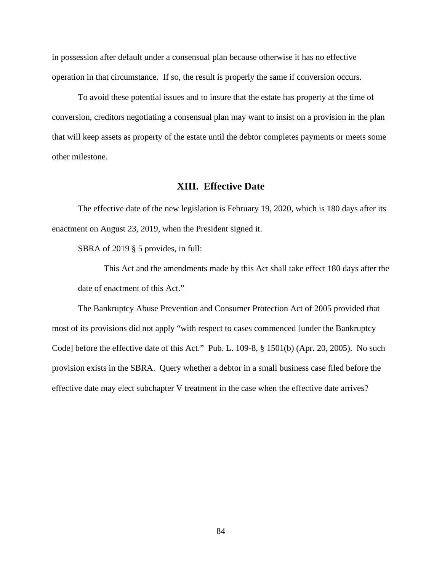in possession after default under a consensual plan because otherwise it has no effective operation in that circumstance. If so, the result is properly the same if conversion occurs.

To avoid these potential issues and to insure that the estate has property at the time of conversion, creditors negotiating a consensual plan may want to insist on a provision in the plan that will keep assets as property of the estate until the debtor completes payments or meets some other milestone.

## **XIII. Effective Date**

The effective date of the new legislation is February 19, 2020, which is 180 days after its enactment on August 23, 2019, when the President signed it.

SBRA of 2019 § 5 provides, in full:

This Act and the amendments made by this Act shall take effect 180 days after the date of enactment of this Act."

The Bankruptcy Abuse Prevention and Consumer Protection Act of 2005 provided that most of its provisions did not apply "with respect to cases commenced [under the Bankruptcy Code] before the effective date of this Act." Pub. L. 109-8, § 1501(b) (Apr. 20, 2005). No such provision exists in the SBRA. Query whether a debtor in a small business case filed before the effective date may elect subchapter V treatment in the case when the effective date arrives?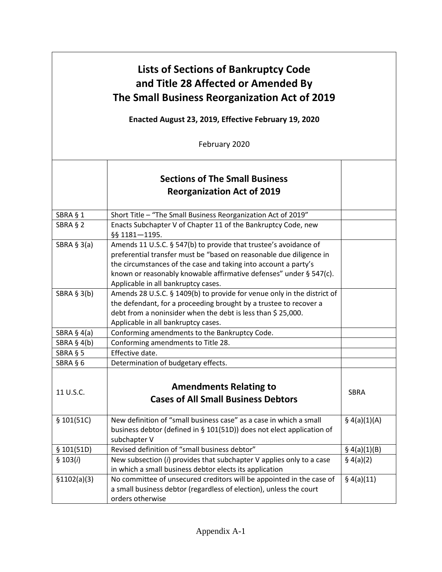| <b>Lists of Sections of Bankruptcy Code</b><br>and Title 28 Affected or Amended By<br>The Small Business Reorganization Act of 2019<br>Enacted August 23, 2019, Effective February 19, 2020 |                                                                                                                                                                                                                                                                                                                         |                |
|---------------------------------------------------------------------------------------------------------------------------------------------------------------------------------------------|-------------------------------------------------------------------------------------------------------------------------------------------------------------------------------------------------------------------------------------------------------------------------------------------------------------------------|----------------|
|                                                                                                                                                                                             | February 2020                                                                                                                                                                                                                                                                                                           |                |
|                                                                                                                                                                                             | <b>Sections of The Small Business</b><br><b>Reorganization Act of 2019</b>                                                                                                                                                                                                                                              |                |
| SBRA § 1                                                                                                                                                                                    | Short Title - "The Small Business Reorganization Act of 2019"                                                                                                                                                                                                                                                           |                |
| SBRA § 2                                                                                                                                                                                    | Enacts Subchapter V of Chapter 11 of the Bankruptcy Code, new<br>§§ 1181-1195.                                                                                                                                                                                                                                          |                |
| SBRA $§$ 3(a)                                                                                                                                                                               | Amends 11 U.S.C. § 547(b) to provide that trustee's avoidance of<br>preferential transfer must be "based on reasonable due diligence in<br>the circumstances of the case and taking into account a party's<br>known or reasonably knowable affirmative defenses" under § 547(c).<br>Applicable in all bankruptcy cases. |                |
| SBRA $§$ 3(b)                                                                                                                                                                               | Amends 28 U.S.C. § 1409(b) to provide for venue only in the district of<br>the defendant, for a proceeding brought by a trustee to recover a<br>debt from a noninsider when the debt is less than \$25,000.<br>Applicable in all bankruptcy cases.                                                                      |                |
| SBRA $§$ 4(a)                                                                                                                                                                               | Conforming amendments to the Bankruptcy Code.                                                                                                                                                                                                                                                                           |                |
| SBRA $§$ 4(b)                                                                                                                                                                               | Conforming amendments to Title 28.                                                                                                                                                                                                                                                                                      |                |
| SBRA § 5                                                                                                                                                                                    | Effective date.                                                                                                                                                                                                                                                                                                         |                |
| SBRA § 6                                                                                                                                                                                    | Determination of budgetary effects.                                                                                                                                                                                                                                                                                     |                |
| 11 U.S.C.                                                                                                                                                                                   | <b>Amendments Relating to</b><br><b>Cases of All Small Business Debtors</b>                                                                                                                                                                                                                                             | <b>SBRA</b>    |
| \$101(51C)                                                                                                                                                                                  | New definition of "small business case" as a case in which a small<br>business debtor (defined in § 101(51D)) does not elect application of<br>subchapter V                                                                                                                                                             | \$4(a)(1)(A)   |
| \$101(51D)                                                                                                                                                                                  | Revised definition of "small business debtor"                                                                                                                                                                                                                                                                           | $§$ 4(a)(1)(B) |
| \$103(i)                                                                                                                                                                                    | New subsection (i) provides that subchapter V applies only to a case<br>in which a small business debtor elects its application                                                                                                                                                                                         | $§$ 4(a)(2)    |
| \$1102(a)(3)                                                                                                                                                                                | No committee of unsecured creditors will be appointed in the case of<br>a small business debtor (regardless of election), unless the court<br>orders otherwise                                                                                                                                                          | $§$ 4(a)(11)   |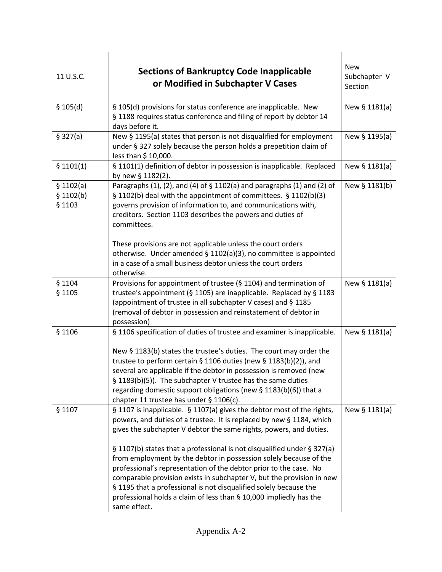| 11 U.S.C.                        | <b>Sections of Bankruptcy Code Inapplicable</b><br>or Modified in Subchapter V Cases                                                                                                                                                                                                                                                                                                                                                                                                                                                                                                                                                                                          | <b>New</b><br>Subchapter V<br>Section |
|----------------------------------|-------------------------------------------------------------------------------------------------------------------------------------------------------------------------------------------------------------------------------------------------------------------------------------------------------------------------------------------------------------------------------------------------------------------------------------------------------------------------------------------------------------------------------------------------------------------------------------------------------------------------------------------------------------------------------|---------------------------------------|
| \$105(d)                         | § 105(d) provisions for status conference are inapplicable. New<br>§ 1188 requires status conference and filing of report by debtor 14<br>days before it.                                                                                                                                                                                                                                                                                                                                                                                                                                                                                                                     | New § 1181(a)                         |
| \$327(a)                         | New § 1195(a) states that person is not disqualified for employment<br>under § 327 solely because the person holds a prepetition claim of<br>less than \$ 10,000.                                                                                                                                                                                                                                                                                                                                                                                                                                                                                                             | New § 1195(a)                         |
| \$1101(1)                        | § 1101(1) definition of debtor in possession is inapplicable. Replaced<br>by new § 1182(2).                                                                                                                                                                                                                                                                                                                                                                                                                                                                                                                                                                                   | New § 1181(a)                         |
| \$1102(a)<br>\$1102(b)<br>§ 1103 | Paragraphs (1), (2), and (4) of § 1102(a) and paragraphs (1) and (2) of<br>§ 1102(b) deal with the appointment of committees. § 1102(b)(3)<br>governs provision of information to, and communications with,<br>creditors. Section 1103 describes the powers and duties of<br>committees.                                                                                                                                                                                                                                                                                                                                                                                      | New § 1181(b)                         |
|                                  | These provisions are not applicable unless the court orders<br>otherwise. Under amended § 1102(a)(3), no committee is appointed<br>in a case of a small business debtor unless the court orders<br>otherwise.                                                                                                                                                                                                                                                                                                                                                                                                                                                                 |                                       |
| § 1104<br>§ 1105                 | Provisions for appointment of trustee (§ 1104) and termination of<br>trustee's appointment (§ 1105) are inapplicable. Replaced by § 1183<br>(appointment of trustee in all subchapter V cases) and § 1185<br>(removal of debtor in possession and reinstatement of debtor in<br>possession)                                                                                                                                                                                                                                                                                                                                                                                   | New § 1181(a)                         |
| § 1106                           | § 1106 specification of duties of trustee and examiner is inapplicable.<br>New § 1183(b) states the trustee's duties. The court may order the<br>trustee to perform certain § 1106 duties (new § 1183(b)(2)), and<br>several are applicable if the debtor in possession is removed (new<br>§ 1183(b)(5)). The subchapter V trustee has the same duties<br>regarding domestic support obligations (new § 1183(b)(6)) that a<br>chapter 11 trustee has under § 1106(c).                                                                                                                                                                                                         | New § 1181(a)                         |
| § 1107                           | § 1107 is inapplicable. § 1107(a) gives the debtor most of the rights,<br>powers, and duties of a trustee. It is replaced by new § 1184, which<br>gives the subchapter V debtor the same rights, powers, and duties.<br>§ 1107(b) states that a professional is not disqualified under § 327(a)<br>from employment by the debtor in possession solely because of the<br>professional's representation of the debtor prior to the case. No<br>comparable provision exists in subchapter V, but the provision in new<br>§ 1195 that a professional is not disqualified solely because the<br>professional holds a claim of less than § 10,000 impliedly has the<br>same effect. | New § 1181(a)                         |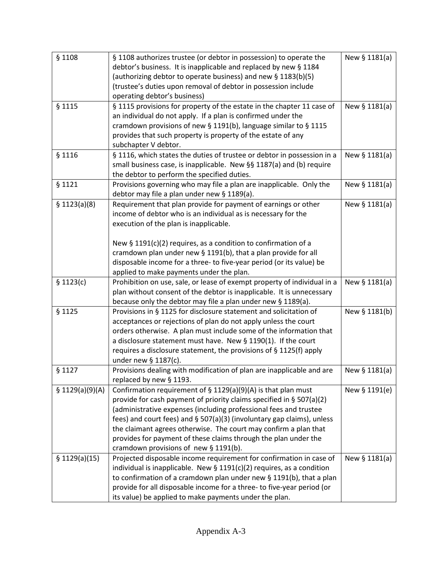| § 1108           | § 1108 authorizes trustee (or debtor in possession) to operate the       | New § 1181(a) |
|------------------|--------------------------------------------------------------------------|---------------|
|                  | debtor's business. It is inapplicable and replaced by new § 1184         |               |
|                  | (authorizing debtor to operate business) and new § 1183(b)(5)            |               |
|                  | (trustee's duties upon removal of debtor in possession include           |               |
|                  | operating debtor's business)                                             |               |
| § 1115           | § 1115 provisions for property of the estate in the chapter 11 case of   | New § 1181(a) |
|                  | an individual do not apply. If a plan is confirmed under the             |               |
|                  | cramdown provisions of new § 1191(b), language similar to § 1115         |               |
|                  | provides that such property is property of the estate of any             |               |
|                  | subchapter V debtor.                                                     |               |
| § 1116           | § 1116, which states the duties of trustee or debtor in possession in a  | New § 1181(a) |
|                  | small business case, is inapplicable. New §§ 1187(a) and (b) require     |               |
|                  |                                                                          |               |
|                  | the debtor to perform the specified duties.                              |               |
| § 1121           | Provisions governing who may file a plan are inapplicable. Only the      | New § 1181(a) |
|                  | debtor may file a plan under new § 1189(a).                              |               |
| \$1123(a)(8)     | Requirement that plan provide for payment of earnings or other           | New § 1181(a) |
|                  | income of debtor who is an individual as is necessary for the            |               |
|                  | execution of the plan is inapplicable.                                   |               |
|                  |                                                                          |               |
|                  | New $\S$ 1191(c)(2) requires, as a condition to confirmation of a        |               |
|                  | cramdown plan under new § 1191(b), that a plan provide for all           |               |
|                  | disposable income for a three- to five-year period (or its value) be     |               |
|                  | applied to make payments under the plan.                                 |               |
| \$1123(c)        | Prohibition on use, sale, or lease of exempt property of individual in a | New § 1181(a) |
|                  | plan without consent of the debtor is inapplicable. It is unnecessary    |               |
|                  | because only the debtor may file a plan under new § 1189(a).             |               |
| § 1125           | Provisions in § 1125 for disclosure statement and solicitation of        | New § 1181(b) |
|                  | acceptances or rejections of plan do not apply unless the court          |               |
|                  | orders otherwise. A plan must include some of the information that       |               |
|                  | a disclosure statement must have. New § 1190(1). If the court            |               |
|                  | requires a disclosure statement, the provisions of § 1125(f) apply       |               |
|                  | under new § 1187(c).                                                     |               |
| § 1127           | Provisions dealing with modification of plan are inapplicable and are    | New § 1181(a) |
|                  | replaced by new § 1193.                                                  |               |
| \$ 1129(a)(9)(A) | Confirmation requirement of $\S$ 1129(a)(9)(A) is that plan must         | New § 1191(e) |
|                  | provide for cash payment of priority claims specified in $\S$ 507(a)(2)  |               |
|                  | (administrative expenses (including professional fees and trustee        |               |
|                  | fees) and court fees) and § 507(a)(3) (involuntary gap claims), unless   |               |
|                  | the claimant agrees otherwise. The court may confirm a plan that         |               |
|                  | provides for payment of these claims through the plan under the          |               |
|                  | cramdown provisions of new § 1191(b).                                    |               |
| \$1129(a)(15)    | Projected disposable income requirement for confirmation in case of      | New § 1181(a) |
|                  |                                                                          |               |
|                  | individual is inapplicable. New $\S$ 1191(c)(2) requires, as a condition |               |
|                  | to confirmation of a cramdown plan under new § 1191(b), that a plan      |               |
|                  | provide for all disposable income for a three- to five-year period (or   |               |
|                  | its value) be applied to make payments under the plan.                   |               |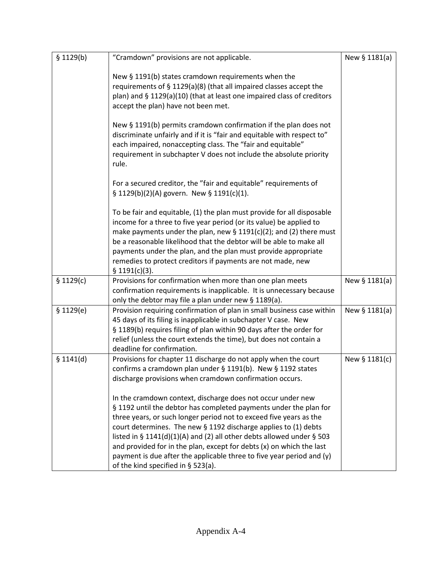| \$1129(b) | "Cramdown" provisions are not applicable.                                                                                                                                                                                                                                                                                                                                                                                                                                                                                                 | New § 1181(a) |
|-----------|-------------------------------------------------------------------------------------------------------------------------------------------------------------------------------------------------------------------------------------------------------------------------------------------------------------------------------------------------------------------------------------------------------------------------------------------------------------------------------------------------------------------------------------------|---------------|
|           | New § 1191(b) states cramdown requirements when the<br>requirements of § 1129(a)(8) (that all impaired classes accept the<br>plan) and § 1129(a)(10) (that at least one impaired class of creditors<br>accept the plan) have not been met.                                                                                                                                                                                                                                                                                                |               |
|           | New $\S$ 1191(b) permits cramdown confirmation if the plan does not<br>discriminate unfairly and if it is "fair and equitable with respect to"<br>each impaired, nonaccepting class. The "fair and equitable"<br>requirement in subchapter V does not include the absolute priority<br>rule.                                                                                                                                                                                                                                              |               |
|           | For a secured creditor, the "fair and equitable" requirements of<br>§ 1129(b)(2)(A) govern. New § 1191(c)(1).                                                                                                                                                                                                                                                                                                                                                                                                                             |               |
|           | To be fair and equitable, (1) the plan must provide for all disposable<br>income for a three to five year period (or its value) be applied to<br>make payments under the plan, new $\S$ 1191(c)(2); and (2) there must<br>be a reasonable likelihood that the debtor will be able to make all<br>payments under the plan, and the plan must provide appropriate<br>remedies to protect creditors if payments are not made, new<br>\$1191(c)(3).                                                                                           |               |
| \$1129(c) | Provisions for confirmation when more than one plan meets<br>confirmation requirements is inapplicable. It is unnecessary because<br>only the debtor may file a plan under new § 1189(a).                                                                                                                                                                                                                                                                                                                                                 | New § 1181(a) |
| \$1129(e) | Provision requiring confirmation of plan in small business case within<br>45 days of its filing is inapplicable in subchapter V case. New<br>§ 1189(b) requires filing of plan within 90 days after the order for<br>relief (unless the court extends the time), but does not contain a<br>deadline for confirmation.                                                                                                                                                                                                                     | New § 1181(a) |
| \$1141(d) | Provisions for chapter 11 discharge do not apply when the court<br>confirms a cramdown plan under § 1191(b). New § 1192 states<br>discharge provisions when cramdown confirmation occurs.                                                                                                                                                                                                                                                                                                                                                 | New § 1181(c) |
|           | In the cramdown context, discharge does not occur under new<br>§ 1192 until the debtor has completed payments under the plan for<br>three years, or such longer period not to exceed five years as the<br>court determines. The new § 1192 discharge applies to (1) debts<br>listed in § 1141(d)(1)(A) and (2) all other debts allowed under § 503<br>and provided for in the plan, except for debts (x) on which the last<br>payment is due after the applicable three to five year period and (y)<br>of the kind specified in § 523(a). |               |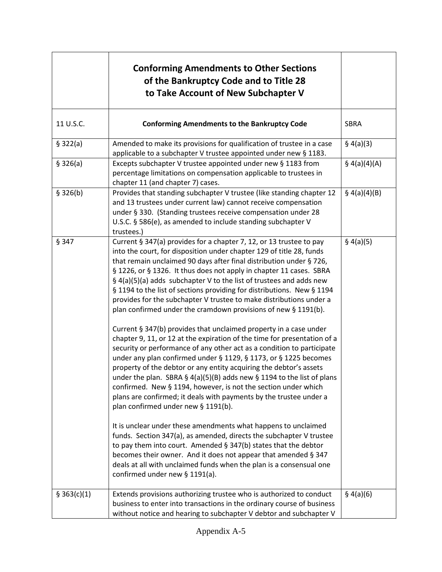|             | <b>Conforming Amendments to Other Sections</b><br>of the Bankruptcy Code and to Title 28<br>to Take Account of New Subchapter V                                                                                                                                                                                                                                                                                                                                                                                                                                                                                                                                                                                                                                                                                                                                                                                                                                                                                                                                                                                                                                                                                                                                                                                                                                                                                                                                                                                                                                                                             |              |
|-------------|-------------------------------------------------------------------------------------------------------------------------------------------------------------------------------------------------------------------------------------------------------------------------------------------------------------------------------------------------------------------------------------------------------------------------------------------------------------------------------------------------------------------------------------------------------------------------------------------------------------------------------------------------------------------------------------------------------------------------------------------------------------------------------------------------------------------------------------------------------------------------------------------------------------------------------------------------------------------------------------------------------------------------------------------------------------------------------------------------------------------------------------------------------------------------------------------------------------------------------------------------------------------------------------------------------------------------------------------------------------------------------------------------------------------------------------------------------------------------------------------------------------------------------------------------------------------------------------------------------------|--------------|
| 11 U.S.C.   | <b>Conforming Amendments to the Bankruptcy Code</b>                                                                                                                                                                                                                                                                                                                                                                                                                                                                                                                                                                                                                                                                                                                                                                                                                                                                                                                                                                                                                                                                                                                                                                                                                                                                                                                                                                                                                                                                                                                                                         | <b>SBRA</b>  |
| \$322(a)    | Amended to make its provisions for qualification of trustee in a case<br>applicable to a subchapter V trustee appointed under new § 1183.                                                                                                                                                                                                                                                                                                                                                                                                                                                                                                                                                                                                                                                                                                                                                                                                                                                                                                                                                                                                                                                                                                                                                                                                                                                                                                                                                                                                                                                                   | § 4(a)(3)    |
| \$326(a)    | Excepts subchapter V trustee appointed under new § 1183 from<br>percentage limitations on compensation applicable to trustees in<br>chapter 11 (and chapter 7) cases.                                                                                                                                                                                                                                                                                                                                                                                                                                                                                                                                                                                                                                                                                                                                                                                                                                                                                                                                                                                                                                                                                                                                                                                                                                                                                                                                                                                                                                       | \$4(a)(4)(A) |
| \$326(b)    | Provides that standing subchapter V trustee (like standing chapter 12<br>and 13 trustees under current law) cannot receive compensation<br>under § 330. (Standing trustees receive compensation under 28<br>U.S.C. § 586(e), as amended to include standing subchapter V<br>trustees.)                                                                                                                                                                                                                                                                                                                                                                                                                                                                                                                                                                                                                                                                                                                                                                                                                                                                                                                                                                                                                                                                                                                                                                                                                                                                                                                      | \$4(a)(4)(B) |
| § 347       | Current § 347(a) provides for a chapter 7, 12, or 13 trustee to pay<br>into the court, for disposition under chapter 129 of title 28, funds<br>that remain unclaimed 90 days after final distribution under § 726,<br>§ 1226, or § 1326. It thus does not apply in chapter 11 cases. SBRA<br>§ 4(a)(5)(a) adds subchapter V to the list of trustees and adds new<br>§ 1194 to the list of sections providing for distributions. New § 1194<br>provides for the subchapter V trustee to make distributions under a<br>plan confirmed under the cramdown provisions of new § 1191(b).<br>Current § 347(b) provides that unclaimed property in a case under<br>chapter 9, 11, or 12 at the expiration of the time for presentation of a<br>security or performance of any other act as a condition to participate<br>under any plan confirmed under § 1129, § 1173, or § 1225 becomes<br>property of the debtor or any entity acquiring the debtor's assets<br>under the plan. SBRA § 4(a)(5)(B) adds new § 1194 to the list of plans<br>confirmed. New § 1194, however, is not the section under which<br>plans are confirmed; it deals with payments by the trustee under a<br>plan confirmed under new § 1191(b).<br>It is unclear under these amendments what happens to unclaimed<br>funds. Section 347(a), as amended, directs the subchapter V trustee<br>to pay them into court. Amended § 347(b) states that the debtor<br>becomes their owner. And it does not appear that amended § 347<br>deals at all with unclaimed funds when the plan is a consensual one<br>confirmed under new $\S$ 1191(a). | § 4(a)(5)    |
| \$363(c)(1) | Extends provisions authorizing trustee who is authorized to conduct<br>business to enter into transactions in the ordinary course of business<br>without notice and hearing to subchapter V debtor and subchapter V                                                                                                                                                                                                                                                                                                                                                                                                                                                                                                                                                                                                                                                                                                                                                                                                                                                                                                                                                                                                                                                                                                                                                                                                                                                                                                                                                                                         | § 4(a)(6)    |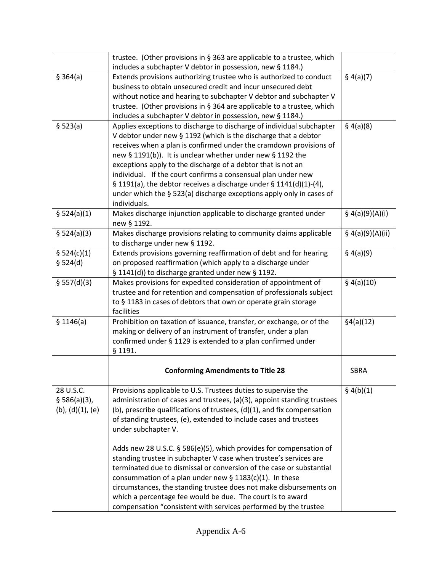|                          | trustee. (Other provisions in § 363 are applicable to a trustee, which     |                    |
|--------------------------|----------------------------------------------------------------------------|--------------------|
|                          | includes a subchapter V debtor in possession, new § 1184.)                 |                    |
| \$364(a)                 | Extends provisions authorizing trustee who is authorized to conduct        | § 4(a)(7)          |
|                          | business to obtain unsecured credit and incur unsecured debt               |                    |
|                          | without notice and hearing to subchapter V debtor and subchapter V         |                    |
|                          | trustee. (Other provisions in § 364 are applicable to a trustee, which     |                    |
|                          | includes a subchapter V debtor in possession, new § 1184.)                 |                    |
| § 523(a)                 | Applies exceptions to discharge to discharge of individual subchapter      | § 4(a)(8)          |
|                          | V debtor under new § 1192 (which is the discharge that a debtor            |                    |
|                          | receives when a plan is confirmed under the cramdown provisions of         |                    |
|                          | new § 1191(b)). It is unclear whether under new § 1192 the                 |                    |
|                          | exceptions apply to the discharge of a debtor that is not an               |                    |
|                          | individual. If the court confirms a consensual plan under new              |                    |
|                          | § 1191(a), the debtor receives a discharge under § 1141(d)(1)-(4),         |                    |
|                          | under which the § 523(a) discharge exceptions apply only in cases of       |                    |
|                          | individuals.                                                               |                    |
| \$524(a)(1)              | Makes discharge injunction applicable to discharge granted under           | § $4(a)(9)(A)(i)$  |
|                          | new § 1192.                                                                |                    |
| § 524(a)(3)              | Makes discharge provisions relating to community claims applicable         | § $4(a)(9)(A)(ii)$ |
|                          | to discharge under new § 1192.                                             |                    |
| \$524(c)(1)              | Extends provisions governing reaffirmation of debt and for hearing         | § 4(a)(9)          |
| \$524(d)                 | on proposed reaffirmation (which apply to a discharge under                |                    |
|                          | § 1141(d)) to discharge granted under new § 1192.                          |                    |
| \$ 557(d)(3)             | Makes provisions for expedited consideration of appointment of             | \$4(a)(10)         |
|                          | trustee and for retention and compensation of professionals subject        |                    |
|                          | to § 1183 in cases of debtors that own or operate grain storage            |                    |
|                          | facilities                                                                 |                    |
| \$1146(a)                | Prohibition on taxation of issuance, transfer, or exchange, or of the      | §4(a)(12)          |
|                          | making or delivery of an instrument of transfer, under a plan              |                    |
|                          | confirmed under § 1129 is extended to a plan confirmed under               |                    |
|                          | § 1191.                                                                    |                    |
|                          |                                                                            |                    |
|                          | <b>Conforming Amendments to Title 28</b>                                   | <b>SBRA</b>        |
|                          |                                                                            |                    |
| 28 U.S.C.                | Provisions applicable to U.S. Trustees duties to supervise the             | § 4(b)(1)          |
| § 586(a)(3),             | administration of cases and trustees, (a)(3), appoint standing trustees    |                    |
| $(b)$ , $(d)(1)$ , $(e)$ | (b), prescribe qualifications of trustees, $(d)(1)$ , and fix compensation |                    |
|                          | of standing trustees, (e), extended to include cases and trustees          |                    |
|                          | under subchapter V.                                                        |                    |
|                          |                                                                            |                    |
|                          | Adds new 28 U.S.C. § 586(e)(5), which provides for compensation of         |                    |
|                          | standing trustee in subchapter V case when trustee's services are          |                    |
|                          | terminated due to dismissal or conversion of the case or substantial       |                    |
|                          | consummation of a plan under new $\S$ 1183(c)(1). In these                 |                    |
|                          | circumstances, the standing trustee does not make disbursements on         |                    |
|                          | which a percentage fee would be due. The court is to award                 |                    |
|                          | compensation "consistent with services performed by the trustee            |                    |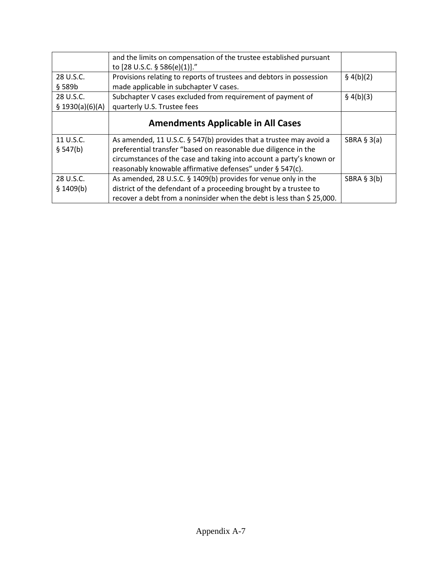|                  | and the limits on compensation of the trustee established pursuant   |               |
|------------------|----------------------------------------------------------------------|---------------|
|                  | to [28 U.S.C. § 586(e)(1)]."                                         |               |
| 28 U.S.C.        | Provisions relating to reports of trustees and debtors in possession | § 4(b)(2)     |
| § 589b           | made applicable in subchapter V cases.                               |               |
| 28 U.S.C.        | Subchapter V cases excluded from requirement of payment of           | § 4(b)(3)     |
| \$ 1930(a)(6)(A) | quarterly U.S. Trustee fees                                          |               |
|                  | <b>Amendments Applicable in All Cases</b>                            |               |
|                  |                                                                      |               |
| 11 U.S.C.        | As amended, 11 U.S.C. § 547(b) provides that a trustee may avoid a   | SBRA $§$ 3(a) |
| \$547(b)         | preferential transfer "based on reasonable due diligence in the      |               |
|                  | circumstances of the case and taking into account a party's known or |               |
|                  | reasonably knowable affirmative defenses" under § 547(c).            |               |
| 28 U.S.C.        | As amended, 28 U.S.C. § 1409(b) provides for venue only in the       | SBRA $§$ 3(b) |
|                  |                                                                      |               |
| \$1409(b)        | district of the defendant of a proceeding brought by a trustee to    |               |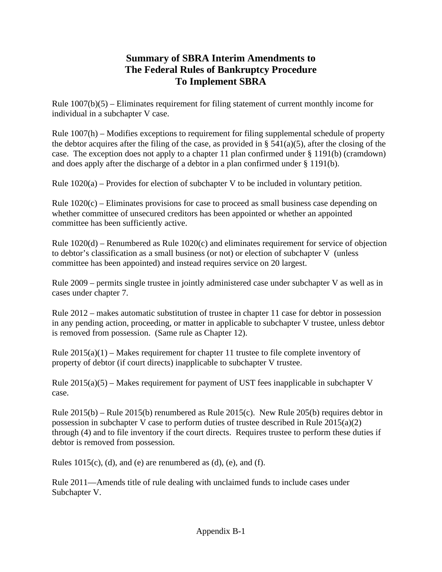# **Summary of SBRA Interim Amendments to The Federal Rules of Bankruptcy Procedure To Implement SBRA**

Rule  $1007(b)(5)$  – Eliminates requirement for filing statement of current monthly income for individual in a subchapter V case.

Rule 1007(h) – Modifies exceptions to requirement for filing supplemental schedule of property the debtor acquires after the filing of the case, as provided in  $\S$  541(a)(5), after the closing of the case. The exception does not apply to a chapter 11 plan confirmed under § 1191(b) (cramdown) and does apply after the discharge of a debtor in a plan confirmed under § 1191(b).

Rule  $1020(a)$  – Provides for election of subchapter V to be included in voluntary petition.

Rule  $1020(c)$  – Eliminates provisions for case to proceed as small business case depending on whether committee of unsecured creditors has been appointed or whether an appointed committee has been sufficiently active.

Rule 1020(d) – Renumbered as Rule 1020(c) and eliminates requirement for service of objection to debtor's classification as a small business (or not) or election of subchapter V (unless committee has been appointed) and instead requires service on 20 largest.

Rule 2009 – permits single trustee in jointly administered case under subchapter V as well as in cases under chapter 7.

Rule 2012 – makes automatic substitution of trustee in chapter 11 case for debtor in possession in any pending action, proceeding, or matter in applicable to subchapter V trustee, unless debtor is removed from possession. (Same rule as Chapter 12).

Rule  $2015(a)(1)$  – Makes requirement for chapter 11 trustee to file complete inventory of property of debtor (if court directs) inapplicable to subchapter V trustee.

Rule  $2015(a)(5)$  – Makes requirement for payment of UST fees inapplicable in subchapter V case.

Rule 2015(b) – Rule 2015(b) renumbered as Rule 2015(c). New Rule 205(b) requires debtor in possession in subchapter V case to perform duties of trustee described in Rule 2015(a)(2) through (4) and to file inventory if the court directs. Requires trustee to perform these duties if debtor is removed from possession.

Rules  $1015(c)$ , (d), and (e) are renumbered as (d), (e), and (f).

Rule 2011—Amends title of rule dealing with unclaimed funds to include cases under Subchapter V.